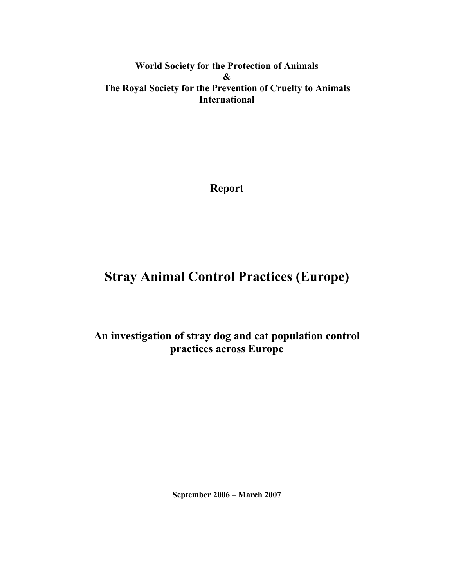**World Society for the Protection of Animals & The Royal Society for the Prevention of Cruelty to Animals International** 

**Report** 

# **Stray Animal Control Practices (Europe)**

## **An investigation of stray dog and cat population control practices across Europe**

**September 2006 – March 2007**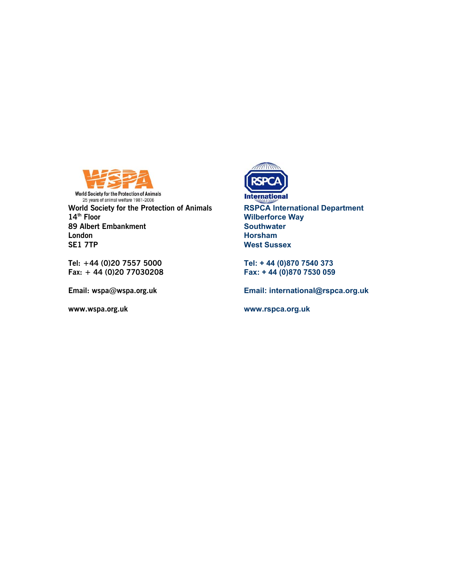

**World Society for the Protection of Animals** World Society for the Protection of Animals<br>
25 years of animal welfare 1981-2006<br> **World Society for the Protection of Animals**<br> **RSPCA International Department**<br> **Wilberforce Way**<br>
Wilberforce Way **89 Albert Embankment London Horsham** 

**Tel: +44 (0)20 7557 5000 Tel: + 44 (0)870 7540 373** 



**14th Wilberforce Way**<br> **14th Southwater West Sussex** 

**Fax: + 44 (0)20 77030208 Fax: + 44 (0)870 7530 059** 

**Email: wspa@wspa.org.uk Email: international@rspca.org.uk** 

**www.wspa.org.uk www.rspca.org.uk**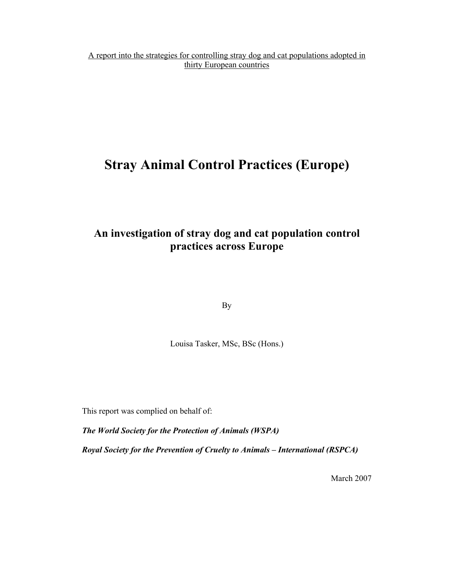A report into the strategies for controlling stray dog and cat populations adopted in thirty European countries

# **Stray Animal Control Practices (Europe)**

## **An investigation of stray dog and cat population control practices across Europe**

By

Louisa Tasker, MSc, BSc (Hons.)

This report was complied on behalf of:

*The World Society for the Protection of Animals (WSPA)* 

*Royal Society for the Prevention of Cruelty to Animals – International (RSPCA)* 

March 2007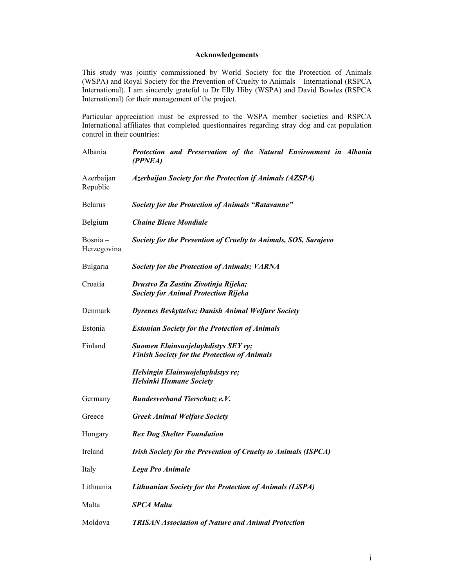## **Acknowledgements**

This study was jointly commissioned by World Society for the Protection of Animals (WSPA) and Royal Society for the Prevention of Cruelty to Animals – International (RSPCA International). I am sincerely grateful to Dr Elly Hiby (WSPA) and David Bowles (RSPCA International) for their management of the project.

Particular appreciation must be expressed to the WSPA member societies and RSPCA International affiliates that completed questionnaires regarding stray dog and cat population control in their countries:

| Albania                   | Protection and Preservation of the Natural Environment in Albania<br>(PPNEA)               |
|---------------------------|--------------------------------------------------------------------------------------------|
| Azerbaijan<br>Republic    | <b>Azerbaijan Society for the Protection if Animals (AZSPA)</b>                            |
| <b>Belarus</b>            | <b>Society for the Protection of Animals "Ratavanne"</b>                                   |
| Belgium                   | <b>Chaine Bleue Mondiale</b>                                                               |
| $Bosnia -$<br>Herzegovina | Society for the Prevention of Cruelty to Animals, SOS, Sarajevo                            |
| Bulgaria                  | Society for the Protection of Animals; VARNA                                               |
| Croatia                   | Drustvo Za Zastitu Zivotinja Rijeka;<br><b>Society for Animal Protection Rijeka</b>        |
| Denmark                   | <b>Dyrenes Beskyttelse; Danish Animal Welfare Society</b>                                  |
| Estonia                   | <b>Estonian Society for the Protection of Animals</b>                                      |
| Finland                   | Suomen Elainsuojeluyhdistys SEY ry;<br><b>Finish Society for the Protection of Animals</b> |
|                           | Helsingin Elainsuojeluyhdstys re;<br><b>Helsinki Humane Society</b>                        |
| Germany                   | <b>Bundesverband Tierschutz e.V.</b>                                                       |
| Greece                    | <b>Greek Animal Welfare Society</b>                                                        |
| Hungary                   | <b>Rex Dog Shelter Foundation</b>                                                          |
| Ireland                   | Irish Society for the Prevention of Cruelty to Animals (ISPCA)                             |
| Italy                     | <b>Lega Pro Animale</b>                                                                    |
| Lithuania                 | <b>Lithuanian Society for the Protection of Animals (LiSPA)</b>                            |
| Malta                     | <b>SPCA Malta</b>                                                                          |
| Moldova                   | <b>TRISAN Association of Nature and Animal Protection</b>                                  |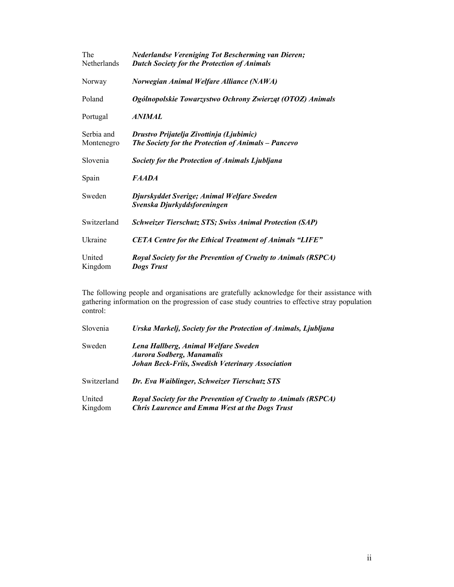| The<br>Netherlands       | <b>Nederlandse Vereniging Tot Bescherming van Dieren;</b><br><b>Dutch Society for the Protection of Animals</b> |
|--------------------------|-----------------------------------------------------------------------------------------------------------------|
| Norway                   | Norwegian Animal Welfare Alliance (NAWA)                                                                        |
| Poland                   | Ogólnopolskie Towarzystwo Ochrony Zwierząt (OTOZ) Animals                                                       |
| Portugal                 | <i>ANIMAL</i>                                                                                                   |
| Serbia and<br>Montenegro | Drustvo Prijatelja Zivottinja (Ljubimic)<br>The Society for the Protection of Animals - Pancevo                 |
| Slovenia                 | Society for the Protection of Animals Ljubljana                                                                 |
| Spain                    | <i>FAADA</i>                                                                                                    |
| Sweden                   | Djurskyddet Sverige; Animal Welfare Sweden<br>Svenska Djurkyddsforeningen                                       |
| Switzerland              | <b>Schweizer Tierschutz STS; Swiss Animal Protection (SAP)</b>                                                  |
| Ukraine                  | <b>CETA Centre for the Ethical Treatment of Animals "LIFE"</b>                                                  |
| United<br>Kingdom        | <b>Royal Society for the Prevention of Cruelty to Animals (RSPCA)</b><br><b>Dogs Trust</b>                      |

The following people and organisations are gratefully acknowledge for their assistance with gathering information on the progression of case study countries to effective stray population control:

| Slovenia          | Urska Markelj, Society for the Protection of Animals, Ljubljana                                                                |
|-------------------|--------------------------------------------------------------------------------------------------------------------------------|
| Sweden            | Lena Hallberg, Animal Welfare Sweden<br><b>Aurora Sodberg, Manamalis</b><br>Johan Beck-Friis, Swedish Veterinary Association   |
| Switzerland       | Dr. Eva Waiblinger, Schweizer Tierschutz STS                                                                                   |
| United<br>Kingdom | <b>Royal Society for the Prevention of Cruelty to Animals (RSPCA)</b><br><b>Chris Laurence and Emma West at the Dogs Trust</b> |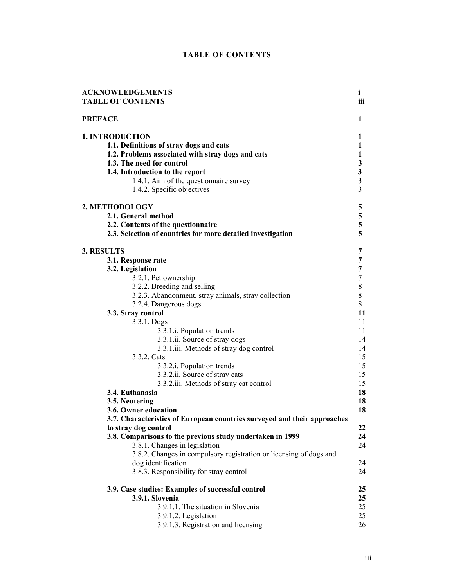## **TABLE OF CONTENTS**

| <b>ACKNOWLEDGEMENTS</b>                                                                                                                                                                                                                                                                                                                                                                                                                                                                                                                                                                                               | i                                                                                                       |
|-----------------------------------------------------------------------------------------------------------------------------------------------------------------------------------------------------------------------------------------------------------------------------------------------------------------------------------------------------------------------------------------------------------------------------------------------------------------------------------------------------------------------------------------------------------------------------------------------------------------------|---------------------------------------------------------------------------------------------------------|
| <b>TABLE OF CONTENTS</b>                                                                                                                                                                                                                                                                                                                                                                                                                                                                                                                                                                                              | iii                                                                                                     |
| <b>PREFACE</b>                                                                                                                                                                                                                                                                                                                                                                                                                                                                                                                                                                                                        | 1                                                                                                       |
| <b>1. INTRODUCTION</b>                                                                                                                                                                                                                                                                                                                                                                                                                                                                                                                                                                                                | 1                                                                                                       |
| 1.1. Definitions of stray dogs and cats                                                                                                                                                                                                                                                                                                                                                                                                                                                                                                                                                                               | 1                                                                                                       |
| 1.2. Problems associated with stray dogs and cats                                                                                                                                                                                                                                                                                                                                                                                                                                                                                                                                                                     | 1                                                                                                       |
| 1.3. The need for control                                                                                                                                                                                                                                                                                                                                                                                                                                                                                                                                                                                             | 3                                                                                                       |
| 1.4. Introduction to the report                                                                                                                                                                                                                                                                                                                                                                                                                                                                                                                                                                                       | 3                                                                                                       |
| 1.4.1. Aim of the questionnaire survey                                                                                                                                                                                                                                                                                                                                                                                                                                                                                                                                                                                | $\mathfrak{Z}$                                                                                          |
| 1.4.2. Specific objectives                                                                                                                                                                                                                                                                                                                                                                                                                                                                                                                                                                                            | 3                                                                                                       |
| 2. METHODOLOGY                                                                                                                                                                                                                                                                                                                                                                                                                                                                                                                                                                                                        | 5                                                                                                       |
| 2.1. General method                                                                                                                                                                                                                                                                                                                                                                                                                                                                                                                                                                                                   | 5                                                                                                       |
| 2.2. Contents of the questionnaire                                                                                                                                                                                                                                                                                                                                                                                                                                                                                                                                                                                    | 5                                                                                                       |
| 2.3. Selection of countries for more detailed investigation                                                                                                                                                                                                                                                                                                                                                                                                                                                                                                                                                           | 5                                                                                                       |
| <b>3. RESULTS</b><br>3.1. Response rate<br>3.2. Legislation<br>3.2.1. Pet ownership<br>3.2.2. Breeding and selling<br>3.2.3. Abandonment, stray animals, stray collection<br>3.2.4. Dangerous dogs<br>3.3. Stray control<br>3.3.1. Dogs<br>3.3.1.i. Population trends<br>3.3.1.ii. Source of stray dogs<br>3.3.1.iii. Methods of stray dog control<br>3.3.2. Cats<br>3.3.2.i. Population trends<br>3.3.2.ii. Source of stray cats<br>3.3.2.iii. Methods of stray cat control<br>3.4. Euthanasia<br>3.5. Neutering<br>3.6. Owner education<br>3.7. Characteristics of European countries surveyed and their approaches | 7<br>7<br>7<br>7<br>8<br>8<br>8<br>11<br>11<br>11<br>14<br>14<br>15<br>15<br>15<br>15<br>18<br>18<br>18 |
| to stray dog control<br>3.8. Comparisons to the previous study undertaken in 1999<br>3.8.1. Changes in legislation<br>3.8.2. Changes in compulsory registration or licensing of dogs and<br>dog identification<br>3.8.3. Responsibility for stray control                                                                                                                                                                                                                                                                                                                                                             | 22<br>24<br>24<br>24<br>24                                                                              |
| 3.9. Case studies: Examples of successful control                                                                                                                                                                                                                                                                                                                                                                                                                                                                                                                                                                     | 25                                                                                                      |
| 3.9.1. Slovenia                                                                                                                                                                                                                                                                                                                                                                                                                                                                                                                                                                                                       | 25                                                                                                      |
| 3.9.1.1. The situation in Slovenia                                                                                                                                                                                                                                                                                                                                                                                                                                                                                                                                                                                    | 25                                                                                                      |
| 3.9.1.2. Legislation                                                                                                                                                                                                                                                                                                                                                                                                                                                                                                                                                                                                  | 25                                                                                                      |
| 3.9.1.3. Registration and licensing                                                                                                                                                                                                                                                                                                                                                                                                                                                                                                                                                                                   | 26                                                                                                      |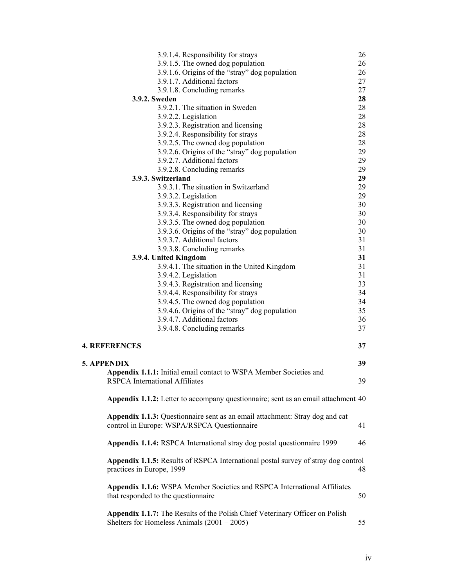|                                               | 3.9.1.4. Responsibility for strays                                                  | 26 |
|-----------------------------------------------|-------------------------------------------------------------------------------------|----|
|                                               | 3.9.1.5. The owned dog population                                                   | 26 |
|                                               | 3.9.1.6. Origins of the "stray" dog population                                      | 26 |
|                                               | 3.9.1.7. Additional factors                                                         | 27 |
|                                               | 3.9.1.8. Concluding remarks                                                         | 27 |
| 3.9.2. Sweden                                 |                                                                                     | 28 |
|                                               | 3.9.2.1. The situation in Sweden                                                    | 28 |
|                                               | 3.9.2.2. Legislation                                                                | 28 |
|                                               | 3.9.2.3. Registration and licensing                                                 | 28 |
|                                               | 3.9.2.4. Responsibility for strays                                                  | 28 |
|                                               | 3.9.2.5. The owned dog population                                                   | 28 |
|                                               | 3.9.2.6. Origins of the "stray" dog population                                      | 29 |
|                                               | 3.9.2.7. Additional factors                                                         | 29 |
|                                               | 3.9.2.8. Concluding remarks                                                         | 29 |
| 3.9.3. Switzerland                            |                                                                                     | 29 |
|                                               | 3.9.3.1. The situation in Switzerland                                               | 29 |
|                                               | 3.9.3.2. Legislation                                                                | 29 |
|                                               | 3.9.3.3. Registration and licensing                                                 | 30 |
|                                               | 3.9.3.4. Responsibility for strays                                                  | 30 |
|                                               | 3.9.3.5. The owned dog population                                                   | 30 |
|                                               | 3.9.3.6. Origins of the "stray" dog population                                      | 30 |
|                                               | 3.9.3.7. Additional factors                                                         | 31 |
|                                               |                                                                                     | 31 |
|                                               | 3.9.3.8. Concluding remarks                                                         | 31 |
| 3.9.4. United Kingdom                         |                                                                                     |    |
|                                               | 3.9.4.1. The situation in the United Kingdom                                        | 31 |
|                                               | 3.9.4.2. Legislation                                                                | 31 |
|                                               | 3.9.4.3. Registration and licensing                                                 | 33 |
|                                               | 3.9.4.4. Responsibility for strays                                                  | 34 |
|                                               | 3.9.4.5. The owned dog population                                                   | 34 |
|                                               | 3.9.4.6. Origins of the "stray" dog population                                      | 35 |
|                                               | 3.9.4.7. Additional factors                                                         | 36 |
|                                               | 3.9.4.8. Concluding remarks                                                         | 37 |
| <b>4. REFERENCES</b>                          |                                                                                     | 37 |
|                                               |                                                                                     |    |
| 5. APPENDIX                                   |                                                                                     | 39 |
|                                               | Appendix 1.1.1: Initial email contact to WSPA Member Societies and                  |    |
| <b>RSPCA</b> International Affiliates         |                                                                                     | 39 |
|                                               |                                                                                     |    |
|                                               | Appendix 1.1.2: Letter to accompany questionnaire; sent as an email attachment 40   |    |
|                                               | <b>Appendix 1.1.3:</b> Questionnaire sent as an email attachment: Stray dog and cat |    |
|                                               | control in Europe: WSPA/RSPCA Questionnaire                                         | 41 |
|                                               | Appendix 1.1.4: RSPCA International stray dog postal questionnaire 1999             | 46 |
|                                               |                                                                                     |    |
| practices in Europe, 1999                     | Appendix 1.1.5: Results of RSPCA International postal survey of stray dog control   | 48 |
| that responded to the questionnaire           | Appendix 1.1.6: WSPA Member Societies and RSPCA International Affiliates            | 50 |
| Shelters for Homeless Animals $(2001 – 2005)$ | Appendix 1.1.7: The Results of the Polish Chief Veterinary Officer on Polish        | 55 |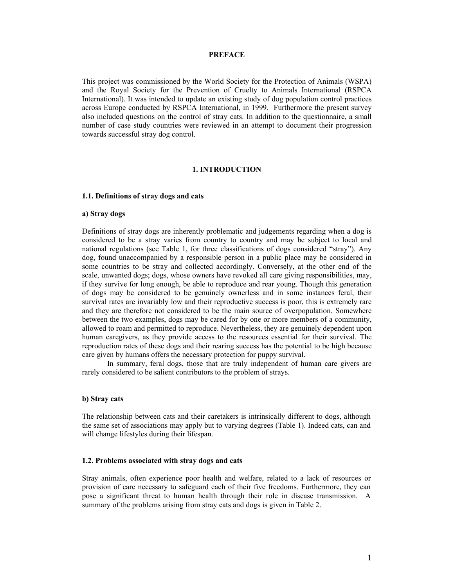#### **PREFACE**

This project was commissioned by the World Society for the Protection of Animals (WSPA) and the Royal Society for the Prevention of Cruelty to Animals International (RSPCA International). It was intended to update an existing study of dog population control practices across Europe conducted by RSPCA International, in 1999. Furthermore the present survey also included questions on the control of stray cats. In addition to the questionnaire, a small number of case study countries were reviewed in an attempt to document their progression towards successful stray dog control.

#### **1. INTRODUCTION**

#### **1.1. Definitions of stray dogs and cats**

#### **a) Stray dogs**

Definitions of stray dogs are inherently problematic and judgements regarding when a dog is considered to be a stray varies from country to country and may be subject to local and national regulations (see Table 1, for three classifications of dogs considered "stray"). Any dog, found unaccompanied by a responsible person in a public place may be considered in some countries to be stray and collected accordingly. Conversely, at the other end of the scale, unwanted dogs; dogs, whose owners have revoked all care giving responsibilities, may, if they survive for long enough, be able to reproduce and rear young. Though this generation of dogs may be considered to be genuinely ownerless and in some instances feral, their survival rates are invariably low and their reproductive success is poor, this is extremely rare and they are therefore not considered to be the main source of overpopulation. Somewhere between the two examples, dogs may be cared for by one or more members of a community, allowed to roam and permitted to reproduce. Nevertheless, they are genuinely dependent upon human caregivers, as they provide access to the resources essential for their survival. The reproduction rates of these dogs and their rearing success has the potential to be high because care given by humans offers the necessary protection for puppy survival.

 In summary, feral dogs, those that are truly independent of human care givers are rarely considered to be salient contributors to the problem of strays.

#### **b) Stray cats**

The relationship between cats and their caretakers is intrinsically different to dogs, although the same set of associations may apply but to varying degrees (Table 1). Indeed cats, can and will change lifestyles during their lifespan.

#### **1.2. Problems associated with stray dogs and cats**

Stray animals, often experience poor health and welfare, related to a lack of resources or provision of care necessary to safeguard each of their five freedoms. Furthermore, they can pose a significant threat to human health through their role in disease transmission. A summary of the problems arising from stray cats and dogs is given in Table 2.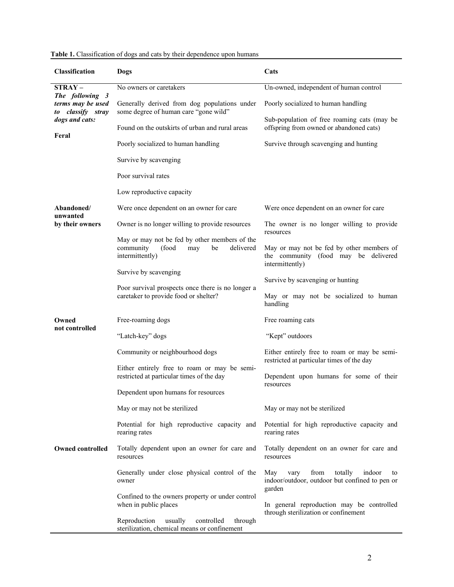| <b>Classification</b>                                     | Dogs                                                                                                             | Cats                                                                                                       |  |  |  |
|-----------------------------------------------------------|------------------------------------------------------------------------------------------------------------------|------------------------------------------------------------------------------------------------------------|--|--|--|
| $STRAY -$                                                 | No owners or caretakers                                                                                          | Un-owned, independent of human control                                                                     |  |  |  |
| The following 3<br>terms may be used<br>to classify stray | Generally derived from dog populations under<br>some degree of human care "gone wild"                            | Poorly socialized to human handling                                                                        |  |  |  |
| dogs and cats:                                            | Found on the outskirts of urban and rural areas                                                                  | Sub-population of free roaming cats (may be<br>offspring from owned or abandoned cats)                     |  |  |  |
| Feral                                                     | Poorly socialized to human handling                                                                              | Survive through scavenging and hunting                                                                     |  |  |  |
|                                                           | Survive by scavenging                                                                                            |                                                                                                            |  |  |  |
|                                                           | Poor survival rates                                                                                              |                                                                                                            |  |  |  |
|                                                           | Low reproductive capacity                                                                                        |                                                                                                            |  |  |  |
| Abandoned/<br>unwanted                                    | Were once dependent on an owner for care                                                                         | Were once dependent on an owner for care                                                                   |  |  |  |
| by their owners                                           | Owner is no longer willing to provide resources                                                                  | The owner is no longer willing to provide<br>resources                                                     |  |  |  |
|                                                           | May or may not be fed by other members of the<br>community<br>delivered<br>(food<br>be<br>may<br>intermittently) | May or may not be fed by other members of<br>the community (food may be delivered<br>intermittently)       |  |  |  |
|                                                           | Survive by scavenging                                                                                            | Survive by scavenging or hunting                                                                           |  |  |  |
|                                                           | Poor survival prospects once there is no longer a<br>caretaker to provide food or shelter?                       | May or may not be socialized to human<br>handling                                                          |  |  |  |
| Owned<br>not controlled                                   | Free-roaming dogs                                                                                                | Free roaming cats                                                                                          |  |  |  |
|                                                           | "Latch-key" dogs                                                                                                 | "Kept" outdoors                                                                                            |  |  |  |
|                                                           | Community or neighbourhood dogs                                                                                  | Either entirely free to roam or may be semi-<br>restricted at particular times of the day                  |  |  |  |
|                                                           | Either entirely free to roam or may be semi-<br>restricted at particular times of the day                        | Dependent upon humans for some of their<br>resources                                                       |  |  |  |
|                                                           | Dependent upon humans for resources                                                                              |                                                                                                            |  |  |  |
|                                                           | May or may not be sterilized                                                                                     | May or may not be sterilized                                                                               |  |  |  |
|                                                           | Potential for high reproductive capacity and<br>rearing rates                                                    | Potential for high reproductive capacity and<br>rearing rates                                              |  |  |  |
| <b>Owned controlled</b>                                   | Totally dependent upon an owner for care and<br>resources                                                        | Totally dependent on an owner for care and<br>resources                                                    |  |  |  |
|                                                           | Generally under close physical control of the<br>owner                                                           | May<br>from<br>totally<br>indoor<br>vary<br>to<br>indoor/outdoor, outdoor but confined to pen or<br>garden |  |  |  |
|                                                           | Confined to the owners property or under control<br>when in public places                                        | In general reproduction may be controlled<br>through sterilization or confinement                          |  |  |  |
|                                                           | Reproduction<br>usually<br>controlled<br>through<br>sterilization, chemical means or confinement                 |                                                                                                            |  |  |  |

Table 1. Classification of dogs and cats by their dependence upon humans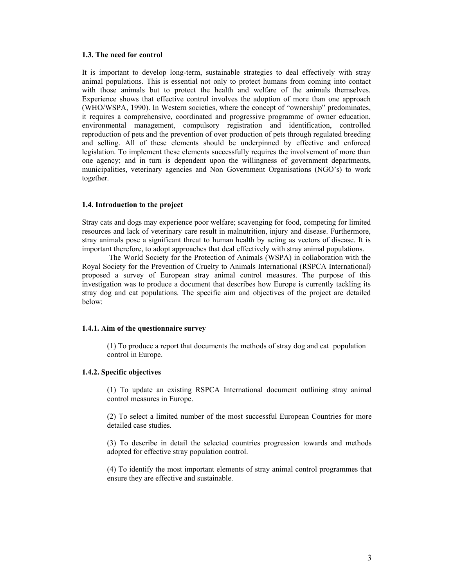#### **1.3. The need for control**

It is important to develop long-term, sustainable strategies to deal effectively with stray animal populations. This is essential not only to protect humans from coming into contact with those animals but to protect the health and welfare of the animals themselves. Experience shows that effective control involves the adoption of more than one approach (WHO/WSPA, 1990). In Western societies, where the concept of "ownership" predominates, it requires a comprehensive, coordinated and progressive programme of owner education, environmental management, compulsory registration and identification, controlled reproduction of pets and the prevention of over production of pets through regulated breeding and selling. All of these elements should be underpinned by effective and enforced legislation. To implement these elements successfully requires the involvement of more than one agency; and in turn is dependent upon the willingness of government departments, municipalities, veterinary agencies and Non Government Organisations (NGO's) to work together.

#### **1.4. Introduction to the project**

Stray cats and dogs may experience poor welfare; scavenging for food, competing for limited resources and lack of veterinary care result in malnutrition, injury and disease. Furthermore, stray animals pose a significant threat to human health by acting as vectors of disease. It is important therefore, to adopt approaches that deal effectively with stray animal populations.

 The World Society for the Protection of Animals (WSPA) in collaboration with the Royal Society for the Prevention of Cruelty to Animals International (RSPCA International) proposed a survey of European stray animal control measures. The purpose of this investigation was to produce a document that describes how Europe is currently tackling its stray dog and cat populations. The specific aim and objectives of the project are detailed below:

#### **1.4.1. Aim of the questionnaire survey**

 (1) To produce a report that documents the methods of stray dog and cat population control in Europe.

## **1.4.2. Specific objectives**

 (1) To update an existing RSPCA International document outlining stray animal control measures in Europe.

 (2) To select a limited number of the most successful European Countries for more detailed case studies.

 (3) To describe in detail the selected countries progression towards and methods adopted for effective stray population control.

 (4) To identify the most important elements of stray animal control programmes that ensure they are effective and sustainable.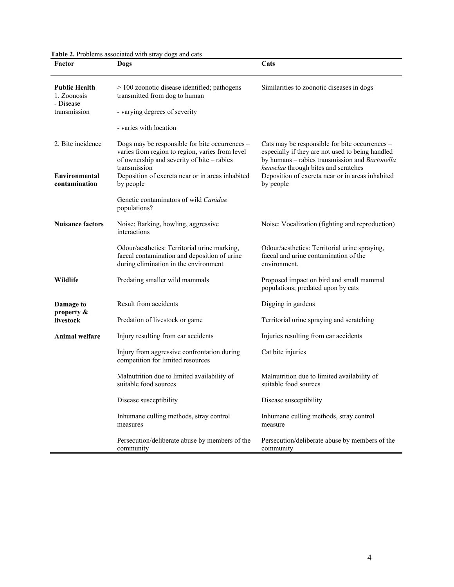**Table 2.** Problems associated with stray dogs and cats

| Factor                                           | Dogs                                                                                                                                                            | Cats                                                                                                                                                                                         |
|--------------------------------------------------|-----------------------------------------------------------------------------------------------------------------------------------------------------------------|----------------------------------------------------------------------------------------------------------------------------------------------------------------------------------------------|
| <b>Public Health</b><br>1. Zoonosis<br>- Disease | > 100 zoonotic disease identified; pathogens<br>transmitted from dog to human                                                                                   | Similarities to zoonotic diseases in dogs                                                                                                                                                    |
| transmission                                     | - varying degrees of severity                                                                                                                                   |                                                                                                                                                                                              |
|                                                  | - varies with location                                                                                                                                          |                                                                                                                                                                                              |
| 2. Bite incidence                                | Dogs may be responsible for bite occurrences -<br>varies from region to region, varies from level<br>of ownership and severity of bite - rabies<br>transmission | Cats may be responsible for bite occurrences -<br>especially if they are not used to being handled<br>by humans - rabies transmission and Bartonella<br>henselae through bites and scratches |
| Environmental<br>contamination                   | Deposition of excreta near or in areas inhabited<br>by people                                                                                                   | Deposition of excreta near or in areas inhabited<br>by people                                                                                                                                |
|                                                  | Genetic contaminators of wild Canidae<br>populations?                                                                                                           |                                                                                                                                                                                              |
| <b>Nuisance factors</b>                          | Noise: Barking, howling, aggressive<br>interactions                                                                                                             | Noise: Vocalization (fighting and reproduction)                                                                                                                                              |
|                                                  | Odour/aesthetics: Territorial urine marking,<br>faecal contamination and deposition of urine<br>during elimination in the environment                           | Odour/aesthetics: Territorial urine spraying,<br>faecal and urine contamination of the<br>environment.                                                                                       |
| Wildlife                                         | Predating smaller wild mammals                                                                                                                                  | Proposed impact on bird and small mammal<br>populations; predated upon by cats                                                                                                               |
| Damage to                                        | Result from accidents                                                                                                                                           | Digging in gardens                                                                                                                                                                           |
| property &<br>livestock                          | Predation of livestock or game                                                                                                                                  | Territorial urine spraying and scratching                                                                                                                                                    |
| <b>Animal welfare</b>                            | Injury resulting from car accidents                                                                                                                             | Injuries resulting from car accidents                                                                                                                                                        |
|                                                  | Injury from aggressive confrontation during<br>competition for limited resources                                                                                | Cat bite injuries                                                                                                                                                                            |
|                                                  | Malnutrition due to limited availability of<br>suitable food sources                                                                                            | Malnutrition due to limited availability of<br>suitable food sources                                                                                                                         |
|                                                  | Disease susceptibility                                                                                                                                          | Disease susceptibility                                                                                                                                                                       |
|                                                  | Inhumane culling methods, stray control<br>measures                                                                                                             | Inhumane culling methods, stray control<br>measure                                                                                                                                           |
|                                                  | Persecution/deliberate abuse by members of the<br>community                                                                                                     | Persecution/deliberate abuse by members of the<br>community                                                                                                                                  |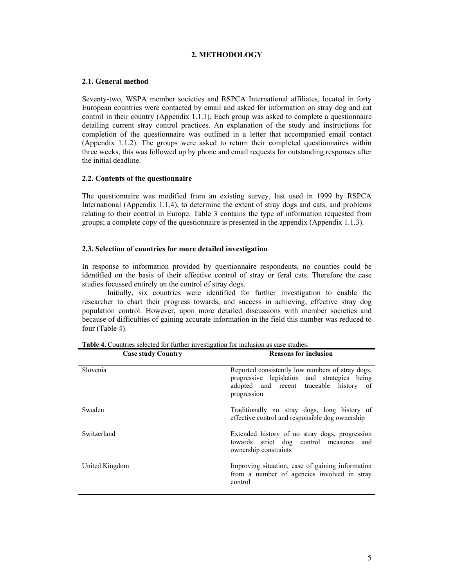## **2. METHODOLOGY**

## **2.1. General method**

Seventy-two, WSPA member societies and RSPCA International affiliates, located in forty European countries were contacted by email and asked for information on stray dog and cat control in their country (Appendix 1.1.1). Each group was asked to complete a questionnaire detailing current stray control practices. An explanation of the study and instructions for completion of the questionnaire was outlined in a letter that accompanied email contact (Appendix 1.1.2). The groups were asked to return their completed questionnaires within three weeks, this was followed up by phone and email requests for outstanding responses after the initial deadline.

#### **2.2. Contents of the questionnaire**

The questionnaire was modified from an existing survey, last used in 1999 by RSPCA International (Appendix 1.1.4), to determine the extent of stray dogs and cats, and problems relating to their control in Europe. Table 3 contains the type of information requested from groups; a complete copy of the questionnaire is presented in the appendix (Appendix 1.1.3).

#### **2.3. Selection of countries for more detailed investigation**

In response to information provided by questionnaire respondents, no counties could be identified on the basis of their effective control of stray or feral cats. Therefore the case studies focussed entirely on the control of stray dogs.

 Initially, six countries were identified for further investigation to enable the researcher to chart their progress towards, and success in achieving, effective stray dog population control. However, upon more detailed discussions with member societies and because of difficulties of gaining accurate information in the field this number was reduced to four (Table 4).

| <b>Case study Country</b> | <b>Reasons for inclusion</b>                                                                                                                               |
|---------------------------|------------------------------------------------------------------------------------------------------------------------------------------------------------|
| <b>Slovenia</b>           | Reported consistently low numbers of stray dogs,<br>progressive legislation and strategies being<br>adopted and recent traceable history of<br>progression |
| Sweden                    | Traditionally no stray dogs, long history of<br>effective control and responsible dog ownership                                                            |
| Switzerland               | Extended history of no stray dogs, progression<br>towards strict dog control measures and<br>ownership constraints                                         |
| United Kingdom            | Improving situation, ease of gaining information<br>from a number of agencies involved in stray<br>control                                                 |

**Table 4.** Countries selected for further investigation for inclusion as case studies.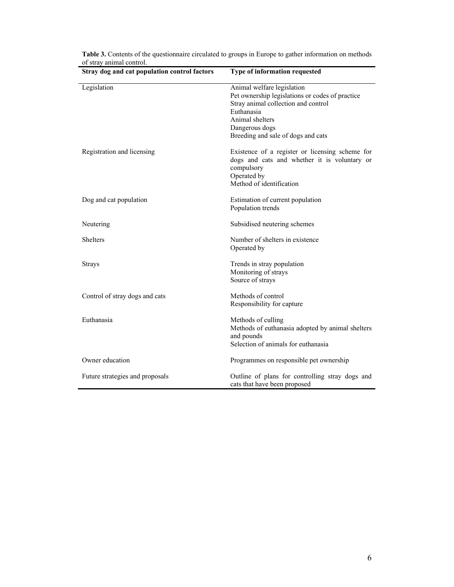| Stray dog and cat population control factors | Type of information requested                                                                                                                                                                                 |
|----------------------------------------------|---------------------------------------------------------------------------------------------------------------------------------------------------------------------------------------------------------------|
| Legislation                                  | Animal welfare legislation<br>Pet ownership legislations or codes of practice<br>Stray animal collection and control<br>Euthanasia<br>Animal shelters<br>Dangerous dogs<br>Breeding and sale of dogs and cats |
| Registration and licensing                   | Existence of a register or licensing scheme for<br>dogs and cats and whether it is voluntary or<br>compulsory<br>Operated by<br>Method of identification                                                      |
| Dog and cat population                       | Estimation of current population<br>Population trends                                                                                                                                                         |
| Neutering                                    | Subsidised neutering schemes                                                                                                                                                                                  |
| <b>Shelters</b>                              | Number of shelters in existence<br>Operated by                                                                                                                                                                |
| <b>Strays</b>                                | Trends in stray population<br>Monitoring of strays<br>Source of strays                                                                                                                                        |
| Control of stray dogs and cats               | Methods of control<br>Responsibility for capture                                                                                                                                                              |
| Euthanasia                                   | Methods of culling<br>Methods of euthanasia adopted by animal shelters<br>and pounds<br>Selection of animals for euthanasia                                                                                   |
| Owner education                              | Programmes on responsible pet ownership                                                                                                                                                                       |
| Future strategies and proposals              | Outline of plans for controlling stray dogs and<br>cats that have been proposed                                                                                                                               |

**Table 3.** Contents of the questionnaire circulated to groups in Europe to gather information on methods of stray animal control.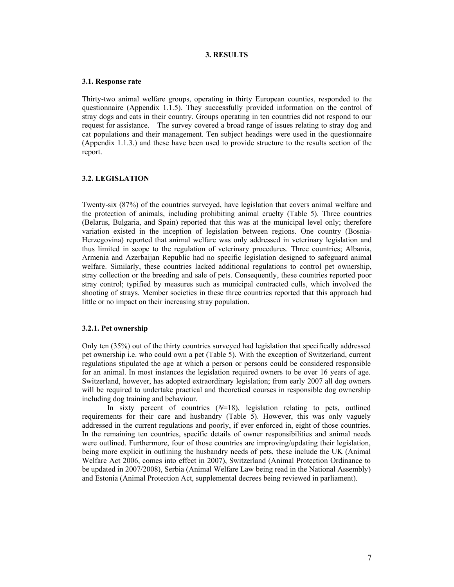#### **3. RESULTS**

#### **3.1. Response rate**

Thirty-two animal welfare groups, operating in thirty European counties, responded to the questionnaire (Appendix 1.1.5). They successfully provided information on the control of stray dogs and cats in their country. Groups operating in ten countries did not respond to our request for assistance. The survey covered a broad range of issues relating to stray dog and cat populations and their management. Ten subject headings were used in the questionnaire (Appendix 1.1.3.) and these have been used to provide structure to the results section of the report.

#### **3.2. LEGISLATION**

Twenty-six (87%) of the countries surveyed, have legislation that covers animal welfare and the protection of animals, including prohibiting animal cruelty (Table 5). Three countries (Belarus, Bulgaria, and Spain) reported that this was at the municipal level only; therefore variation existed in the inception of legislation between regions. One country (Bosnia-Herzegovina) reported that animal welfare was only addressed in veterinary legislation and thus limited in scope to the regulation of veterinary procedures. Three countries; Albania, Armenia and Azerbaijan Republic had no specific legislation designed to safeguard animal welfare. Similarly, these countries lacked additional regulations to control pet ownership, stray collection or the breeding and sale of pets. Consequently, these countries reported poor stray control; typified by measures such as municipal contracted culls, which involved the shooting of strays. Member societies in these three countries reported that this approach had little or no impact on their increasing stray population.

#### **3.2.1. Pet ownership**

Only ten (35%) out of the thirty countries surveyed had legislation that specifically addressed pet ownership i.e. who could own a pet (Table 5). With the exception of Switzerland, current regulations stipulated the age at which a person or persons could be considered responsible for an animal. In most instances the legislation required owners to be over 16 years of age. Switzerland, however, has adopted extraordinary legislation; from early 2007 all dog owners will be required to undertake practical and theoretical courses in responsible dog ownership including dog training and behaviour.

 In sixty percent of countries (*N*=18), legislation relating to pets, outlined requirements for their care and husbandry (Table 5). However, this was only vaguely addressed in the current regulations and poorly, if ever enforced in, eight of those countries. In the remaining ten countries, specific details of owner responsibilities and animal needs were outlined. Furthermore, four of those countries are improving/updating their legislation, being more explicit in outlining the husbandry needs of pets, these include the UK (Animal Welfare Act 2006, comes into effect in 2007), Switzerland (Animal Protection Ordinance to be updated in 2007/2008), Serbia (Animal Welfare Law being read in the National Assembly) and Estonia (Animal Protection Act, supplemental decrees being reviewed in parliament).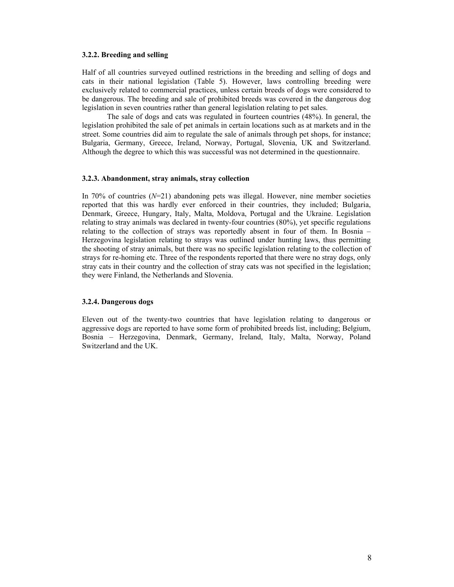#### **3.2.2. Breeding and selling**

Half of all countries surveyed outlined restrictions in the breeding and selling of dogs and cats in their national legislation (Table 5). However, laws controlling breeding were exclusively related to commercial practices, unless certain breeds of dogs were considered to be dangerous. The breeding and sale of prohibited breeds was covered in the dangerous dog legislation in seven countries rather than general legislation relating to pet sales.

 The sale of dogs and cats was regulated in fourteen countries (48%). In general, the legislation prohibited the sale of pet animals in certain locations such as at markets and in the street. Some countries did aim to regulate the sale of animals through pet shops, for instance; Bulgaria, Germany, Greece, Ireland, Norway, Portugal, Slovenia, UK and Switzerland. Although the degree to which this was successful was not determined in the questionnaire.

#### **3.2.3. Abandonment, stray animals, stray collection**

In 70% of countries  $(N=21)$  abandoning pets was illegal. However, nine member societies reported that this was hardly ever enforced in their countries, they included; Bulgaria, Denmark, Greece, Hungary, Italy, Malta, Moldova, Portugal and the Ukraine. Legislation relating to stray animals was declared in twenty-four countries (80%), yet specific regulations relating to the collection of strays was reportedly absent in four of them. In Bosnia – Herzegovina legislation relating to strays was outlined under hunting laws, thus permitting the shooting of stray animals, but there was no specific legislation relating to the collection of strays for re-homing etc. Three of the respondents reported that there were no stray dogs, only stray cats in their country and the collection of stray cats was not specified in the legislation; they were Finland, the Netherlands and Slovenia.

## **3.2.4. Dangerous dogs**

Eleven out of the twenty-two countries that have legislation relating to dangerous or aggressive dogs are reported to have some form of prohibited breeds list, including; Belgium, Bosnia – Herzegovina, Denmark, Germany, Ireland, Italy, Malta, Norway, Poland Switzerland and the UK.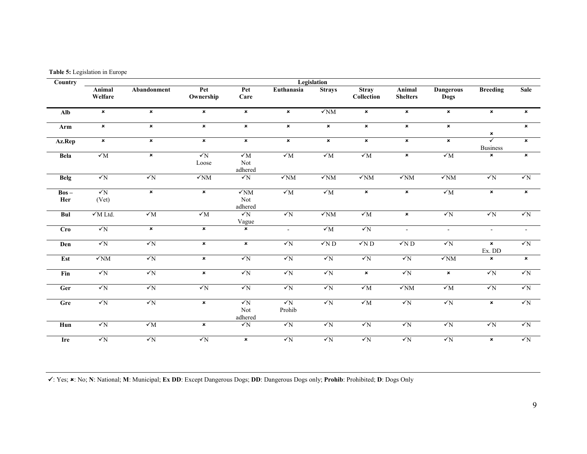**Table 5:** Legislation in Europe

| Country        | Legislation         |                |                           |                                  |                      |                |                            |                           |                           |                                            |                |  |  |  |
|----------------|---------------------|----------------|---------------------------|----------------------------------|----------------------|----------------|----------------------------|---------------------------|---------------------------|--------------------------------------------|----------------|--|--|--|
|                | Animal<br>Welfare   | Abandonment    | Pet<br>Ownership          | Pet<br>Care                      | Euthanasia           | <b>Strays</b>  | <b>Stray</b><br>Collection | Animal<br><b>Shelters</b> | <b>Dangerous</b><br>Dogs  | <b>Breeding</b>                            | Sale           |  |  |  |
| Alb            | $\pmb{\times}$      | $\pmb{\times}$ | $\boldsymbol{\mathsf{x}}$ | $\pmb{\times}$                   | $\pmb{\times}$       | $\sqrt{NM}$    | $\pmb{\times}$             | $\pmb{\times}$            | $\boldsymbol{\mathsf{x}}$ | $\pmb{\times}$                             | $\pmb{\times}$ |  |  |  |
| Arm            | $\pmb{\times}$      | $\mathbf{x}$   | $\pmb{\times}$            | $\pmb{\times}$                   | $\pmb{\times}$       | $\pmb{\times}$ | $\pmb{\times}$             | $\pmb{\times}$            | $\mathbf{x}$              | ×                                          | $\pmb{\times}$ |  |  |  |
| Az.Rep         | $\pmb{\times}$      | $\mathbf{x}$   | $\pmb{\times}$            | $\pmb{\times}$                   | $\mathbf{x}$         | $\pmb{\times}$ | $\pmb{\times}$             | $\pmb{\times}$            | $\mathbf{x}$              | $\overline{\checkmark}$<br><b>Business</b> | $\pmb{\times}$ |  |  |  |
| Bela           | $\sqrt{M}$          | ×              | $\sqrt{N}$<br>Loose       | $\checkmark$ M<br>Not<br>adhered | ${\sqrt{M}}$         | $\sqrt{M}$     | $\sqrt{M}$                 | $\pmb{\times}$            | $\sqrt{M}$                | ×                                          | $\pmb{\times}$ |  |  |  |
| <b>Belg</b>    | $\sqrt{N}$          | $\sqrt{N}$     | $\sqrt{NM}$               | $\sqrt{N}$                       | $\sqrt{NM}$          | $\sqrt{NM}$    | $\sqrt{NM}$                | $\sqrt{NM}$               | $\sqrt{NM}$               | $\sqrt{N}$                                 | $\sqrt{N}$     |  |  |  |
| $Bos -$<br>Her | $\sqrt{N}$<br>(Vet) | $\pmb{\times}$ | $\pmb{\times}$            | $\sqrt{NM}$<br>Not<br>adhered    | $\sqrt{M}$           | $\sqrt{M}$     | $\pmb{\times}$             | $\pmb{\times}$            | $\sqrt{M}$                | $\pmb{\times}$                             | $\pmb{\times}$ |  |  |  |
| Bul            | $\sqrt{M}$ Ltd.     | $\sqrt{M}$     | $\sqrt{M}$                | $\sqrt{N}$<br>Vague              | $\sqrt{N}$           | $\sqrt{NM}$    | $\sqrt{M}$                 | $\pmb{\times}$            | $\sqrt{N}$                | $\sqrt{N}$                                 | $\sqrt{N}$     |  |  |  |
| <b>Cro</b>     | $\sqrt{N}$          | $\pmb{\times}$ | $\pmb{\times}$            | $\pmb{\times}$                   | $\sim$               | $\sqrt{M}$     | $\sqrt{N}$                 | $\omega$                  | $\sim$                    | $\omega$                                   | $\blacksquare$ |  |  |  |
| Den            | $\sqrt{N}$          | $\sqrt{N}$     | $\pmb{\times}$            | $\pmb{\times}$                   | $\sqrt{N}$           | $\sqrt{N}D$    | $\sqrt{N}$ D               | $\sqrt{N}$ D              | $\sqrt{N}$                | $\pmb{\times}$<br>Ex. DD                   | $\sqrt{N}$     |  |  |  |
| Est            | $\sqrt{NM}$         | $\sqrt{N}$     | $\pmb{\times}$            | $\sqrt{N}$                       | $\sqrt{N}$           | $\sqrt{N}$     | $\sqrt{N}$                 | $\sqrt{N}$                | $\sqrt{NM}$               | $\pmb{\times}$                             | $\pmb{\times}$ |  |  |  |
| Fin            | $\sqrt{N}$          | $\sqrt{N}$     | $\pmb{\times}$            | $\sqrt{N}$                       | $\sqrt{N}$           | $\sqrt{N}$     | $\pmb{\times}$             | $\sqrt{N}$                | $\pmb{\times}$            | $\sqrt{N}$                                 | $\sqrt{N}$     |  |  |  |
| Ger            | $\sqrt{N}$          | $\sqrt{N}$     | $\sqrt{N}$                | $\sqrt{N}$                       | $\sqrt{N}$           | $\sqrt{N}$     | $\sqrt{M}$                 | $\sqrt{NM}$               | $\sqrt{M}$                | $\sqrt{N}$                                 | $\sqrt{N}$     |  |  |  |
| Gre            | $\sqrt{N}$          | $\sqrt{N}$     | $\pmb{\times}$            | $\sqrt{N}$<br>Not<br>adhered     | $\sqrt{N}$<br>Prohib | $\sqrt{N}$     | $\sqrt{M}$                 | $\sqrt{N}$                | $\sqrt{N}$                | $\pmb{\times}$                             | $\sqrt{N}$     |  |  |  |
| Hun            | $\sqrt{N}$          | $\sqrt{M}$     | $\pmb{\times}$            | $\sqrt{N}$                       | $\sqrt{N}$           | $\sqrt{N}$     | $\sqrt{N}$                 | $\sqrt{N}$                | $\sqrt{N}$                | $\sqrt{N}$                                 | $\sqrt{N}$     |  |  |  |
| Ire            | $\sqrt{N}$          | $\sqrt{N}$     | $\sqrt{N}$                | $\pmb{\times}$                   | $\sqrt{N}$           | $\sqrt{N}$     | $\sqrt{N}$                 | $\sqrt{N}$                | $\sqrt{N}$                | $\pmb{\times}$                             | $\sqrt{N}$     |  |  |  |

<sup>9</sup>: Yes; 8: No; **N**: National; **M**: Municipal; **Ex DD**: Except Dangerous Dogs; **DD**: Dangerous Dogs only; **Prohib**: Prohibited; **D**: Dogs Only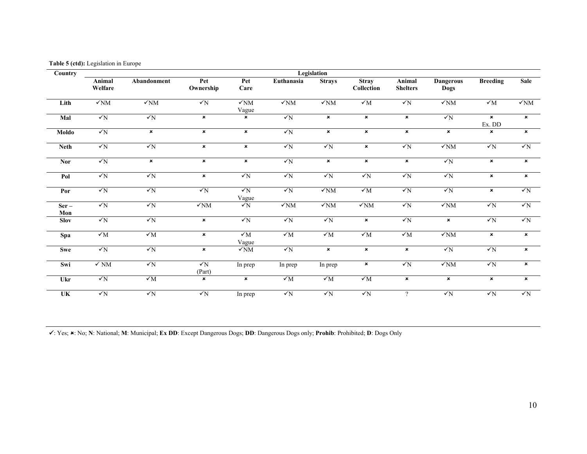**Table 5 (ctd):** Legislation in Europe

| Country                   |                   |                   |                      |                           |              | Legislation               |                            |                           |                           |                          |                           |
|---------------------------|-------------------|-------------------|----------------------|---------------------------|--------------|---------------------------|----------------------------|---------------------------|---------------------------|--------------------------|---------------------------|
|                           | Animal<br>Welfare | Abandonment       | Pet<br>Ownership     | Pet<br>Care               | Euthanasia   | <b>Strays</b>             | <b>Stray</b><br>Collection | Animal<br><b>Shelters</b> | <b>Dangerous</b><br>Dogs  | <b>Breeding</b>          | Sale                      |
| Lith                      | $\sqrt{NM}$       | $\sqrt{NM}$       | $\sqrt{N}$           | $\sqrt{NM}$<br>Vague      | $\sqrt{NM}$  | $\sqrt{NM}$               | ${\sqrt{M}}$               | $\checkmark_N$            | $\sqrt{NM}$               | ${\cal V}{\rm M}$        | $\sqrt{NM}$               |
| Mal                       | $\sqrt{N}$        | $\sqrt{N}$        | ×                    | $\boldsymbol{\mathsf{x}}$ | $\sqrt{N}$   | $\boldsymbol{\mathsf{x}}$ | $\pmb{\times}$             | $\pmb{\times}$            | $\sqrt{N}$                | $\pmb{\times}$<br>Ex. DD | $\pmb{\times}$            |
| Moldo                     | $\sqrt{N}$        | ×                 | ×                    | $\pmb{\times}$            | $\sqrt{N}$   | $\boldsymbol{\mathsf{x}}$ | $\pmb{\times}$             | $\pmb{\times}$            | $\boldsymbol{\mathsf{x}}$ | ×                        | $\pmb{\times}$            |
| <b>Neth</b>               | $\sqrt{N}$        | $\sqrt{N}$        | ×                    | $\pmb{\times}$            | $\sqrt{N}$   | $\sqrt{N}$                | $\pmb{\times}$             | $\sqrt{N}$                | $\sqrt{NM}$               | $\sqrt{N}$               | $\sqrt{N}$                |
| <b>Nor</b>                | $\sqrt{N}$        | ×                 | ×                    | $\pmb{\times}$            | $\sqrt{N}$   | $\boldsymbol{\mathsf{x}}$ | $\pmb{\times}$             | $\pmb{\times}$            | $\sqrt{N}$                | $\pmb{\times}$           | $\pmb{\times}$            |
| Pol                       | $\sqrt{N}$        | $\sqrt{N}$        | ×                    | $\sqrt{N}$                | $\sqrt{N}$   | $\sqrt{N}$                | $\sqrt{N}$                 | $\sqrt{N}$                | $\sqrt{N}$                | $\pmb{\times}$           | $\pmb{\times}$            |
| Por                       | $\sqrt{N}$        | $\sqrt{N}$        | $\sqrt{N}$           | $\sqrt{N}$<br>Vague       | $\sqrt{N}$   | $\sqrt{NM}$               | ${\sqrt{M}}$               | $\checkmark_N$            | $\sqrt{N}$                | $\pmb{\times}$           | $\sqrt{N}$                |
| $Ser -$<br>Mon            | $\sqrt{N}$        | $\sqrt{N}$        | $\sqrt{NM}$          | $\sqrt{N}$                | $\sqrt{NM}$  | $\sqrt{NM}$               | $\sqrt{NM}$                | $\sqrt{N}$                | $\sqrt{NM}$               | $\sqrt{N}$               | $\sqrt{N}$                |
| <b>Slov</b>               | $\sqrt{N}$        | $\sqrt{N}$        | ×                    | $\sqrt{N}$                | $\sqrt{N}$   | $\sqrt{N}$                | $\pmb{\times}$             | $\sqrt{N}$                | $\pmb{\times}$            | $\sqrt{N}$               | $\sqrt{N}$                |
| Spa                       | $\sqrt{M}$        | $\sqrt{M}$        | ×                    | $\sqrt{M}$<br>Vague       | $\sqrt{M}$   | $\sqrt{M}$                | $\sqrt{M}$                 | $\sqrt{M}$                | $\sqrt{NM}$               | $\pmb{\times}$           | $\pmb{\times}$            |
| <b>Swe</b>                | $\sqrt{N}$        | $\sqrt{N}$        | ×                    | $\sqrt{NM}$               | $\sqrt{N}$   | $\boldsymbol{\mathsf{x}}$ | $\pmb{\times}$             | $\pmb{\times}$            | $\sqrt{N}$                | $\sqrt{N}$               | $\pmb{\times}$            |
| Swi                       | $\checkmark$ NM   | $\checkmark_N$    | $\sqrt{N}$<br>(Part) | In prep                   | In prep      | In prep                   | $\pmb{\times}$             | $\checkmark_N$            | $\sqrt{NM}$               | $\sqrt{N}$               | $\pmb{\times}$            |
| Ukr                       | $\sqrt{N}$        | ${\cal V}{\rm M}$ | ×                    | $\pmb{\times}$            | ${\sqrt{M}}$ | ${\cal N}$ M              | ${\cal N}{\rm M}$          | $\pmb{\times}$            | $\pmb{\times}$            | $\pmb{\times}$           | $\boldsymbol{\mathsf{x}}$ |
| $\overline{\mathbf{U}}$ K | $\sqrt{N}$        | $\sqrt{N}$        | $\sqrt{N}$           | In prep                   | $\sqrt{N}$   | $\sqrt{N}$                | $\sqrt{N}$                 | $\gamma$                  | $\sqrt{N}$                | $\sqrt{N}$               | $\sqrt{N}$                |

<sup>9</sup>: Yes; 8: No; **N**: National; **M**: Municipal; **Ex DD**: Except Dangerous Dogs; **DD**: Dangerous Dogs only; **Prohib**: Prohibited; **D**: Dogs Only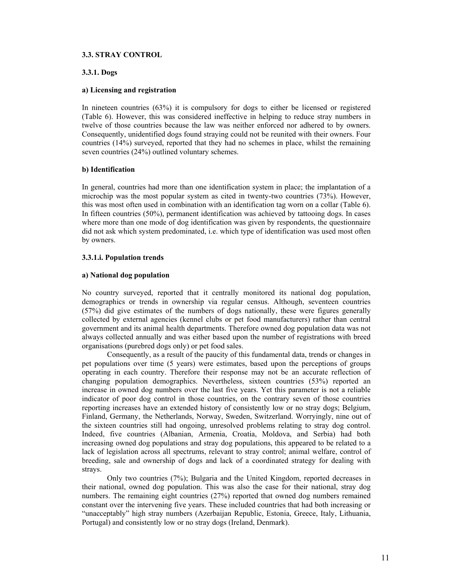#### **3.3. STRAY CONTROL**

## **3.3.1. Dogs**

#### **a) Licensing and registration**

In nineteen countries (63%) it is compulsory for dogs to either be licensed or registered (Table 6). However, this was considered ineffective in helping to reduce stray numbers in twelve of those countries because the law was neither enforced nor adhered to by owners. Consequently, unidentified dogs found straying could not be reunited with their owners. Four countries (14%) surveyed, reported that they had no schemes in place, whilst the remaining seven countries (24%) outlined voluntary schemes.

#### **b) Identification**

In general, countries had more than one identification system in place; the implantation of a microchip was the most popular system as cited in twenty-two countries (73%). However, this was most often used in combination with an identification tag worn on a collar (Table 6). In fifteen countries (50%), permanent identification was achieved by tattooing dogs. In cases where more than one mode of dog identification was given by respondents, the questionnaire did not ask which system predominated, i.e. which type of identification was used most often by owners.

#### **3.3.1.i. Population trends**

#### **a) National dog population**

No country surveyed, reported that it centrally monitored its national dog population, demographics or trends in ownership via regular census. Although, seventeen countries (57%) did give estimates of the numbers of dogs nationally, these were figures generally collected by external agencies (kennel clubs or pet food manufacturers) rather than central government and its animal health departments. Therefore owned dog population data was not always collected annually and was either based upon the number of registrations with breed organisations (purebred dogs only) or pet food sales.

 Consequently, as a result of the paucity of this fundamental data, trends or changes in pet populations over time (5 years) were estimates, based upon the perceptions of groups operating in each country. Therefore their response may not be an accurate reflection of changing population demographics. Nevertheless, sixteen countries (53%) reported an increase in owned dog numbers over the last five years. Yet this parameter is not a reliable indicator of poor dog control in those countries, on the contrary seven of those countries reporting increases have an extended history of consistently low or no stray dogs; Belgium, Finland, Germany, the Netherlands, Norway, Sweden, Switzerland. Worryingly, nine out of the sixteen countries still had ongoing, unresolved problems relating to stray dog control. Indeed, five countries (Albanian, Armenia, Croatia, Moldova, and Serbia) had both increasing owned dog populations and stray dog populations, this appeared to be related to a lack of legislation across all spectrums, relevant to stray control; animal welfare, control of breeding, sale and ownership of dogs and lack of a coordinated strategy for dealing with strays.

 Only two countries (7%); Bulgaria and the United Kingdom, reported decreases in their national, owned dog population. This was also the case for their national, stray dog numbers. The remaining eight countries (27%) reported that owned dog numbers remained constant over the intervening five years. These included countries that had both increasing or "unacceptably" high stray numbers (Azerbaijan Republic, Estonia, Greece, Italy, Lithuania, Portugal) and consistently low or no stray dogs (Ireland, Denmark).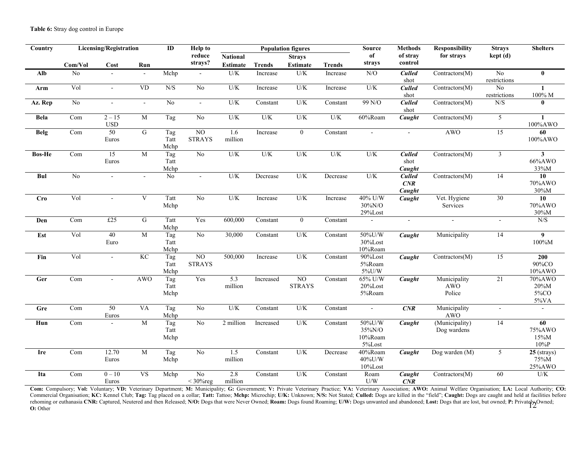| Country     | <b>Licensing/Registration</b><br>ID |                        |                           | <b>Help to</b>      | <b>Population figures</b>        |                 |               |                     | <b>Source</b>                | <b>Methods</b>                        | <b>Responsibility</b><br><b>Strays</b> |                                      | <b>Shelters</b>             |                                       |
|-------------|-------------------------------------|------------------------|---------------------------|---------------------|----------------------------------|-----------------|---------------|---------------------|------------------------------|---------------------------------------|----------------------------------------|--------------------------------------|-----------------------------|---------------------------------------|
|             |                                     |                        |                           |                     | reduce                           | <b>National</b> |               | <b>Strays</b>       |                              | of                                    | of stray                               | for strays                           | $\text{kept}\left(d\right)$ |                                       |
|             | Com/Vol                             | Cost                   | Run                       |                     | strays?                          | <b>Estimate</b> | <b>Trends</b> | <b>Estimate</b>     | <b>Trends</b>                | strays                                | control                                |                                      |                             |                                       |
| Alb         | No                                  |                        |                           | Mchp                | $\blacksquare$                   | U/K             | Increase      | U/K                 | Increase                     | N/O                                   | <b>Culled</b><br>shot                  | Contractors(M)                       | No<br>restrictions          | $\mathbf{0}$                          |
| Arm         | Vol                                 | $\blacksquare$         | <b>VD</b>                 | N/S                 | $\rm No$                         | U/K             | Increase      | $U/K$               | Increase                     | U/K                                   | <b>Culled</b><br>shot                  | Contractors(M)                       | No<br>restrictions          | $\mathbf{1}$<br>$100\%$ M             |
| Az. Rep     | N <sub>o</sub>                      | $\mathbf{r}$           | $\omega$                  | No                  | $\omega$                         | U/K             | Constant      | U/K                 | Constant                     | 99 N/O                                | <b>Culled</b><br>shot                  | Contractors(M)                       | N/S                         | $\bf{0}$                              |
| <b>Bela</b> | Com                                 | $2 - 15$<br><b>USD</b> | M                         | Tag                 | N <sub>0</sub>                   | U/K             | U/K           | U/K                 | U/K                          | 60%Roam                               | $\overline{C}$ <i>aught</i>            | Contractors(M)                       | 5                           | $\mathbf{1}$<br>100%AWO               |
| <b>Belg</b> | Com                                 | 50<br>Euros            | G                         | Tag<br>Tatt<br>Mchp | $\overline{NO}$<br><b>STRAYS</b> | 1.6<br>million  | Increase      | $\boldsymbol{0}$    | Constant                     | $\sim$                                | $\mathbf{L}$                           | <b>AWO</b>                           | 15                          | 60<br>100%AWO                         |
| Bos-He      | Com                                 | 15<br>Euros            | M                         | Tag<br>Tatt<br>Mchp | $\overline{No}$                  | U/K             | U/K           | U/K                 | U/K                          | U/K                                   | <b>Culled</b><br>shot<br>Caught        | Contractors(M)                       | $\mathfrak{Z}$              | $\mathbf{3}$<br>66%AWO<br>33%M        |
| Bul         | $\overline{No}$                     |                        | $\sim$                    | $\overline{No}$     | $\omega$                         | U/K             | Decrease      | U/K                 | Decrease                     | U/K                                   | <b>Culled</b><br>CNR<br>Caught         | Contractors(M)                       | 14                          | $\overline{10}$<br>70%AWO<br>30%M     |
| <b>Cro</b>  | Vol                                 | $\blacksquare$         | $\ensuremath{\mathsf{V}}$ | Tatt<br>Mchp        | N <sub>0</sub>                   | U/K             | Increase      | U/K                 | Increase                     | 40% U/W<br>30%N/O<br>$29\%$ Lost      | Caught                                 | Vet. Hygiene<br>Services             | 30                          | 10<br>70%AWO<br>30%M                  |
| Den         | Com                                 | £25                    | ${\bf G}$                 | Tatt<br>Mchp        | Yes                              | 600,000         | Constant      | $\mathbf{0}$        | $\overline{\text{Constant}}$ |                                       | $\overline{a}$                         | $\sim$                               | $\sim$                      | N/S                                   |
| Est         | Vol                                 | 40<br>Euro             | M                         | Tag<br>Tatt<br>Mchp | N <sub>0</sub>                   | 30,000          | Constant      | U/K                 | Constant                     | 50%U/W<br>30%Lost<br>10%Roam          | Caught                                 | Municipality                         | 14                          | $\overline{9}$<br>100%M               |
| Fin         | Vol                                 | $\overline{a}$         | KC                        | Tag<br>Tatt<br>Mchp | $\overline{NO}$<br><b>STRAYS</b> | 500,000         | Increase      | U/K                 | Constant                     | 90%Lost<br>5%Roam<br>5%U/W            | Caught                                 | Contractors(M)                       | 15                          | 200<br>90%CO<br>10%AWO                |
| Ger         | Com                                 | $\mathbb{Z}^+$         | <b>AWO</b>                | Tag<br>Tatt<br>Mchp | Yes                              | 5.3<br>million  | Increased     | NO<br><b>STRAYS</b> | Constant                     | 65% U/W<br>20%Lost<br>5%Roam          | Caught                                 | Municipality<br><b>AWO</b><br>Police | 21                          | 70%AWO<br>20%M<br>5%CO<br>5%VA        |
| Gre         | Com                                 | 50<br>Euros            | <b>VA</b>                 | Tag<br>Mchp         | N <sub>o</sub>                   | U/K             | Constant      | U/K                 | Constant                     | $\mathcal{L}_{\mathcal{A}}$           | CNR                                    | Municipality<br><b>AWO</b>           | $\sim$                      | $\sim$                                |
| Hun         | Com                                 | $\mathbb{Z}^+$         | M                         | Tag<br>Tatt<br>Mchp | N <sub>o</sub>                   | 2 million       | Increased     | U/K                 | Constant                     | 50%U/W<br>35%N/O<br>10%Roam<br>5%Lost | $\overline{C}$ aught                   | (Municipality)<br>Dog wardens        | 14                          | 60<br>75%AWO<br>15%M<br>$10\%{\rm P}$ |
| Ire         | Com                                 | 12.70<br>Euros         | M                         | Tag<br>Mchp         | $\rm No$                         | 1.5<br>million  | Constant      | U/K                 | Decrease                     | 40%Roam<br>40%U/W<br>10%Lost          | Caught                                 | Dog warden (M)                       | 5                           | 25 (strays)<br>75%M<br>25%AWO         |
| Ita         | Com                                 | $0 - 10$<br>Euros      | <b>VS</b>                 | Mchp                | N <sub>o</sub><br>$<$ 30% reg    | 2.8<br>million  | Constant      | U/K                 | Constant                     | Roam<br>$\mathrm{U}/\mathrm{W}$       | Caught<br>CNR                          | Contractors(M)                       | 60                          | U/K                                   |

12Com: Compulsory; Vol: Voluntary; VD: Veterinary Department; M: Municipality; G: Government; V: Private Veterinary Practice; VA: Veterinary Association; AWO: Animal Welfare Organisation; LA: Local Authority; CO: Commercial Organisation; KC: Kennel Club; Tag: Tag placed on a collar; Tatt: Tattoo; Mchp: Microchip; U/K: Unknown; N/S: Not Stated; Culled: Dogs are killed in the "field"; Caught: Dogs are caught and held at facilities be rehoming or euthanasia CNR: Captured, Neutered and then Released; N/O: Dogs that were Never Owned; Roam: Dogs found Roaming; U/W: Dogs unwanted and abandoned; Lost: Dogs that are lost, but owned; P: Privately Owned; **O:** Other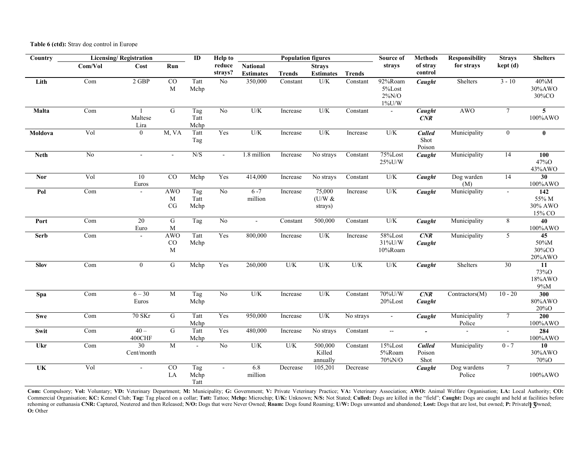**Table 6 (ctd):** Stray dog control in Europe

| Country                |         | <b>Licensing/Registration</b> |                                       | $\mathbf{ID}$       | <b>Help to</b>    |                                     | <b>Population figures</b> |                                   |               | Source of                                  | <b>Methods</b>                    | <b>Responsibility</b>  | <b>Strays</b>   | <b>Shelters</b>                          |
|------------------------|---------|-------------------------------|---------------------------------------|---------------------|-------------------|-------------------------------------|---------------------------|-----------------------------------|---------------|--------------------------------------------|-----------------------------------|------------------------|-----------------|------------------------------------------|
|                        | Com/Vol | Cost                          | Run                                   |                     | reduce<br>strays? | <b>National</b><br><b>Estimates</b> | <b>Trends</b>             | <b>Strays</b><br><b>Estimates</b> | <b>Trends</b> | strays                                     | of stray<br>for strays<br>control |                        | kept (d)        |                                          |
| Lith                   | Com     | 2 GBP                         | CO<br>$\mathbf M$                     | Tatt<br>Mchp        | N <sub>o</sub>    | 350,000                             | Constant                  | U/K                               | Constant      | 92%Roam<br>5%Lost<br>$2\%N/O$<br>$1\%$ U/W | Caught                            | Shelters               | $3 - 10$        | 40%M<br>30%AWO<br>30%CO                  |
| Malta                  | Com     | Maltese<br>Lira               | G                                     | Tag<br>Tatt<br>Mchp | No                | U/K                                 | Increase                  | U/K                               | Constant      | $\blacksquare$                             | Caught<br>CNR                     | <b>AWO</b>             | $\tau$          | $\overline{5}$<br>100%AWO                |
| Moldova                | Vol     | $\mathbf{0}$                  | M, VA                                 | Tatt<br>Tag         | Yes               | U/K                                 | Increase                  | U/K                               | Increase      | U/K                                        | <b>Culled</b><br>Shot<br>Poison   | Municipality           | $\overline{0}$  | $\bf{0}$                                 |
| <b>Neth</b>            | No      | $\overline{a}$                | $\sim$                                | N/S                 | $\blacksquare$    | 1.8 million                         | Increase                  | $\overline{No}$ strays            | Constant      | 75%Lost<br>25%U/W                          | Caught                            | Municipality           | 14              | 100<br>47%O<br>43%AWO                    |
| <b>Nor</b>             | Vol     | 10<br>Euros                   | $\overline{CO}$                       | Mchp                | Yes               | 414,000                             | Increase                  | No strays                         | Constant      | U/K                                        | Caught                            | Dog warden<br>(M)      | 14              | 30<br>100%AWO                            |
| Pol                    | Com     | $\overline{a}$                | <b>AWO</b><br>$\mathbf M$<br>CG       | Tag<br>Tatt<br>Mchp | No                | $6 - 7$<br>million                  | Increase                  | 75,000<br>$(U/W \&$<br>strays)    | Increase      | U/K                                        | Caught                            | Municipality           | $\sim$          | 142<br>55% M<br>30% AWO<br>15% CO        |
| Port                   | Com     | 20<br>Euro                    | ${\bf G}$<br>M                        | Tag                 | N <sub>0</sub>    | $\mathbf{r}$                        | Constant                  | 500,000                           | Constant      | U/K                                        | Caught                            | Municipality           | 8               | 40<br>100%AWO                            |
| <b>Serb</b>            | Com     |                               | <b>AWO</b><br>$\rm CO$<br>$\mathbf M$ | Tatt<br>Mchp        | Yes               | 800,000                             | Increase                  | U/K                               | Increase      | 58%Lost<br>31%U/W<br>10%Roam               | CNR<br>Caught                     | Municipality           | 5               | 45<br>50%M<br>30%CO<br>20%AWO            |
| Slov                   | Com     | $\boldsymbol{0}$              | $\overline{G}$                        | Mchp                | Yes               | 260,000                             | U/K                       | U/K                               | U/K           | U/K                                        | Caught                            | Shelters               | $\overline{30}$ | $\overline{11}$<br>73%O<br>18%AWO<br>9%M |
| Spa                    | Com     | $6 - 30$<br>Euros             | M                                     | Tag<br>Mchp         | N <sub>o</sub>    | U/K                                 | Increase                  | U/K                               | Constant      | 70%U/W<br>20%Lost                          | CNR<br>Caught                     | Contractors(M)         | $10 - 20$       | 300<br>80%AWO<br>20%O                    |
| Swe                    | Com     | 70 SKr                        | G                                     | Tatt<br>Mchp        | Yes               | 950,000                             | Increase                  | $U/K$                             | No strays     | $\sim$                                     | Caught                            | Municipality<br>Police | $\tau$          | 200<br>100%AWO                           |
| Swit                   | Com     | $40 -$<br>400CHF              | $\overline{G}$                        | Tatt<br>Mchp        | Yes               | 480,000                             | Increase                  | No strays                         | Constant      | $\sim$                                     | $\overline{\phantom{a}}$          | $\Delta \phi$          | $\sim$          | 284<br>100%AWO                           |
| Ukr                    | Com     | 30<br>Cent/month              | $\overline{M}$                        | $\mathbf{r}$        | N <sub>o</sub>    | U/K                                 | U/K                       | 500,000<br>Killed<br>annually     | Constant      | $15\%$ Lost<br>5%Roam<br>70%N/O            | <b>Culled</b><br>Poison<br>Shot   | Municipality           | $0 - 7$         | 10<br>30%AWO<br>70%O                     |
| $\overline{\text{UK}}$ | Vol     | $\overline{a}$                | CO<br>$\rm LA$                        | Tag<br>Mchp<br>Tatt | $\overline{a}$    | 6.8<br>million                      | Decrease                  | 105,201                           | Decrease      |                                            | Caught                            | Dog wardens<br>Police  | $\tau$          | 100%AWO                                  |

13Com: Compulsory; Vol: Voluntary; VD: Veterinary Department; M: Municipality; G: Government; V: Private Veterinary Practice; VA: Veterinary Association; AWO: Animal Welfare Organisation; LA: Local Authority; CO: Commercial Organisation; KC: Kennel Club; Tag: Tag placed on a collar; Tatt: Tattoo; Mchp: Microchip; U/K: Unknown; N/S: Not Stated; Culled: Dogs are killed in the "field"; Caught: Dogs are caught and held at facilities be rehoming or euthanasia CNR: Captured, Neutered and then Released; N/O: Dogs that were Never Owned; Roam: Dogs found Roaming; U/W: Dogs unwanted and abandoned; Lost: Dogs that are lost, but owned; P: Privately Owned; **O:** Other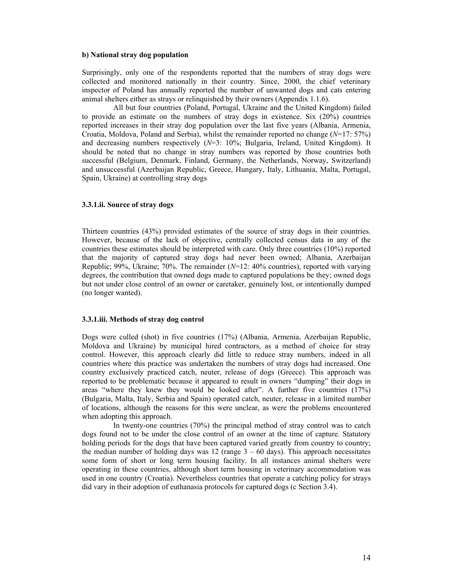#### **b) National stray dog population**

Surprisingly, only one of the respondents reported that the numbers of stray dogs were collected and monitored nationally in their country. Since, 2000, the chief veterinary inspector of Poland has annually reported the number of unwanted dogs and cats entering animal shelters either as strays or relinquished by their owners (Appendix 1.1.6).

 All but four countries (Poland, Portugal, Ukraine and the United Kingdom) failed to provide an estimate on the numbers of stray dogs in existence. Six (20%) countries reported increases in their stray dog population over the last five years (Albania, Armenia, Croatia, Moldova, Poland and Serbia), whilst the remainder reported no change (*N*=17: 57%) and decreasing numbers respectively (*N*=3: 10%; Bulgaria, Ireland, United Kingdom). It should be noted that no change in stray numbers was reported by those countries both successful (Belgium, Denmark, Finland, Germany, the Netherlands, Norway, Switzerland) and unsuccessful (Azerbaijan Republic, Greece, Hungary, Italy, Lithuania, Malta, Portugal, Spain, Ukraine) at controlling stray dogs

#### **3.3.1.ii. Source of stray dogs**

Thirteen countries (43%) provided estimates of the source of stray dogs in their countries. However, because of the lack of objective, centrally collected census data in any of the countries these estimates should be interpreted with care. Only three countries (10%) reported that the majority of captured stray dogs had never been owned; Albania, Azerbaijan Republic; 99%, Ukraine; 70%. The remainder (*N*=12: 40% countries), reported with varying degrees, the contribution that owned dogs made to captured populations be they; owned dogs but not under close control of an owner or caretaker, genuinely lost, or intentionally dumped (no longer wanted).

#### **3.3.1.iii. Methods of stray dog control**

Dogs were culled (shot) in five countries (17%) (Albania, Armenia, Azerbaijan Republic, Moldova and Ukraine) by municipal hired contractors, as a method of choice for stray control. However, this approach clearly did little to reduce stray numbers, indeed in all countries where this practice was undertaken the numbers of stray dogs had increased. One country exclusively practiced catch, neuter, release of dogs (Greece). This approach was reported to be problematic because it appeared to result in owners "dumping" their dogs in areas "where they knew they would be looked after". A further five countries (17%) (Bulgaria, Malta, Italy, Serbia and Spain) operated catch, neuter, release in a limited number of locations, although the reasons for this were unclear, as were the problems encountered when adopting this approach.

 In twenty-one countries (70%) the principal method of stray control was to catch dogs found not to be under the close control of an owner at the time of capture. Statutory holding periods for the dogs that have been captured varied greatly from country to country; the median number of holding days was 12 (range  $3 - 60$  days). This approach necessitates some form of short or long term housing facility. In all instances animal shelters were operating in these countries, although short term housing in veterinary accommodation was used in one country (Croatia). Nevertheless countries that operate a catching policy for strays did vary in their adoption of euthanasia protocols for captured dogs (c Section 3.4).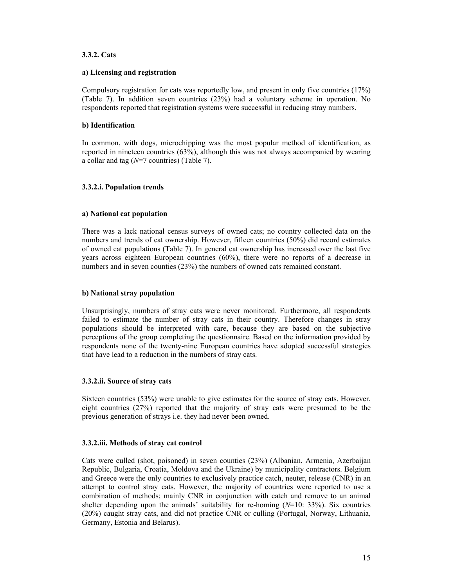## **3.3.2. Cats**

## **a) Licensing and registration**

Compulsory registration for cats was reportedly low, and present in only five countries (17%) (Table 7). In addition seven countries (23%) had a voluntary scheme in operation. No respondents reported that registration systems were successful in reducing stray numbers.

## **b) Identification**

In common, with dogs, microchipping was the most popular method of identification, as reported in nineteen countries (63%), although this was not always accompanied by wearing a collar and tag (*N*=7 countries) (Table 7).

## **3.3.2.i. Population trends**

## **a) National cat population**

There was a lack national census surveys of owned cats; no country collected data on the numbers and trends of cat ownership. However, fifteen countries (50%) did record estimates of owned cat populations (Table 7). In general cat ownership has increased over the last five years across eighteen European countries (60%), there were no reports of a decrease in numbers and in seven counties (23%) the numbers of owned cats remained constant.

## **b) National stray population**

Unsurprisingly, numbers of stray cats were never monitored. Furthermore, all respondents failed to estimate the number of stray cats in their country. Therefore changes in stray populations should be interpreted with care, because they are based on the subjective perceptions of the group completing the questionnaire. Based on the information provided by respondents none of the twenty-nine European countries have adopted successful strategies that have lead to a reduction in the numbers of stray cats.

## **3.3.2.ii. Source of stray cats**

Sixteen countries (53%) were unable to give estimates for the source of stray cats. However, eight countries (27%) reported that the majority of stray cats were presumed to be the previous generation of strays i.e. they had never been owned.

## **3.3.2.iii. Methods of stray cat control**

Cats were culled (shot, poisoned) in seven counties (23%) (Albanian, Armenia, Azerbaijan Republic, Bulgaria, Croatia, Moldova and the Ukraine) by municipality contractors. Belgium and Greece were the only countries to exclusively practice catch, neuter, release (CNR) in an attempt to control stray cats. However, the majority of countries were reported to use a combination of methods; mainly CNR in conjunction with catch and remove to an animal shelter depending upon the animals' suitability for re-homing (*N*=10: 33%). Six countries (20%) caught stray cats, and did not practice CNR or culling (Portugal, Norway, Lithuania, Germany, Estonia and Belarus).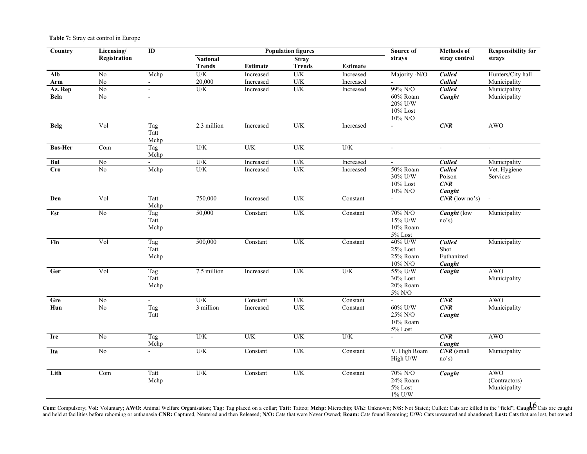#### **Table 7:** Stray cat control in Europe

| Country                 | Licensing/      | ID                  | <b>Population figures</b> |                 |               |                 | Source of                                     | <b>Methods</b> of                             | <b>Responsibility for</b>                   |
|-------------------------|-----------------|---------------------|---------------------------|-----------------|---------------|-----------------|-----------------------------------------------|-----------------------------------------------|---------------------------------------------|
|                         | Registration    |                     | <b>National</b>           |                 | <b>Stray</b>  |                 | strays                                        | stray control                                 | strays                                      |
|                         |                 |                     | <b>Trends</b>             | <b>Estimate</b> | <b>Trends</b> | <b>Estimate</b> |                                               |                                               |                                             |
| Alb                     | N <sub>0</sub>  | Mchp                | U/K                       | Increased       | U/K           | Increased       | Majority -N/O                                 | <b>Culled</b>                                 | Hunters/City hall                           |
| Arm                     | $\overline{No}$ | $\omega$ .          | 20,000                    | Increased       | U/K           | Increased       |                                               | <b>Culled</b>                                 | Municipality                                |
| Az. Rep                 | $\overline{No}$ | $\blacksquare$      | U/K                       | Increased       | U/K           | Increased       | 99% N/O                                       | <b>Culled</b>                                 | Municipality                                |
| <b>Bela</b>             | $\rm No$        |                     |                           |                 |               |                 | 60% Roam<br>20% U/W<br>10% Lost<br>$10\%$ N/O | Caught                                        | Municipality                                |
| Belg                    | Vol             | Tag<br>Tatt<br>Mchp | 2.3 million               | Increased       | U/K           | Increased       |                                               | CNR                                           | <b>AWO</b>                                  |
| <b>Bos-Her</b>          | Com             | Tag<br>Mchp         | U/K                       | U/K             | U/K           | $U/K$           | $\omega$                                      | $\omega$                                      | $\blacksquare$                              |
| Bul                     | $\overline{No}$ | $\omega$            | U/K                       | Increased       | U/K           | Increased       | $\blacksquare$                                | <b>Culled</b>                                 | Municipality                                |
| <b>Cro</b>              | No              | Mchp                | U/K                       | Increased       | U/K           | Increased       | 50% Roam<br>30% U/W<br>10% Lost<br>$10\%$ N/O | <b>Culled</b><br>Poison<br>CNR<br>Caught      | Vet. Hygiene<br>Services                    |
| Den                     | Vol             | Tatt<br>Mchp        | 750,000                   | Increased       | U/K           | Constant        | $\overline{a}$                                | $CNR$ (low no's)                              | $\sim$                                      |
| Est                     | N <sub>o</sub>  | Tag<br>Tatt<br>Mchp | 50,000                    | Constant        | U/K           | Constant        | 70% N/O<br>15% U/W<br>10% Roam<br>5% Lost     | Caught (low<br>no's)                          | Municipality                                |
| Fin                     | Vol             | Tag<br>Tatt<br>Mchp | 500,000                   | Constant        | U/K           | Constant        | 40% U/W<br>25% Lost<br>25% Roam<br>$10\%$ N/O | <b>Culled</b><br>Shot<br>Euthanized<br>Caught | Municipality                                |
| $\overline{\text{Ger}}$ | Vol             | Tag<br>Tatt<br>Mchp | 7.5 million               | Increased       | U/K           | $\mathrm{U/K}$  | 55% U/W<br>30% Lost<br>20% Roam<br>$5\%$ N/O  | Caught                                        | <b>AWO</b><br>Municipality                  |
| Gre                     | No              | a.                  | U/K                       | Constant        | U/K           | Constant        |                                               | CNR                                           | <b>AWO</b>                                  |
| $_{\text{Hun}}$         | $\overline{No}$ | Tag<br>Tatt         | 3 million                 | Increased       | U/K           | Constant        | $60\%$ U/W<br>25% N/O<br>10% Roam<br>5% Lost  | CNR<br>Caught                                 | Municipality                                |
| Ire                     | $\rm No$        | Tag<br>Mchp         | $\mathrm{U/K}$            | U/K             | U/K           | $\mathrm{U/K}$  | $\blacksquare$                                | CNR<br>Caught                                 | <b>AWO</b>                                  |
| Ita                     | No              | ÷.                  | U/K                       | Constant        | U/K           | Constant        | V. High Roam<br>High U/W                      | $CNR$ (small<br>no's)                         | Municipality                                |
| Lith                    | Com             | Tatt<br>Mchp        | U/K                       | Constant        | U/K           | Constant        | 70% N/O<br>24% Roam<br>5% Lost<br>1% U/W      | Caught                                        | <b>AWO</b><br>(Contractors)<br>Municipality |

Com: Compulsory; Vol: Voluntary; AWO: Animal Welfare Organisation; Tag: Tag placed on a collar; Tatt: Tattoo; Mchp: Microchip; U/K: Unknown; N/S: Not Stated; Culled: Cats are killed in the "field"; Caught? Cats are caught and held at facilities before rehoming or euthanasia CNR: Captured, Neutered and then Released; N/O: Cats that were Never Owned; Roam: Cats found Roaming; U/W: Cats unwanted and abandoned; Lost: Cats that are lost, but own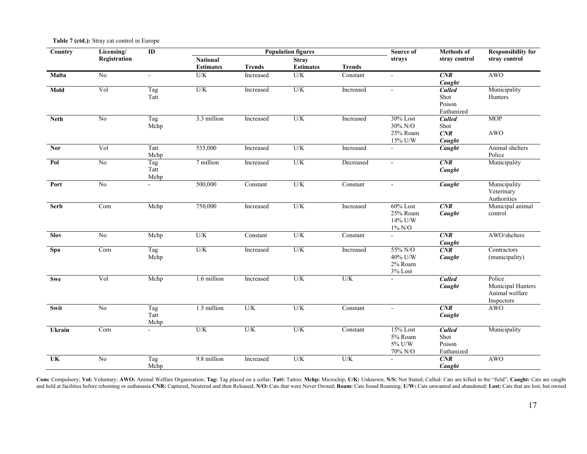|  | Table 7 (ctd.): Stray cat control in Europe |
|--|---------------------------------------------|
|--|---------------------------------------------|

| Country                   | Licensing/     | $\overline{ID}$          |                  |               | <b>Population figures</b> |                | Source of                                    | <b>Methods</b> of                             | <b>Responsibility for</b>                                   |
|---------------------------|----------------|--------------------------|------------------|---------------|---------------------------|----------------|----------------------------------------------|-----------------------------------------------|-------------------------------------------------------------|
|                           | Registration   |                          | <b>National</b>  |               | <b>Stray</b>              |                | strays                                       | stray control                                 | stray control                                               |
|                           |                |                          | <b>Estimates</b> | <b>Trends</b> | <b>Estimates</b>          | <b>Trends</b>  |                                              |                                               |                                                             |
| Malta                     | No             | $\sim$                   | U/K              | Increased     | U/K                       | Constant       | $\blacksquare$                               | CNR<br>Caught                                 | <b>AWO</b>                                                  |
| Mold                      | Vol            | Tag<br>Tatt              | $U/K$            | Increased     | U/K                       | Increased      | $\blacksquare$                               | <b>Culled</b><br>Shot<br>Poison<br>Euthanized | Municipality<br>Hunters                                     |
| <b>Neth</b>               | N <sub>0</sub> | Tag<br>Mchp              | 3.3 million      | Increased     | U/K                       | Increased      | 30% Lost<br>30% N/O<br>25% Roam<br>15% U/W   | <b>Culled</b><br>Shot<br>CNR<br>Caught        | <b>MOP</b><br><b>AWO</b>                                    |
| Nor                       | Vol            | Tatt<br>Mchp             | 535,000          | Increased     | $U/K$                     | Increased      | $\overline{a}$                               | Caught                                        | Animal shelters<br>Police                                   |
| Pol                       | N <sub>0</sub> | Tag<br>Tatt<br>Mchp      | 7 million        | Increased     | U/K                       | Decreased      | $\mathbf{r}$                                 | CNR<br>Caught                                 | Municipality                                                |
| Port                      | $\rm No$       | $\blacksquare$           | 500,000          | Constant      | U/K                       | Constant       | $\overline{a}$                               | Caught                                        | Municipality<br>Veterinary<br>Authorities                   |
| <b>Serb</b>               | Com            | Mchp                     | 750,000          | Increased     | U/K                       | Increased      | 60% Lost<br>25% Roam<br>14% U/W<br>$1\%$ N/O | CNR<br>Caught                                 | Municipal animal<br>control                                 |
| <b>Slov</b>               | N <sub>0</sub> | Mchp                     | U/K              | Constant      | U/K                       | Constant       | $\sim$                                       | CNR<br>Caught                                 | AWO/shelters                                                |
| Spa                       | Com            | $\overline{Tag}$<br>Mchp | $U/K$            | Increased     | U/K                       | Increased      | 55% N/O<br>40% U/W<br>2% Roam<br>3% Lost     | CNR<br>Caught                                 | Contractors<br>(municipality)                               |
| Swe                       | Vol            | Mchp                     | 1.6 million      | Increased     | U/K                       | U/K            |                                              | <b>Culled</b><br>Caught                       | Police<br>Municipal Hunters<br>Animal welfare<br>Inspectors |
| Swit                      | N <sub>0</sub> | Tag<br>Tatt<br>Mchp      | 1.5 million      | $U/K$         | U/K                       | Constant       | $\sim$                                       | CNR<br>Caught                                 | <b>AWO</b>                                                  |
| Ukrain                    | Com            | $\equiv$                 | $\mathrm{U/K}$   | U/K           | U/K                       | Constant       | 15% Lost<br>5% Roam<br>5% U/W<br>70% N/O     | <b>Culled</b><br>Shot<br>Poison<br>Euthanized | Municipality                                                |
| $\overline{\mathbf{U}}$ K | N <sub>0</sub> | Tag<br>Mchp              | 9.8 million      | Increased     | U/K                       | $\mathrm{U/K}$ | $\blacksquare$                               | CNR<br>Caught                                 | <b>AWO</b>                                                  |

Com: Compulsory; Vol: Voluntary; AWO: Animal Welfare Organisation; Tag: Tag placed on a collar; Tatt: Tattoo; Mchp: Microchip; U/K: Unknown; N/S: Not Stated; Culled: Cats are killed in the "field"; Caught: Cats are caught and held at facilities before rehoming or euthanasia CNR: Captured, Neutered and then Released; N/O: Cats that were Never Owned; Roam: Cats found Roaming; U/W: Cats unwanted and abandoned; Lost: Cats that are lost, but own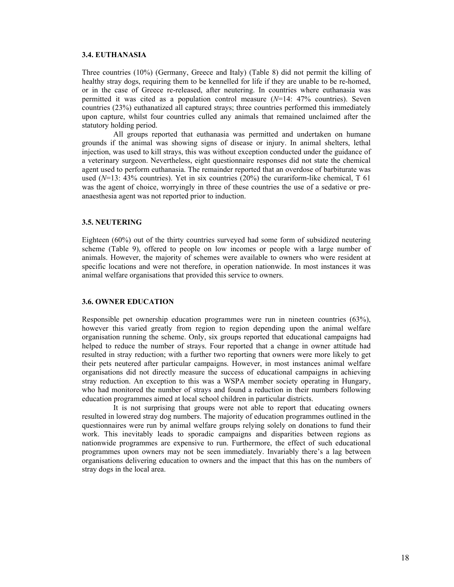#### **3.4. EUTHANASIA**

Three countries (10%) (Germany, Greece and Italy) (Table 8) did not permit the killing of healthy stray dogs, requiring them to be kennelled for life if they are unable to be re-homed, or in the case of Greece re-released, after neutering. In countries where euthanasia was permitted it was cited as a population control measure (*N*=14: 47% countries). Seven countries (23%) euthanatized all captured strays; three countries performed this immediately upon capture, whilst four countries culled any animals that remained unclaimed after the statutory holding period.

 All groups reported that euthanasia was permitted and undertaken on humane grounds if the animal was showing signs of disease or injury. In animal shelters, lethal injection, was used to kill strays, this was without exception conducted under the guidance of a veterinary surgeon. Nevertheless, eight questionnaire responses did not state the chemical agent used to perform euthanasia. The remainder reported that an overdose of barbiturate was used  $(N=13: 43\%$  countries). Yet in six countries  $(20\%)$  the curariform-like chemical, T 61 was the agent of choice, worryingly in three of these countries the use of a sedative or preanaesthesia agent was not reported prior to induction.

## **3.5. NEUTERING**

Eighteen (60%) out of the thirty countries surveyed had some form of subsidized neutering scheme (Table 9), offered to people on low incomes or people with a large number of animals. However, the majority of schemes were available to owners who were resident at specific locations and were not therefore, in operation nationwide. In most instances it was animal welfare organisations that provided this service to owners.

## **3.6. OWNER EDUCATION**

Responsible pet ownership education programmes were run in nineteen countries (63%), however this varied greatly from region to region depending upon the animal welfare organisation running the scheme. Only, six groups reported that educational campaigns had helped to reduce the number of strays. Four reported that a change in owner attitude had resulted in stray reduction; with a further two reporting that owners were more likely to get their pets neutered after particular campaigns. However, in most instances animal welfare organisations did not directly measure the success of educational campaigns in achieving stray reduction. An exception to this was a WSPA member society operating in Hungary, who had monitored the number of strays and found a reduction in their numbers following education programmes aimed at local school children in particular districts.

 It is not surprising that groups were not able to report that educating owners resulted in lowered stray dog numbers. The majority of education programmes outlined in the questionnaires were run by animal welfare groups relying solely on donations to fund their work. This inevitably leads to sporadic campaigns and disparities between regions as nationwide programmes are expensive to run. Furthermore, the effect of such educational programmes upon owners may not be seen immediately. Invariably there's a lag between organisations delivering education to owners and the impact that this has on the numbers of stray dogs in the local area.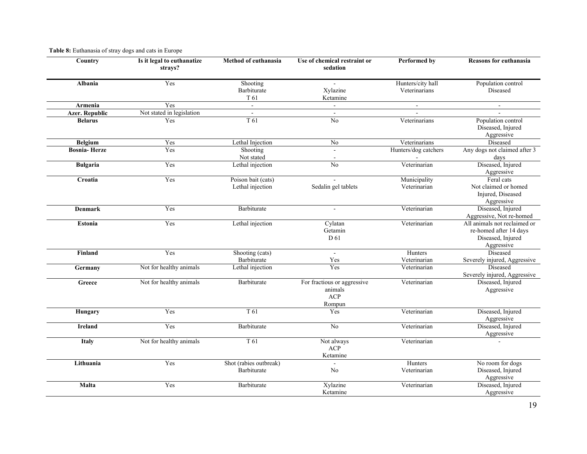| Country               | Is it legal to euthanatize<br>strays? | Method of euthanasia                   | Use of chemical restraint or<br>sedation                | Performed by                       | <b>Reasons for euthanasia</b>                                                             |
|-----------------------|---------------------------------------|----------------------------------------|---------------------------------------------------------|------------------------------------|-------------------------------------------------------------------------------------------|
| <b>Albania</b>        | Yes                                   | Shooting<br>Barbiturate<br>T 61        | Xylazine<br>Ketamine                                    | Hunters/city hall<br>Veterinarians | Population control<br>Diseased                                                            |
| Armenia               | Yes                                   | $\omega$                               |                                                         | $\blacksquare$                     | $\blacksquare$                                                                            |
| <b>Azer. Republic</b> | Not stated in legislation             | $\sim$                                 | $\sim$                                                  |                                    |                                                                                           |
| <b>Belarus</b>        | Yes                                   | T <sub>61</sub>                        | No                                                      | Veterinarians                      | Population control<br>Diseased, Injured<br>Aggressive                                     |
| <b>Belgium</b>        | Yes                                   | Lethal Injection                       | $\overline{No}$                                         | Veterinarians                      | Diseased                                                                                  |
| <b>Bosnia-Herze</b>   | Yes                                   | Shooting<br>Not stated                 | $\overline{a}$                                          | Hunters/dog catchers               | Any dogs not claimed after 3<br>days                                                      |
| <b>Bulgaria</b>       | Yes                                   | Lethal injection                       | $\overline{No}$                                         | Veterinarian                       | Diseased, Injured<br>Aggressive                                                           |
| Croatia               | Yes                                   | Poison bait (cats)<br>Lethal injection | Sedalin gel tablets                                     | Municipality<br>Veterinarian       | Feral cats<br>Not claimed or homed<br>Injured, Diseased<br>Aggressive                     |
| <b>Denmark</b>        | Yes                                   | Barbiturate                            | $\overline{a}$                                          | Veterinarian                       | Diseased, Injured<br>Aggressive, Not re-homed                                             |
| <b>Estonia</b>        | Yes                                   | Lethal injection                       | Cylatan<br>Getamin<br>D 61                              | Veterinarian                       | All animals not reclaimed or<br>re-homed after 14 days<br>Diseased, Injured<br>Aggressive |
| Finland               | Yes                                   | Shooting (cats)                        | $\overline{a}$                                          | Hunters                            | Diseased                                                                                  |
|                       |                                       | Barbiturate                            | Yes                                                     | Veterinarian                       | Severely injured, Aggressive                                                              |
| Germany               | Not for healthy animals               | Lethal injection                       | Yes                                                     | Veterinarian                       | Diseased<br>Severely injured, Aggressive                                                  |
| Greece                | Not for healthy animals               | Barbiturate                            | For fractious or aggressive<br>animals<br>ACP<br>Rompun | Veterinarian                       | Diseased, Injured<br>Aggressive                                                           |
| Hungary               | Yes                                   | T 61                                   | Yes                                                     | Veterinarian                       | Diseased, Injured<br>Aggressive                                                           |
| <b>Ireland</b>        | Yes                                   | Barbiturate                            | No                                                      | Veterinarian                       | Diseased, Injured<br>Aggressive                                                           |
| Italy                 | Not for healthy animals               | T 61                                   | Not always<br>ACP<br>Ketamine                           | Veterinarian                       |                                                                                           |
| Lithuania             | Yes                                   | Shot (rabies outbreak)<br>Barbiturate  | No                                                      | Hunters<br>Veterinarian            | No room for dogs<br>Diseased, Injured<br>Aggressive                                       |
| Malta                 | Yes                                   | Barbiturate                            | Xylazine<br>Ketamine                                    | Veterinarian                       | Diseased, Injured<br>Aggressive                                                           |

## **Table 8:** Euthanasia of stray dogs and cats in Europe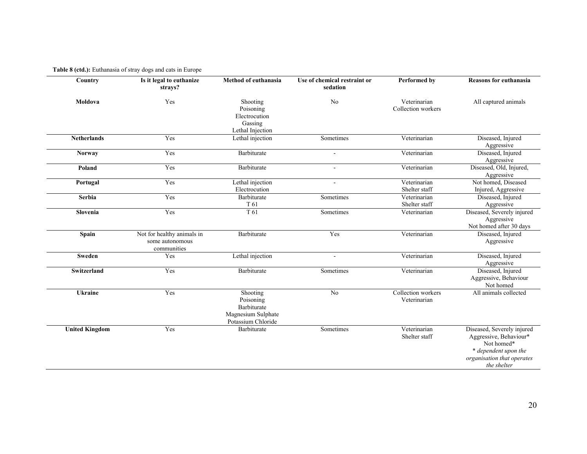## **Table 8 (ctd.):** Euthanasia of stray dogs and cats in Europe

| Country               | Is it legal to euthanize<br>strays?                          | Method of euthanasia                                                             | Use of chemical restraint or<br>sedation | Performed by                       | <b>Reasons for euthanasia</b>                                                                                                           |
|-----------------------|--------------------------------------------------------------|----------------------------------------------------------------------------------|------------------------------------------|------------------------------------|-----------------------------------------------------------------------------------------------------------------------------------------|
| Moldova               | Yes                                                          | Shooting<br>Poisoning<br>Electrocution<br>Gassing<br>Lethal Injection            | N <sub>0</sub>                           | Veterinarian<br>Collection workers | All captured animals                                                                                                                    |
| <b>Netherlands</b>    | Yes                                                          | Lethal injection                                                                 | Sometimes                                | Veterinarian                       | Diseased, Injured<br>Aggressive                                                                                                         |
| Norway                | Yes                                                          | Barbiturate                                                                      |                                          | Veterinarian                       | Diseased, Injured<br>Aggressive                                                                                                         |
| Poland                | Yes                                                          | Barbiturate                                                                      | $\sim$                                   | Veterinarian                       | Diseased, Old, Injured,<br>Aggressive                                                                                                   |
| Portugal              | Yes                                                          | Lethal injection<br>Electrocution                                                | $\sim$                                   | Veterinarian<br>Shelter staff      | Not homed, Diseased<br>Injured, Aggressive                                                                                              |
| Serbia                | Yes                                                          | Barbiturate<br>T 61                                                              | Sometimes                                | Veterinarian<br>Shelter staff      | Diseased, Injured<br>Aggressive                                                                                                         |
| Slovenia              | Yes                                                          | T <sub>61</sub>                                                                  | Sometimes                                | Veterinarian                       | Diseased, Severely injured<br>Aggressive<br>Not homed after 30 days                                                                     |
| <b>Spain</b>          | Not for healthy animals in<br>some autonomous<br>communities | Barbiturate                                                                      | Yes                                      | Veterinarian                       | Diseased, Injured<br>Aggressive                                                                                                         |
| <b>Sweden</b>         | Yes                                                          | Lethal injection                                                                 |                                          | Veterinarian                       | Diseased, Injured<br>Aggressive                                                                                                         |
| Switzerland           | Yes                                                          | Barbiturate                                                                      | Sometimes                                | Veterinarian                       | Diseased, Injured<br>Aggressive, Behaviour<br>Not homed                                                                                 |
| <b>Ukraine</b>        | Yes                                                          | Shooting<br>Poisoning<br>Barbiturate<br>Magnesium Sulphate<br>Potassium Chloride | No                                       | Collection workers<br>Veterinarian | All animals collected                                                                                                                   |
| <b>United Kingdom</b> | Yes                                                          | Barbiturate                                                                      | Sometimes                                | Veterinarian<br>Shelter staff      | Diseased, Severely injured<br>Aggressive, Behaviour*<br>Not homed*<br>* dependent upon the<br>organisation that operates<br>the shelter |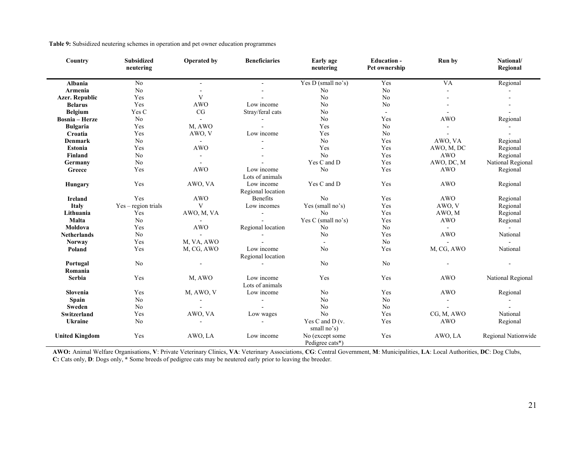|  |  | Table 9: Subsidized neutering schemes in operation and pet owner education programmes |  |
|--|--|---------------------------------------------------------------------------------------|--|
|  |  |                                                                                       |  |

| Country               | <b>Subsidized</b><br>neutering | <b>Operated by</b> | <b>Beneficiaries</b>            | Early age<br>neutering             | <b>Education -</b><br>Pet ownership | Run by     | National/<br>Regional |
|-----------------------|--------------------------------|--------------------|---------------------------------|------------------------------------|-------------------------------------|------------|-----------------------|
| <b>Albania</b>        | No                             |                    |                                 | Yes D (small $\overline{no's}$ )   | Yes                                 | <b>VA</b>  | Regional              |
| Armenia               | N <sub>o</sub>                 |                    |                                 | N <sub>o</sub>                     | N <sub>o</sub>                      |            |                       |
| <b>Azer. Republic</b> | Yes                            | V                  |                                 | No                                 | N <sub>o</sub>                      |            |                       |
| <b>Belarus</b>        | Yes                            | <b>AWO</b>         | Low income                      | No                                 | N <sub>o</sub>                      |            |                       |
| <b>Belgium</b>        | Yes C                          | CG                 | Stray/feral cats                | No                                 | $\sim$                              |            |                       |
| <b>Bosnia</b> - Herze | No                             |                    |                                 | No                                 | Yes                                 | <b>AWO</b> | Regional              |
| <b>Bulgaria</b>       | Yes                            | M, AWO             |                                 | Yes                                | $\rm No$                            |            |                       |
| Croatia               | Yes                            | AWO, V             | Low income                      | Yes                                | $\rm No$                            |            |                       |
| <b>Denmark</b>        | No                             | $\mathbf{r}$       |                                 | No                                 | Yes                                 | AWO, VA    | Regional              |
| Estonia               | Yes                            | <b>AWO</b>         |                                 | Yes                                | Yes                                 | AWO, M, DC | Regional              |
| Finland               | No                             |                    |                                 | N <sub>0</sub>                     | Yes                                 | <b>AWO</b> | Regional              |
| Germany               | No                             |                    |                                 | Yes C and D                        | Yes                                 | AWO, DC, M | National Regional     |
| Greece                | Yes                            | <b>AWO</b>         | Low income<br>Lots of animals   | No                                 | Yes                                 | <b>AWO</b> | Regional              |
| <b>Hungary</b>        | Yes                            | AWO, VA            | Low income<br>Regional location | Yes C and D                        | Yes                                 | <b>AWO</b> | Regional              |
| <b>Ireland</b>        | Yes                            | <b>AWO</b>         | <b>Benefits</b>                 | No                                 | Yes                                 | <b>AWO</b> | Regional              |
| <b>Italy</b>          | $Yes - region trials$          | V                  | Low incomes                     | Yes (small no's)                   | Yes                                 | AWO, V     | Regional              |
| Lithuania             | Yes                            | AWO, M, VA         | $\sim$                          | No                                 | Yes                                 | AWO, M     | Regional              |
| Malta                 | N <sub>0</sub>                 |                    |                                 | Yes C (small no's)                 | Yes                                 | <b>AWO</b> | Regional              |
| Moldova               | Yes                            | <b>AWO</b>         | Regional location               | No                                 | N <sub>0</sub>                      |            | $\Delta$              |
| <b>Netherlands</b>    | No                             |                    |                                 | No                                 | Yes                                 | <b>AWO</b> | National              |
| <b>Norway</b>         | Yes                            | M, VA, AWO         |                                 | $\sim$                             | $\rm No$                            |            | $\overline{a}$        |
| Poland                | Yes                            | M, CG, AWO         | Low income<br>Regional location | No                                 | Yes                                 | M, CG, AWO | National              |
| Portugal              | N <sub>0</sub>                 |                    |                                 | No                                 | No                                  |            |                       |
| Romania               |                                |                    |                                 |                                    |                                     |            |                       |
| <b>Serbia</b>         | Yes                            | M, AWO             | Low income<br>Lots of animals   | Yes                                | Yes                                 | <b>AWO</b> | National Regional     |
| Slovenia              | Yes                            | M, AWO, V          | Low income                      | No                                 | Yes                                 | <b>AWO</b> | Regional              |
| <b>Spain</b>          | No                             |                    | $\blacksquare$                  | No                                 | $\rm No$                            |            |                       |
| Sweden                | No                             |                    |                                 | No                                 | N <sub>o</sub>                      |            |                       |
| <b>Switzerland</b>    | Yes                            | AWO, VA            | Low wages                       | No                                 | Yes                                 | CG, M, AWO | National              |
| <b>Ukraine</b>        | N <sub>o</sub>                 |                    |                                 | Yes C and D $(v.$<br>small no's)   | Yes                                 | <b>AWO</b> | Regional              |
| <b>United Kingdom</b> | Yes                            | AWO, LA            | Low income                      | No (except some<br>Pedigree cats*) | Yes                                 | AWO, LA    | Regional Nationwide   |

**AWO:** Animal Welfare Organisations, **V**: Private Veterinary Clinics, **VA**: Veterinary Associations, **CG**: Central Government, **M**: Municipalities, **LA**: Local Authorities, **DC**: Dog Clubs, **C:** Cats only, **D**: Dogs only, **\*** Some breeds of pedigree cats may be neutered early prior to leaving the breeder.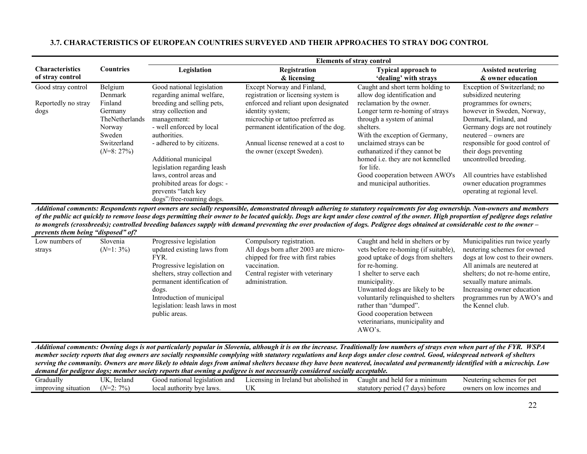|                                            |                                                                                        |                                                                                                                                                                                                                                                                                                                 |                                                                                                                                                                                                           | <b>Elements of stray control</b>                                                                                                                                                                                                                                                                                         |                                                                                                                                                                                                                                                                                                                                |
|--------------------------------------------|----------------------------------------------------------------------------------------|-----------------------------------------------------------------------------------------------------------------------------------------------------------------------------------------------------------------------------------------------------------------------------------------------------------------|-----------------------------------------------------------------------------------------------------------------------------------------------------------------------------------------------------------|--------------------------------------------------------------------------------------------------------------------------------------------------------------------------------------------------------------------------------------------------------------------------------------------------------------------------|--------------------------------------------------------------------------------------------------------------------------------------------------------------------------------------------------------------------------------------------------------------------------------------------------------------------------------|
| <b>Characteristics</b><br>of stray control | <b>Countries</b>                                                                       | Legislation                                                                                                                                                                                                                                                                                                     | Registration<br>& licensing                                                                                                                                                                               | <b>Typical approach to</b><br>'dealing' with strays                                                                                                                                                                                                                                                                      | <b>Assisted neutering</b><br>& owner education                                                                                                                                                                                                                                                                                 |
| Good stray control                         | Belgium<br>Denmark                                                                     | Good national legislation<br>regarding animal welfare,                                                                                                                                                                                                                                                          | Except Norway and Finland,<br>registration or licensing system is                                                                                                                                         | Caught and short term holding to<br>allow dog identification and                                                                                                                                                                                                                                                         | Exception of Switzerland; no<br>subsidized neutering                                                                                                                                                                                                                                                                           |
| Reportedly no stray<br>dogs                | Finland<br>Germany<br>TheNetherlands<br>Norway<br>Sweden<br>Switzerland<br>$(N=8:27%)$ | breeding and selling pets,<br>stray collection and<br>management:<br>- well enforced by local<br>authorities.<br>- adhered to by citizens.<br>Additional municipal<br>legislation regarding leash<br>laws, control areas and<br>prohibited areas for dogs: -<br>prevents "latch key<br>dogs"/free-roaming dogs. | enforced and reliant upon designated<br>identity system;<br>microchip or tattoo preferred as<br>permanent identification of the dog.<br>Annual license renewed at a cost to<br>the owner (except Sweden). | reclamation by the owner.<br>Longer term re-homing of strays<br>through a system of animal<br>shelters.<br>With the exception of Germany,<br>unclaimed strays can be<br>euthanatized if they cannot be<br>homed i.e. they are not kennelled<br>for life.<br>Good cooperation between AWO's<br>and municipal authorities. | programmes for owners;<br>however in Sweden, Norway,<br>Denmark, Finland, and<br>Germany dogs are not routinely<br>neutered – owners are<br>responsible for good control of<br>their dogs preventing<br>uncontrolled breeding.<br>All countries have established<br>owner education programmes<br>operating at regional level. |

## **3.7. CHARACTERISTICS OF EUROPEAN COUNTRIES SURVEYED AND THEIR APPROACHES TO STRAY DOG CONTROL**

*Additional comments: Respondents report owners are socially responsible, demonstrated through adhering to statutory requirements for dog ownership. Non-owners and members of the public act quickly to remove loose dogs permitting their owner to be located quickly. Dogs are kept under close control of the owner. High proportion of pedigree dogs relative to mongrels (crossbreeds); controlled breeding balances supply with demand preventing the over production of dogs. Pedigree dogs obtained at considerable cost to the owner – prevents them being "disposed" of?* 

| Low numbers of | Slovenia    | Progressive legislation         | Compulsory registration.            | Caught and held in shelters or by    | Municipalities run twice yearly   |
|----------------|-------------|---------------------------------|-------------------------------------|--------------------------------------|-----------------------------------|
| strays         | $(N=1:3\%)$ | updated existing laws from      | All dogs born after 2003 are micro- | vets before re-homing (if suitable), | neutering schemes for owned       |
|                |             | FYR.                            | chipped for free with first rabies  | good uptake of dogs from shelters    | dogs at low cost to their owners. |
|                |             | Progressive legislation on      | vaccination.                        | for re-homing.                       | All animals are neutered at       |
|                |             | shelters, stray collection and  | Central register with veterinary    | l shelter to serve each              | shelters; do not re-home entire.  |
|                |             | permanent identification of     | administration.                     | municipality.                        | sexually mature animals.          |
|                |             | dogs.                           |                                     | Unwanted dogs are likely to be       | Increasing owner education        |
|                |             | Introduction of municipal       |                                     | voluntarily relinquished to shelters | programmes run by AWO's and       |
|                |             | legislation: leash laws in most |                                     | rather than "dumped".                | the Kennel club.                  |
|                |             | public areas.                   |                                     | Good cooperation between             |                                   |
|                |             |                                 |                                     | veterinarians, municipality and      |                                   |
|                |             |                                 |                                     | AWO's.                               |                                   |

*Additional comments: Owning dogs is not particularly popular in Slovenia, although it is on the increase. Traditionally low numbers of strays even when part of the FYR. WSPA member society reports that dog owners are socially responsible complying with statutory regulations and keep dogs under close control. Good, widespread network of shelters serving the community. Owners are more likely to obtain dogs from animal shelters because they have been neutered, inoculated and permanently identified with a microchip. Low demand for pedigree dogs; member society reports that owning a pedigree is not necessarily considered socially acceptable.*

| $\tilde{\phantom{a}}$<br>əradually | г тт.<br>Ireland | legisl<br>ı anc<br>Good national<br>ation | abolished in t<br>Licensing in<br>but<br>eland | minimum<br>Caught and<br>aeld tor a     | schemes for pet<br>Neutering                  |
|------------------------------------|------------------|-------------------------------------------|------------------------------------------------|-----------------------------------------|-----------------------------------------------|
| <i>improving</i><br>situation      | 70/01<br>$N=$    | laws<br>7rity<br><b>b</b> v<br>loca.      | * TEZ<br>UN                                    | before<br>r period<br>davs<br>statutory | incomes and<br>. on<br>low<br>owner<br>$\sim$ |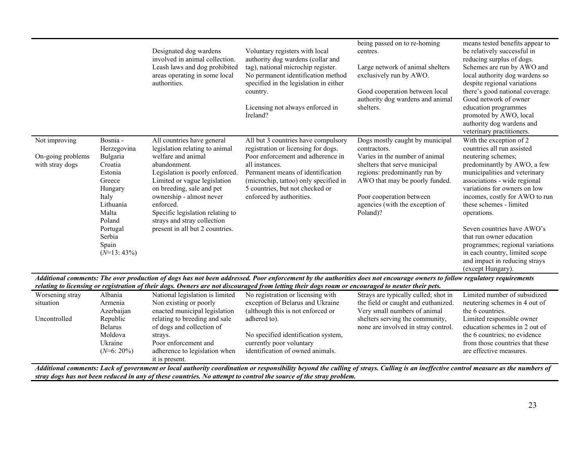|                                                       |                                                                                                                                                                         | Designated dog wardens<br>involved in animal collection.<br>Leash laws and dog prohibited<br>areas operating in some local<br>authorities.                                                                                                                                                                                                        | Voluntary registers with local<br>authority dog wardens (collar and<br>tag), national microchip register.<br>No permanent identification method<br>specified in the legislation in either<br>country.<br>Licensing not always enforced in<br>Ireland?                                                                        | being passed on to re-homing<br>centres.<br>Large network of animal shelters<br>exclusively run by AWO.<br>Good cooperation between local<br>authority dog wardens and animal<br>shelters.                                                                       | means tested benefits appear to<br>be relatively successful in<br>reducing surplus of dogs.<br>Schemes are run by AWO and<br>local authority dog wardens so<br>despite regional variations<br>there's good national coverage.<br>Good network of owner<br>education programmes<br>promoted by AWO, local<br>authority dog wardens and<br>veterinary practitioners.                                                                                                           |
|-------------------------------------------------------|-------------------------------------------------------------------------------------------------------------------------------------------------------------------------|---------------------------------------------------------------------------------------------------------------------------------------------------------------------------------------------------------------------------------------------------------------------------------------------------------------------------------------------------|------------------------------------------------------------------------------------------------------------------------------------------------------------------------------------------------------------------------------------------------------------------------------------------------------------------------------|------------------------------------------------------------------------------------------------------------------------------------------------------------------------------------------------------------------------------------------------------------------|------------------------------------------------------------------------------------------------------------------------------------------------------------------------------------------------------------------------------------------------------------------------------------------------------------------------------------------------------------------------------------------------------------------------------------------------------------------------------|
| Not improving<br>On-going problems<br>with stray dogs | Bosnia -<br>Herzegovina<br>Bulgaria<br>Croatia<br>Estonia<br>Greece<br>Hungary<br>Italy<br>Lithuania<br>Malta<br>Poland<br>Portugal<br>Serbia<br>Spain<br>$(N=13:43\%)$ | All countries have general<br>legislation relating to animal<br>welfare and animal<br>abandonment.<br>Legislation is poorly enforced.<br>Limited or vague legislation<br>on breeding, sale and pet<br>ownership - almost never<br>enforced.<br>Specific legislation relating to<br>strays and stray collection<br>present in all but 2 countries. | All but 3 countries have compulsory<br>registration or licensing for dogs.<br>Poor enforcement and adherence in<br>all instances.<br>Permanent means of identification<br>(microchip, tattoo) only specified in<br>5 countries, but not checked or<br>enforced by authorities.                                               | Dogs mostly caught by municipal<br>contractors.<br>Varies in the number of animal<br>shelters that serve municipal<br>regions: predominantly run by<br>AWO that may be poorly funded.<br>Poor cooperation between<br>agencies (with the exception of<br>Poland)? | With the exception of 2<br>countries all run assisted<br>neutering schemes;<br>predominantly by AWO, a few<br>municipalities and veterinary<br>associations - wide regional<br>variations for owners on low<br>incomes, costly for AWO to run<br>these schemes - limited<br>operations.<br>Seven countries have AWO's<br>that run owner education<br>programmes; regional variations<br>in each country, limited scope<br>and impact in reducing strays<br>(except Hungary). |
|                                                       |                                                                                                                                                                         |                                                                                                                                                                                                                                                                                                                                                   | Additional comments: The over production of dogs has not been addressed. Poor enforcement by the authorities does not encourage owners to follow regulatory requirements<br>relating to licensing or registration of their dogs. Owners are not discouraged from letting their dogs roam or encouraged to neuter their pets. |                                                                                                                                                                                                                                                                  |                                                                                                                                                                                                                                                                                                                                                                                                                                                                              |
| Worsening stray<br>situation                          | Albania<br>Armenia<br>Azerbaijan                                                                                                                                        | National legislation is limited<br>Non existing or poorly<br>enacted municipal legislation                                                                                                                                                                                                                                                        | No registration or licensing with<br>exception of Belarus and Ukraine<br>(although this is not enforced or                                                                                                                                                                                                                   | Strays are typically culled; shot in<br>the field or caught and euthanized.<br>Very small numbers of animal                                                                                                                                                      | Limited number of subsidized<br>neutering schemes in 4 out of<br>the 6 countries.                                                                                                                                                                                                                                                                                                                                                                                            |
| Uncontrolled                                          | Republic                                                                                                                                                                | relating to breeding and sale                                                                                                                                                                                                                                                                                                                     | adhered to).                                                                                                                                                                                                                                                                                                                 | shelters serving the community,                                                                                                                                                                                                                                  | Limited responsible owner                                                                                                                                                                                                                                                                                                                                                                                                                                                    |

No specified identification system,

none are involved in stray control.

identification of owned animals.

*Additional comments: Lack of government or local authority coordination or responsibility beyond the culling of strays. Culling is an ineffective control measure as the numbers of* 

currently poor voluntary

Belarus Moldova Ukraine (*N*=6: 20%) of dogs and collection of

Poor enforcement and adherence to legislation when

strays.

it is present.

education schemes in 2 out of the 6 countries; no evidence from those countries that these are effective measures.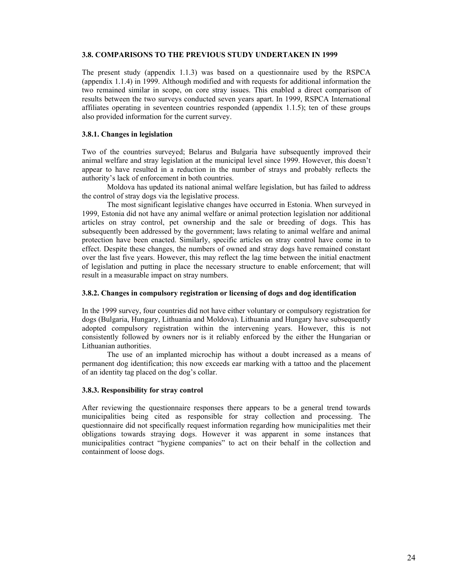#### **3.8. COMPARISONS TO THE PREVIOUS STUDY UNDERTAKEN IN 1999**

The present study (appendix 1.1.3) was based on a questionnaire used by the RSPCA (appendix 1.1.4) in 1999. Although modified and with requests for additional information the two remained similar in scope, on core stray issues. This enabled a direct comparison of results between the two surveys conducted seven years apart. In 1999, RSPCA International affiliates operating in seventeen countries responded (appendix 1.1.5); ten of these groups also provided information for the current survey.

## **3.8.1. Changes in legislation**

Two of the countries surveyed; Belarus and Bulgaria have subsequently improved their animal welfare and stray legislation at the municipal level since 1999. However, this doesn't appear to have resulted in a reduction in the number of strays and probably reflects the authority's lack of enforcement in both countries.

 Moldova has updated its national animal welfare legislation, but has failed to address the control of stray dogs via the legislative process.

 The most significant legislative changes have occurred in Estonia. When surveyed in 1999, Estonia did not have any animal welfare or animal protection legislation nor additional articles on stray control, pet ownership and the sale or breeding of dogs. This has subsequently been addressed by the government; laws relating to animal welfare and animal protection have been enacted. Similarly, specific articles on stray control have come in to effect. Despite these changes, the numbers of owned and stray dogs have remained constant over the last five years. However, this may reflect the lag time between the initial enactment of legislation and putting in place the necessary structure to enable enforcement; that will result in a measurable impact on stray numbers.

#### **3.8.2. Changes in compulsory registration or licensing of dogs and dog identification**

In the 1999 survey, four countries did not have either voluntary or compulsory registration for dogs (Bulgaria, Hungary, Lithuania and Moldova). Lithuania and Hungary have subsequently adopted compulsory registration within the intervening years. However, this is not consistently followed by owners nor is it reliably enforced by the either the Hungarian or Lithuanian authorities.

 The use of an implanted microchip has without a doubt increased as a means of permanent dog identification; this now exceeds ear marking with a tattoo and the placement of an identity tag placed on the dog's collar.

#### **3.8.3. Responsibility for stray control**

After reviewing the questionnaire responses there appears to be a general trend towards municipalities being cited as responsible for stray collection and processing. The questionnaire did not specifically request information regarding how municipalities met their obligations towards straying dogs. However it was apparent in some instances that municipalities contract "hygiene companies" to act on their behalf in the collection and containment of loose dogs.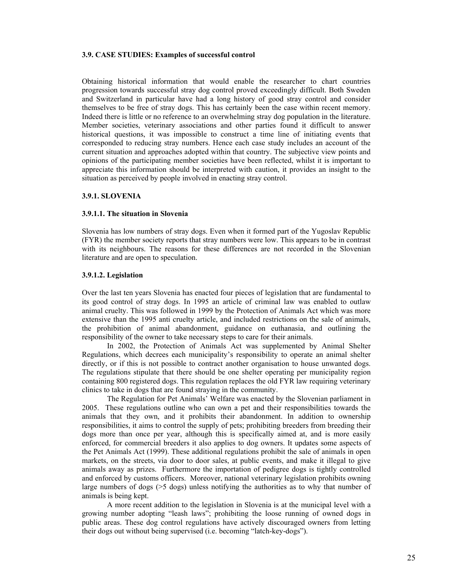#### **3.9. CASE STUDIES: Examples of successful control**

Obtaining historical information that would enable the researcher to chart countries progression towards successful stray dog control proved exceedingly difficult. Both Sweden and Switzerland in particular have had a long history of good stray control and consider themselves to be free of stray dogs. This has certainly been the case within recent memory. Indeed there is little or no reference to an overwhelming stray dog population in the literature. Member societies, veterinary associations and other parties found it difficult to answer historical questions, it was impossible to construct a time line of initiating events that corresponded to reducing stray numbers. Hence each case study includes an account of the current situation and approaches adopted within that country. The subjective view points and opinions of the participating member societies have been reflected, whilst it is important to appreciate this information should be interpreted with caution, it provides an insight to the situation as perceived by people involved in enacting stray control.

#### **3.9.1. SLOVENIA**

#### **3.9.1.1. The situation in Slovenia**

Slovenia has low numbers of stray dogs. Even when it formed part of the Yugoslav Republic (FYR) the member society reports that stray numbers were low. This appears to be in contrast with its neighbours. The reasons for these differences are not recorded in the Slovenian literature and are open to speculation.

#### **3.9.1.2. Legislation**

Over the last ten years Slovenia has enacted four pieces of legislation that are fundamental to its good control of stray dogs. In 1995 an article of criminal law was enabled to outlaw animal cruelty. This was followed in 1999 by the Protection of Animals Act which was more extensive than the 1995 anti cruelty article, and included restrictions on the sale of animals, the prohibition of animal abandonment, guidance on euthanasia, and outlining the responsibility of the owner to take necessary steps to care for their animals.

 In 2002, the Protection of Animals Act was supplemented by Animal Shelter Regulations, which decrees each municipality's responsibility to operate an animal shelter directly, or if this is not possible to contract another organisation to house unwanted dogs. The regulations stipulate that there should be one shelter operating per municipality region containing 800 registered dogs. This regulation replaces the old FYR law requiring veterinary clinics to take in dogs that are found straying in the community.

 The Regulation for Pet Animals' Welfare was enacted by the Slovenian parliament in 2005. These regulations outline who can own a pet and their responsibilities towards the animals that they own, and it prohibits their abandonment. In addition to ownership responsibilities, it aims to control the supply of pets; prohibiting breeders from breeding their dogs more than once per year, although this is specifically aimed at, and is more easily enforced, for commercial breeders it also applies to dog owners. It updates some aspects of the Pet Animals Act (1999). These additional regulations prohibit the sale of animals in open markets, on the streets, via door to door sales, at public events, and make it illegal to give animals away as prizes. Furthermore the importation of pedigree dogs is tightly controlled and enforced by customs officers. Moreover, national veterinary legislation prohibits owning large numbers of dogs (>5 dogs) unless notifying the authorities as to why that number of animals is being kept.

 A more recent addition to the legislation in Slovenia is at the municipal level with a growing number adopting "leash laws"; prohibiting the loose running of owned dogs in public areas. These dog control regulations have actively discouraged owners from letting their dogs out without being supervised (i.e. becoming "latch-key-dogs").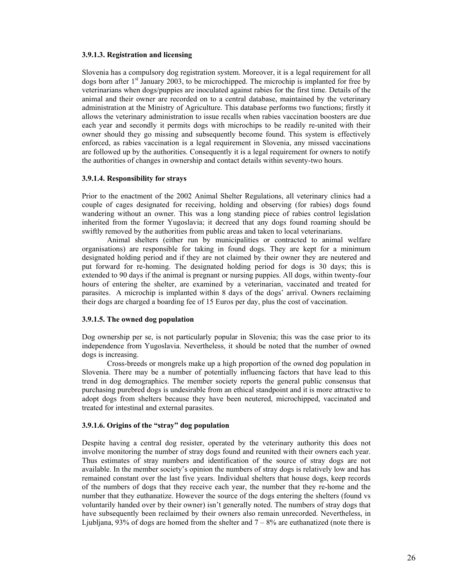#### **3.9.1.3. Registration and licensing**

Slovenia has a compulsory dog registration system. Moreover, it is a legal requirement for all dogs born after 1<sup>st</sup> January 2003, to be microchipped. The microchip is implanted for free by veterinarians when dogs/puppies are inoculated against rabies for the first time. Details of the animal and their owner are recorded on to a central database, maintained by the veterinary administration at the Ministry of Agriculture. This database performs two functions; firstly it allows the veterinary administration to issue recalls when rabies vaccination boosters are due each year and secondly it permits dogs with microchips to be readily re-united with their owner should they go missing and subsequently become found. This system is effectively enforced, as rabies vaccination is a legal requirement in Slovenia, any missed vaccinations are followed up by the authorities. Consequently it is a legal requirement for owners to notify the authorities of changes in ownership and contact details within seventy-two hours.

#### **3.9.1.4. Responsibility for strays**

Prior to the enactment of the 2002 Animal Shelter Regulations, all veterinary clinics had a couple of cages designated for receiving, holding and observing (for rabies) dogs found wandering without an owner. This was a long standing piece of rabies control legislation inherited from the former Yugoslavia; it decreed that any dogs found roaming should be swiftly removed by the authorities from public areas and taken to local veterinarians.

 Animal shelters (either run by municipalities or contracted to animal welfare organisations) are responsible for taking in found dogs. They are kept for a minimum designated holding period and if they are not claimed by their owner they are neutered and put forward for re-homing. The designated holding period for dogs is 30 days; this is extended to 90 days if the animal is pregnant or nursing puppies. All dogs, within twenty-four hours of entering the shelter, are examined by a veterinarian, vaccinated and treated for parasites. A microchip is implanted within 8 days of the dogs' arrival. Owners reclaiming their dogs are charged a boarding fee of 15 Euros per day, plus the cost of vaccination.

## **3.9.1.5. The owned dog population**

Dog ownership per se, is not particularly popular in Slovenia; this was the case prior to its independence from Yugoslavia. Nevertheless, it should be noted that the number of owned dogs is increasing.

 Cross-breeds or mongrels make up a high proportion of the owned dog population in Slovenia. There may be a number of potentially influencing factors that have lead to this trend in dog demographics. The member society reports the general public consensus that purchasing purebred dogs is undesirable from an ethical standpoint and it is more attractive to adopt dogs from shelters because they have been neutered, microchipped, vaccinated and treated for intestinal and external parasites.

## **3.9.1.6. Origins of the "stray" dog population**

Despite having a central dog resister, operated by the veterinary authority this does not involve monitoring the number of stray dogs found and reunited with their owners each year. Thus estimates of stray numbers and identification of the source of stray dogs are not available. In the member society's opinion the numbers of stray dogs is relatively low and has remained constant over the last five years. Individual shelters that house dogs, keep records of the numbers of dogs that they receive each year, the number that they re-home and the number that they euthanatize. However the source of the dogs entering the shelters (found vs voluntarily handed over by their owner) isn't generally noted. The numbers of stray dogs that have subsequently been reclaimed by their owners also remain unrecorded. Nevertheless, in Ljubljana, 93% of dogs are homed from the shelter and  $7 - 8%$  are euthanatized (note there is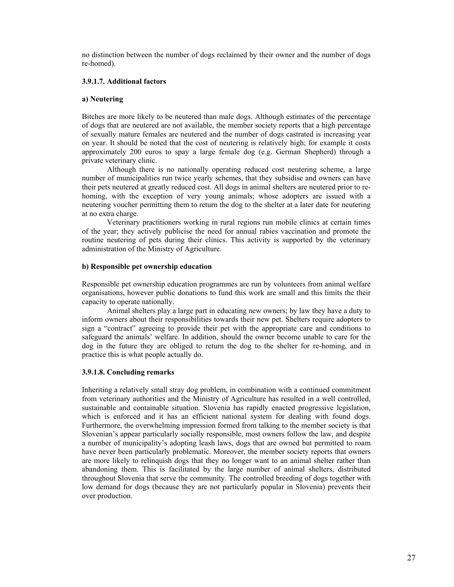no distinction between the number of dogs reclaimed by their owner and the number of dogs re-homed).

## **3.9.1.7. Additional factors**

## **a) Neutering**

Bitches are more likely to be neutered than male dogs. Although estimates of the percentage of dogs that are neutered are not available, the member society reports that a high percentage of sexually mature females are neutered and the number of dogs castrated is increasing year on year. It should be noted that the cost of neutering is relatively high; for example it costs approximately 200 euros to spay a large female dog (e.g. German Shepherd) through a private veterinary clinic.

 Although there is no nationally operating reduced cost neutering scheme, a large number of municipalities run twice yearly schemes, that they subsidise and owners can have their pets neutered at greatly reduced cost. All dogs in animal shelters are neutered prior to rehoming, with the exception of very young animals; whose adopters are issued with a neutering voucher permitting them to return the dog to the shelter at a later date for neutering at no extra charge.

 Veterinary practitioners working in rural regions run mobile clinics at certain times of the year; they actively publicise the need for annual rabies vaccination and promote the routine neutering of pets during their clinics. This activity is supported by the veterinary administration of the Ministry of Agriculture.

## **b) Responsible pet ownership education**

Responsible pet ownership education programmes are run by volunteers from animal welfare organisations, however public donations to fund this work are small and this limits the their capacity to operate nationally.

 Animal shelters play a large part in educating new owners; by law they have a duty to inform owners about their responsibilities towards their new pet. Shelters require adopters to sign a "contract" agreeing to provide their pet with the appropriate care and conditions to safeguard the animals' welfare. In addition, should the owner become unable to care for the dog in the future they are obliged to return the dog to the shelter for re-homing, and in practice this is what people actually do.

## **3.9.1.8. Concluding remarks**

Inheriting a relatively small stray dog problem, in combination with a continued commitment from veterinary authorities and the Ministry of Agriculture has resulted in a well controlled, sustainable and containable situation. Slovenia has rapidly enacted progressive legislation, which is enforced and it has an efficient national system for dealing with found dogs. Furthermore, the overwhelming impression formed from talking to the member society is that Slovenian's appear particularly socially responsible, most owners follow the law, and despite a number of municipality's adopting leash laws, dogs that are owned but permitted to roam have never been particularly problematic. Moreover, the member society reports that owners are more likely to relinquish dogs that they no longer want to an animal shelter rather than abandoning them. This is facilitated by the large number of animal shelters, distributed throughout Slovenia that serve the community. The controlled breeding of dogs together with low demand for dogs (because they are not particularly popular in Slovenia) prevents their over production.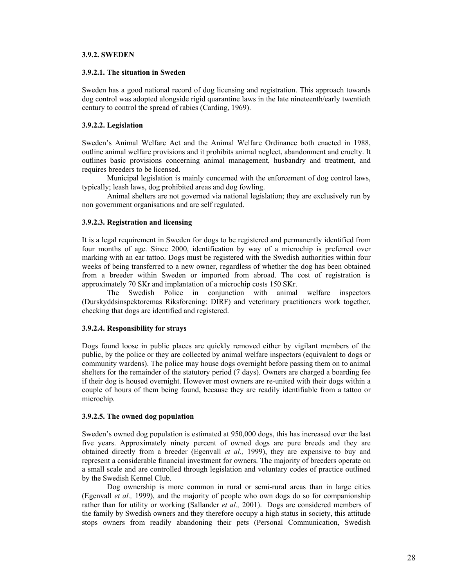## **3.9.2. SWEDEN**

#### **3.9.2.1. The situation in Sweden**

Sweden has a good national record of dog licensing and registration. This approach towards dog control was adopted alongside rigid quarantine laws in the late nineteenth/early twentieth century to control the spread of rabies (Carding, 1969).

#### **3.9.2.2. Legislation**

Sweden's Animal Welfare Act and the Animal Welfare Ordinance both enacted in 1988, outline animal welfare provisions and it prohibits animal neglect, abandonment and cruelty. It outlines basic provisions concerning animal management, husbandry and treatment, and requires breeders to be licensed.

 Municipal legislation is mainly concerned with the enforcement of dog control laws, typically; leash laws, dog prohibited areas and dog fowling.

 Animal shelters are not governed via national legislation; they are exclusively run by non government organisations and are self regulated.

#### **3.9.2.3. Registration and licensing**

It is a legal requirement in Sweden for dogs to be registered and permanently identified from four months of age. Since 2000, identification by way of a microchip is preferred over marking with an ear tattoo. Dogs must be registered with the Swedish authorities within four weeks of being transferred to a new owner, regardless of whether the dog has been obtained from a breeder within Sweden or imported from abroad. The cost of registration is approximately 70 SKr and implantation of a microchip costs 150 SKr.

The Swedish Police in conjunction with animal welfare inspectors (Durskyddsinspektoremas Riksforening: DIRF) and veterinary practitioners work together, checking that dogs are identified and registered.

## **3.9.2.4. Responsibility for strays**

Dogs found loose in public places are quickly removed either by vigilant members of the public, by the police or they are collected by animal welfare inspectors (equivalent to dogs or community wardens). The police may house dogs overnight before passing them on to animal shelters for the remainder of the statutory period (7 days). Owners are charged a boarding fee if their dog is housed overnight. However most owners are re-united with their dogs within a couple of hours of them being found, because they are readily identifiable from a tattoo or microchip.

#### **3.9.2.5. The owned dog population**

Sweden's owned dog population is estimated at 950,000 dogs, this has increased over the last five years. Approximately ninety percent of owned dogs are pure breeds and they are obtained directly from a breeder (Egenvall *et al.,* 1999), they are expensive to buy and represent a considerable financial investment for owners. The majority of breeders operate on a small scale and are controlled through legislation and voluntary codes of practice outlined by the Swedish Kennel Club.

 Dog ownership is more common in rural or semi-rural areas than in large cities (Egenvall *et al.,* 1999), and the majority of people who own dogs do so for companionship rather than for utility or working (Sallander *et al.,* 2001). Dogs are considered members of the family by Swedish owners and they therefore occupy a high status in society, this attitude stops owners from readily abandoning their pets (Personal Communication, Swedish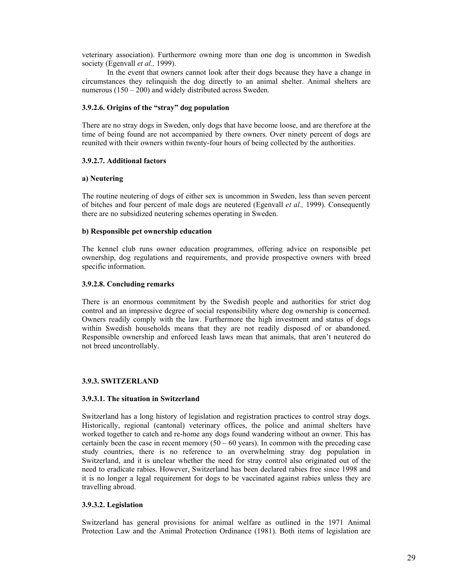veterinary association). Furthermore owning more than one dog is uncommon in Swedish society (Egenvall *et al.,* 1999).

 In the event that owners cannot look after their dogs because they have a change in circumstances they relinquish the dog directly to an animal shelter. Animal shelters are numerous (150 – 200) and widely distributed across Sweden.

## **3.9.2.6. Origins of the "stray" dog population**

There are no stray dogs in Sweden, only dogs that have become loose, and are therefore at the time of being found are not accompanied by there owners. Over ninety percent of dogs are reunited with their owners within twenty-four hours of being collected by the authorities.

## **3.9.2.7. Additional factors**

## **a) Neutering**

The routine neutering of dogs of either sex is uncommon in Sweden, less than seven percent of bitches and four percent of male dogs are neutered (Egenvall *et al.,* 1999). Consequently there are no subsidized neutering schemes operating in Sweden.

## **b) Responsible pet ownership education**

The kennel club runs owner education programmes, offering advice on responsible pet ownership, dog regulations and requirements, and provide prospective owners with breed specific information.

## **3.9.2.8. Concluding remarks**

There is an enormous commitment by the Swedish people and authorities for strict dog control and an impressive degree of social responsibility where dog ownership is concerned. Owners readily comply with the law. Furthermore the high investment and status of dogs within Swedish households means that they are not readily disposed of or abandoned. Responsible ownership and enforced leash laws mean that animals, that aren't neutered do not breed uncontrollably.

## **3.9.3. SWITZERLAND**

## **3.9.3.1. The situation in Switzerland**

Switzerland has a long history of legislation and registration practices to control stray dogs. Historically, regional (cantonal) veterinary offices, the police and animal shelters have worked together to catch and re-home any dogs found wandering without an owner. This has certainly been the case in recent memory  $(50 - 60 \text{ years})$ . In common with the preceding case study countries, there is no reference to an overwhelming stray dog population in Switzerland, and it is unclear whether the need for stray control also originated out of the need to eradicate rabies. However, Switzerland has been declared rabies free since 1998 and it is no longer a legal requirement for dogs to be vaccinated against rabies unless they are travelling abroad.

## **3.9.3.2. Legislation**

Switzerland has general provisions for animal welfare as outlined in the 1971 Animal Protection Law and the Animal Protection Ordinance (1981). Both items of legislation are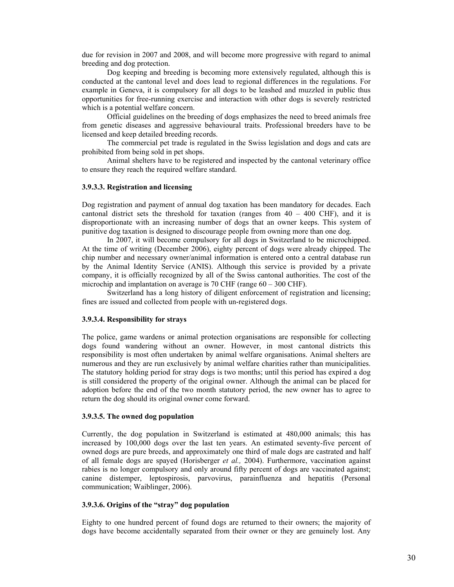due for revision in 2007 and 2008, and will become more progressive with regard to animal breeding and dog protection.

 Dog keeping and breeding is becoming more extensively regulated, although this is conducted at the cantonal level and does lead to regional differences in the regulations. For example in Geneva, it is compulsory for all dogs to be leashed and muzzled in public thus opportunities for free-running exercise and interaction with other dogs is severely restricted which is a potential welfare concern.

 Official guidelines on the breeding of dogs emphasizes the need to breed animals free from genetic diseases and aggressive behavioural traits. Professional breeders have to be licensed and keep detailed breeding records.

 The commercial pet trade is regulated in the Swiss legislation and dogs and cats are prohibited from being sold in pet shops.

 Animal shelters have to be registered and inspected by the cantonal veterinary office to ensure they reach the required welfare standard.

#### **3.9.3.3. Registration and licensing**

Dog registration and payment of annual dog taxation has been mandatory for decades. Each cantonal district sets the threshold for taxation (ranges from  $40 - 400$  CHF), and it is disproportionate with an increasing number of dogs that an owner keeps. This system of punitive dog taxation is designed to discourage people from owning more than one dog.

 In 2007, it will become compulsory for all dogs in Switzerland to be microchipped. At the time of writing (December 2006), eighty percent of dogs were already chipped. The chip number and necessary owner/animal information is entered onto a central database run by the Animal Identity Service (ANIS). Although this service is provided by a private company, it is officially recognized by all of the Swiss cantonal authorities. The cost of the microchip and implantation on average is 70 CHF (range 60 – 300 CHF).

 Switzerland has a long history of diligent enforcement of registration and licensing; fines are issued and collected from people with un-registered dogs.

#### **3.9.3.4. Responsibility for strays**

The police, game wardens or animal protection organisations are responsible for collecting dogs found wandering without an owner. However, in most cantonal districts this responsibility is most often undertaken by animal welfare organisations. Animal shelters are numerous and they are run exclusively by animal welfare charities rather than municipalities. The statutory holding period for stray dogs is two months; until this period has expired a dog is still considered the property of the original owner. Although the animal can be placed for adoption before the end of the two month statutory period, the new owner has to agree to return the dog should its original owner come forward.

#### **3.9.3.5. The owned dog population**

Currently, the dog population in Switzerland is estimated at 480,000 animals; this has increased by 100,000 dogs over the last ten years. An estimated seventy-five percent of owned dogs are pure breeds, and approximately one third of male dogs are castrated and half of all female dogs are spayed (Horisberger *et al.,* 2004). Furthermore, vaccination against rabies is no longer compulsory and only around fifty percent of dogs are vaccinated against; canine distemper, leptospirosis, parvovirus, parainfluenza and hepatitis (Personal communication; Waiblinger, 2006).

#### **3.9.3.6. Origins of the "stray" dog population**

Eighty to one hundred percent of found dogs are returned to their owners; the majority of dogs have become accidentally separated from their owner or they are genuinely lost. Any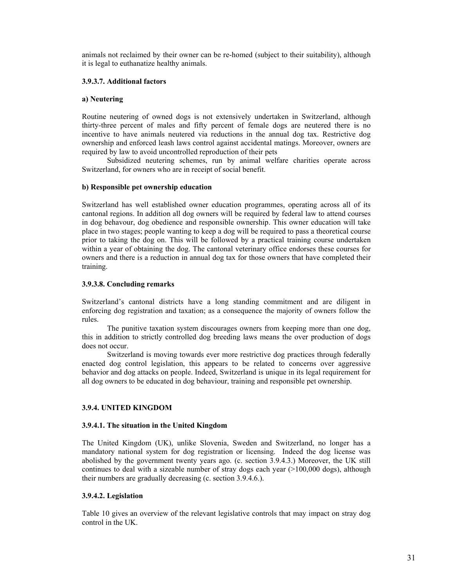animals not reclaimed by their owner can be re-homed (subject to their suitability), although it is legal to euthanatize healthy animals.

## **3.9.3.7. Additional factors**

#### **a) Neutering**

Routine neutering of owned dogs is not extensively undertaken in Switzerland, although thirty-three percent of males and fifty percent of female dogs are neutered there is no incentive to have animals neutered via reductions in the annual dog tax. Restrictive dog ownership and enforced leash laws control against accidental matings. Moreover, owners are required by law to avoid uncontrolled reproduction of their pets

 Subsidized neutering schemes, run by animal welfare charities operate across Switzerland, for owners who are in receipt of social benefit.

#### **b) Responsible pet ownership education**

Switzerland has well established owner education programmes, operating across all of its cantonal regions. In addition all dog owners will be required by federal law to attend courses in dog behavour, dog obedience and responsible ownership. This owner education will take place in two stages; people wanting to keep a dog will be required to pass a theoretical course prior to taking the dog on. This will be followed by a practical training course undertaken within a year of obtaining the dog. The cantonal veterinary office endorses these courses for owners and there is a reduction in annual dog tax for those owners that have completed their training.

#### **3.9.3.8. Concluding remarks**

Switzerland's cantonal districts have a long standing commitment and are diligent in enforcing dog registration and taxation; as a consequence the majority of owners follow the rules.

 The punitive taxation system discourages owners from keeping more than one dog, this in addition to strictly controlled dog breeding laws means the over production of dogs does not occur.

 Switzerland is moving towards ever more restrictive dog practices through federally enacted dog control legislation, this appears to be related to concerns over aggressive behavior and dog attacks on people. Indeed, Switzerland is unique in its legal requirement for all dog owners to be educated in dog behaviour, training and responsible pet ownership.

## **3.9.4. UNITED KINGDOM**

#### **3.9.4.1. The situation in the United Kingdom**

The United Kingdom (UK), unlike Slovenia, Sweden and Switzerland, no longer has a mandatory national system for dog registration or licensing. Indeed the dog license was abolished by the government twenty years ago. (c. section 3.9.4.3.) Moreover, the UK still continues to deal with a sizeable number of stray dogs each year  $(>100,000 \text{ dogs})$ , although their numbers are gradually decreasing (c. section 3.9.4.6.).

## **3.9.4.2. Legislation**

Table 10 gives an overview of the relevant legislative controls that may impact on stray dog control in the UK.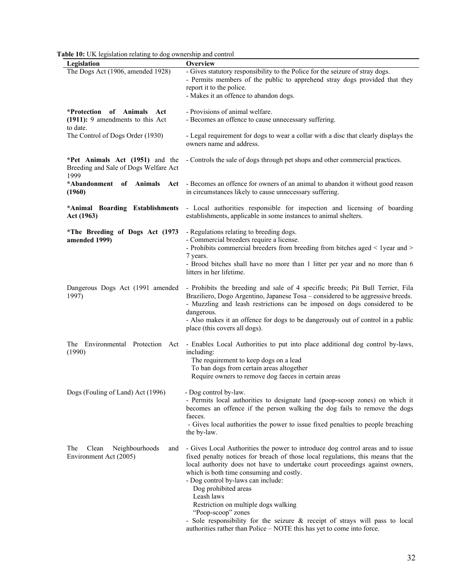|  |  |  | Table 10: UK legislation relating to dog ownership and control |
|--|--|--|----------------------------------------------------------------|
|--|--|--|----------------------------------------------------------------|

| Overview<br>Legislation<br>The Dogs Act (1906, amended 1928)<br>- Gives statutory responsibility to the Police for the seizure of stray dogs.<br>- Permits members of the public to apprehend stray dogs provided that they<br>report it to the police.<br>- Makes it an offence to abandon dogs.<br>*Protection of Animals Act<br>- Provisions of animal welfare.<br>$(1911)$ : 9 amendments to this Act<br>- Becomes an offence to cause unnecessary suffering.<br>to date.<br>The Control of Dogs Order (1930)<br>- Legal requirement for dogs to wear a collar with a disc that clearly displays the<br>owners name and address.<br>*Pet Animals Act (1951) and the<br>- Controls the sale of dogs through pet shops and other commercial practices.<br>Breeding and Sale of Dogs Welfare Act<br>1999<br>*Abandonment of Animals Act - Becomes an offence for owners of an animal to abandon it without good reason<br>in circumstances likely to cause unnecessary suffering.<br>(1960) | able TV. ON registation relating to dog ownership and control |  |
|----------------------------------------------------------------------------------------------------------------------------------------------------------------------------------------------------------------------------------------------------------------------------------------------------------------------------------------------------------------------------------------------------------------------------------------------------------------------------------------------------------------------------------------------------------------------------------------------------------------------------------------------------------------------------------------------------------------------------------------------------------------------------------------------------------------------------------------------------------------------------------------------------------------------------------------------------------------------------------------------|---------------------------------------------------------------|--|
|                                                                                                                                                                                                                                                                                                                                                                                                                                                                                                                                                                                                                                                                                                                                                                                                                                                                                                                                                                                              |                                                               |  |
|                                                                                                                                                                                                                                                                                                                                                                                                                                                                                                                                                                                                                                                                                                                                                                                                                                                                                                                                                                                              |                                                               |  |
|                                                                                                                                                                                                                                                                                                                                                                                                                                                                                                                                                                                                                                                                                                                                                                                                                                                                                                                                                                                              |                                                               |  |
|                                                                                                                                                                                                                                                                                                                                                                                                                                                                                                                                                                                                                                                                                                                                                                                                                                                                                                                                                                                              |                                                               |  |
|                                                                                                                                                                                                                                                                                                                                                                                                                                                                                                                                                                                                                                                                                                                                                                                                                                                                                                                                                                                              |                                                               |  |
|                                                                                                                                                                                                                                                                                                                                                                                                                                                                                                                                                                                                                                                                                                                                                                                                                                                                                                                                                                                              |                                                               |  |
|                                                                                                                                                                                                                                                                                                                                                                                                                                                                                                                                                                                                                                                                                                                                                                                                                                                                                                                                                                                              |                                                               |  |
| - Local authorities responsible for inspection and licensing of boarding<br>*Animal Boarding Establishments<br>establishments, applicable in some instances to animal shelters.<br>Act (1963)                                                                                                                                                                                                                                                                                                                                                                                                                                                                                                                                                                                                                                                                                                                                                                                                |                                                               |  |
| *The Breeding of Dogs Act (1973<br>- Regulations relating to breeding dogs.                                                                                                                                                                                                                                                                                                                                                                                                                                                                                                                                                                                                                                                                                                                                                                                                                                                                                                                  |                                                               |  |
| - Commercial breeders require a license.<br>amended 1999)                                                                                                                                                                                                                                                                                                                                                                                                                                                                                                                                                                                                                                                                                                                                                                                                                                                                                                                                    |                                                               |  |
| - Prohibits commercial breeders from breeding from bitches aged < 1year and >                                                                                                                                                                                                                                                                                                                                                                                                                                                                                                                                                                                                                                                                                                                                                                                                                                                                                                                |                                                               |  |
| 7 years.                                                                                                                                                                                                                                                                                                                                                                                                                                                                                                                                                                                                                                                                                                                                                                                                                                                                                                                                                                                     |                                                               |  |
| - Brood bitches shall have no more than 1 litter per year and no more than 6                                                                                                                                                                                                                                                                                                                                                                                                                                                                                                                                                                                                                                                                                                                                                                                                                                                                                                                 |                                                               |  |
| litters in her lifetime.                                                                                                                                                                                                                                                                                                                                                                                                                                                                                                                                                                                                                                                                                                                                                                                                                                                                                                                                                                     |                                                               |  |
|                                                                                                                                                                                                                                                                                                                                                                                                                                                                                                                                                                                                                                                                                                                                                                                                                                                                                                                                                                                              |                                                               |  |
| - Prohibits the breeding and sale of 4 specific breeds; Pit Bull Terrier, Fila<br>Dangerous Dogs Act (1991 amended<br>Braziliero, Dogo Argentino, Japanese Tosa – considered to be aggressive breeds.<br>1997)                                                                                                                                                                                                                                                                                                                                                                                                                                                                                                                                                                                                                                                                                                                                                                               |                                                               |  |
| - Muzzling and leash restrictions can be imposed on dogs considered to be                                                                                                                                                                                                                                                                                                                                                                                                                                                                                                                                                                                                                                                                                                                                                                                                                                                                                                                    |                                                               |  |
| dangerous.                                                                                                                                                                                                                                                                                                                                                                                                                                                                                                                                                                                                                                                                                                                                                                                                                                                                                                                                                                                   |                                                               |  |
| - Also makes it an offence for dogs to be dangerously out of control in a public                                                                                                                                                                                                                                                                                                                                                                                                                                                                                                                                                                                                                                                                                                                                                                                                                                                                                                             |                                                               |  |
| place (this covers all dogs).                                                                                                                                                                                                                                                                                                                                                                                                                                                                                                                                                                                                                                                                                                                                                                                                                                                                                                                                                                |                                                               |  |
| The Environmental Protection Act<br>- Enables Local Authorities to put into place additional dog control by-laws,                                                                                                                                                                                                                                                                                                                                                                                                                                                                                                                                                                                                                                                                                                                                                                                                                                                                            |                                                               |  |
| (1990)<br>including:                                                                                                                                                                                                                                                                                                                                                                                                                                                                                                                                                                                                                                                                                                                                                                                                                                                                                                                                                                         |                                                               |  |
| The requirement to keep dogs on a lead<br>To ban dogs from certain areas altogether                                                                                                                                                                                                                                                                                                                                                                                                                                                                                                                                                                                                                                                                                                                                                                                                                                                                                                          |                                                               |  |
| Require owners to remove dog faeces in certain areas                                                                                                                                                                                                                                                                                                                                                                                                                                                                                                                                                                                                                                                                                                                                                                                                                                                                                                                                         |                                                               |  |
|                                                                                                                                                                                                                                                                                                                                                                                                                                                                                                                                                                                                                                                                                                                                                                                                                                                                                                                                                                                              |                                                               |  |
| Dogs (Fouling of Land) Act (1996)<br>- Dog control by-law.                                                                                                                                                                                                                                                                                                                                                                                                                                                                                                                                                                                                                                                                                                                                                                                                                                                                                                                                   |                                                               |  |
| - Permits local authorities to designate land (poop-scoop zones) on which it<br>becomes an offence if the person walking the dog fails to remove the dogs                                                                                                                                                                                                                                                                                                                                                                                                                                                                                                                                                                                                                                                                                                                                                                                                                                    |                                                               |  |
| faeces.                                                                                                                                                                                                                                                                                                                                                                                                                                                                                                                                                                                                                                                                                                                                                                                                                                                                                                                                                                                      |                                                               |  |
| - Gives local authorities the power to issue fixed penalties to people breaching                                                                                                                                                                                                                                                                                                                                                                                                                                                                                                                                                                                                                                                                                                                                                                                                                                                                                                             |                                                               |  |
| the by-law.                                                                                                                                                                                                                                                                                                                                                                                                                                                                                                                                                                                                                                                                                                                                                                                                                                                                                                                                                                                  |                                                               |  |
| The<br>Clean<br>Neighbourhoods<br>- Gives Local Authorities the power to introduce dog control areas and to issue<br>and                                                                                                                                                                                                                                                                                                                                                                                                                                                                                                                                                                                                                                                                                                                                                                                                                                                                     |                                                               |  |
| fixed penalty notices for breach of those local regulations, this means that the<br>Environment Act (2005)                                                                                                                                                                                                                                                                                                                                                                                                                                                                                                                                                                                                                                                                                                                                                                                                                                                                                   |                                                               |  |
| local authority does not have to undertake court proceedings against owners,                                                                                                                                                                                                                                                                                                                                                                                                                                                                                                                                                                                                                                                                                                                                                                                                                                                                                                                 |                                                               |  |
| which is both time consuming and costly.                                                                                                                                                                                                                                                                                                                                                                                                                                                                                                                                                                                                                                                                                                                                                                                                                                                                                                                                                     |                                                               |  |
| - Dog control by-laws can include:                                                                                                                                                                                                                                                                                                                                                                                                                                                                                                                                                                                                                                                                                                                                                                                                                                                                                                                                                           |                                                               |  |
| Dog prohibited areas<br>Leash laws                                                                                                                                                                                                                                                                                                                                                                                                                                                                                                                                                                                                                                                                                                                                                                                                                                                                                                                                                           |                                                               |  |
| Restriction on multiple dogs walking                                                                                                                                                                                                                                                                                                                                                                                                                                                                                                                                                                                                                                                                                                                                                                                                                                                                                                                                                         |                                                               |  |
| "Poop-scoop" zones                                                                                                                                                                                                                                                                                                                                                                                                                                                                                                                                                                                                                                                                                                                                                                                                                                                                                                                                                                           |                                                               |  |
| - Sole responsibility for the seizure $\&$ receipt of strays will pass to local<br>authorities rather than Police - NOTE this has yet to come into force.                                                                                                                                                                                                                                                                                                                                                                                                                                                                                                                                                                                                                                                                                                                                                                                                                                    |                                                               |  |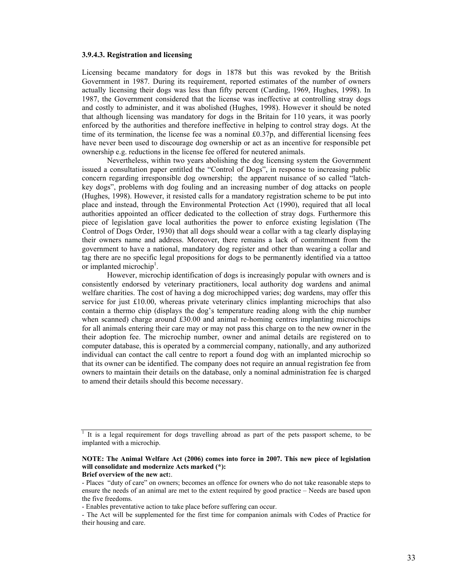#### **3.9.4.3. Registration and licensing**

Licensing became mandatory for dogs in 1878 but this was revoked by the British Government in 1987. During its requirement, reported estimates of the number of owners actually licensing their dogs was less than fifty percent (Carding, 1969, Hughes, 1998). In 1987, the Government considered that the license was ineffective at controlling stray dogs and costly to administer, and it was abolished (Hughes, 1998). However it should be noted that although licensing was mandatory for dogs in the Britain for 110 years, it was poorly enforced by the authorities and therefore ineffective in helping to control stray dogs. At the time of its termination, the license fee was a nominal £0.37p, and differential licensing fees have never been used to discourage dog ownership or act as an incentive for responsible pet ownership e.g. reductions in the license fee offered for neutered animals.

 Nevertheless, within two years abolishing the dog licensing system the Government issued a consultation paper entitled the "Control of Dogs", in response to increasing public concern regarding irresponsible dog ownership; the apparent nuisance of so called "latchkey dogs", problems with dog fouling and an increasing number of dog attacks on people (Hughes, 1998). However, it resisted calls for a mandatory registration scheme to be put into place and instead, through the Environmental Protection Act (1990), required that all local authorities appointed an officer dedicated to the collection of stray dogs. Furthermore this piece of legislation gave local authorities the power to enforce existing legislation (The Control of Dogs Order, 1930) that all dogs should wear a collar with a tag clearly displaying their owners name and address. Moreover, there remains a lack of commitment from the government to have a national, mandatory dog register and other than wearing a collar and tag there are no specific legal propositions for dogs to be permanently identified via a tattoo or implanted microchip<sup>1</sup>.

 However, microchip identification of dogs is increasingly popular with owners and is consistently endorsed by veterinary practitioners, local authority dog wardens and animal welfare charities. The cost of having a dog microchipped varies; dog wardens, may offer this service for just £10.00, whereas private veterinary clinics implanting microchips that also contain a thermo chip (displays the dog's temperature reading along with the chip number when scanned) charge around £30.00 and animal re-homing centres implanting microchips for all animals entering their care may or may not pass this charge on to the new owner in the their adoption fee. The microchip number, owner and animal details are registered on to computer database, this is operated by a commercial company, nationally, and any authorized individual can contact the call centre to report a found dog with an implanted microchip so that its owner can be identified. The company does not require an annual registration fee from owners to maintain their details on the database, only a nominal administration fee is charged to amend their details should this become necessary.

<sup>&</sup>lt;sup>1</sup> It is a legal requirement for dogs travelling abroad as part of the pets passport scheme, to be implanted with a microchip.

**NOTE: The Animal Welfare Act (2006) comes into force in 2007. This new piece of legislation will consolidate and modernize Acts marked (\*): Brief overview of the new act:**.

<sup>-</sup> Places "duty of care" on owners; becomes an offence for owners who do not take reasonable steps to ensure the needs of an animal are met to the extent required by good practice – Needs are based upon the five freedoms.

<sup>-</sup> Enables preventative action to take place before suffering can occur.

<sup>-</sup> The Act will be supplemented for the first time for companion animals with Codes of Practice for their housing and care.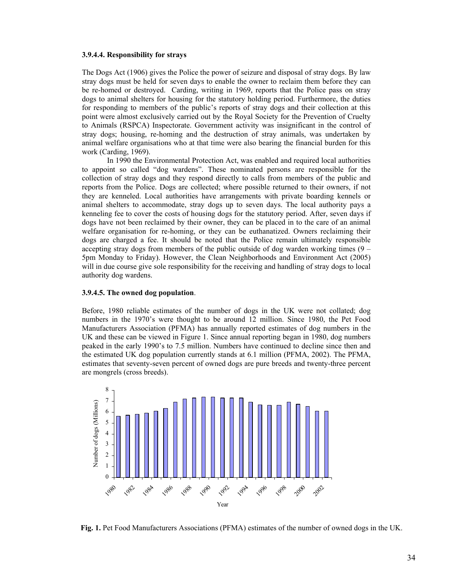#### **3.9.4.4. Responsibility for strays**

The Dogs Act (1906) gives the Police the power of seizure and disposal of stray dogs. By law stray dogs must be held for seven days to enable the owner to reclaim them before they can be re-homed or destroyed. Carding, writing in 1969, reports that the Police pass on stray dogs to animal shelters for housing for the statutory holding period. Furthermore, the duties for responding to members of the public's reports of stray dogs and their collection at this point were almost exclusively carried out by the Royal Society for the Prevention of Cruelty to Animals (RSPCA) Inspectorate. Government activity was insignificant in the control of stray dogs; housing, re-homing and the destruction of stray animals, was undertaken by animal welfare organisations who at that time were also bearing the financial burden for this work (Carding, 1969).

 In 1990 the Environmental Protection Act, was enabled and required local authorities to appoint so called "dog wardens". These nominated persons are responsible for the collection of stray dogs and they respond directly to calls from members of the public and reports from the Police. Dogs are collected; where possible returned to their owners, if not they are kenneled. Local authorities have arrangements with private boarding kennels or animal shelters to accommodate, stray dogs up to seven days. The local authority pays a kenneling fee to cover the costs of housing dogs for the statutory period. After, seven days if dogs have not been reclaimed by their owner, they can be placed in to the care of an animal welfare organisation for re-homing, or they can be euthanatized. Owners reclaiming their dogs are charged a fee. It should be noted that the Police remain ultimately responsible accepting stray dogs from members of the public outside of dog warden working times (9 – 5pm Monday to Friday). However, the Clean Neighborhoods and Environment Act (2005) will in due course give sole responsibility for the receiving and handling of stray dogs to local authority dog wardens.

#### **3.9.4.5. The owned dog population**.

Before, 1980 reliable estimates of the number of dogs in the UK were not collated; dog numbers in the 1970's were thought to be around 12 million. Since 1980, the Pet Food Manufacturers Association (PFMA) has annually reported estimates of dog numbers in the UK and these can be viewed in Figure 1. Since annual reporting began in 1980, dog numbers peaked in the early 1990's to 7.5 million. Numbers have continued to decline since then and the estimated UK dog population currently stands at 6.1 million (PFMA, 2002). The PFMA, estimates that seventy-seven percent of owned dogs are pure breeds and twenty-three percent are mongrels (cross breeds).



**Fig. 1.** Pet Food Manufacturers Associations (PFMA) estimates of the number of owned dogs in the UK.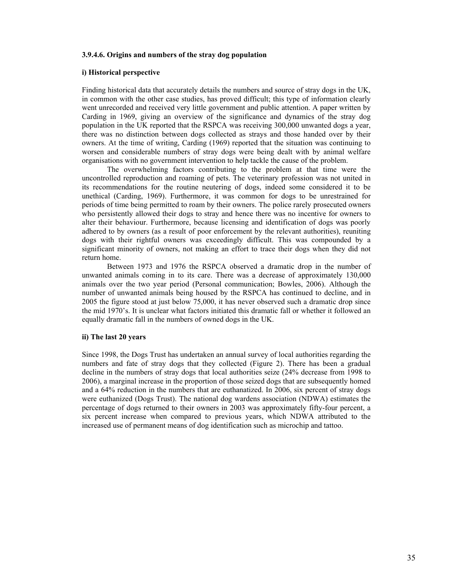#### **3.9.4.6. Origins and numbers of the stray dog population**

#### **i) Historical perspective**

Finding historical data that accurately details the numbers and source of stray dogs in the UK, in common with the other case studies, has proved difficult; this type of information clearly went unrecorded and received very little government and public attention. A paper written by Carding in 1969, giving an overview of the significance and dynamics of the stray dog population in the UK reported that the RSPCA was receiving 300,000 unwanted dogs a year, there was no distinction between dogs collected as strays and those handed over by their owners. At the time of writing, Carding (1969) reported that the situation was continuing to worsen and considerable numbers of stray dogs were being dealt with by animal welfare organisations with no government intervention to help tackle the cause of the problem.

 The overwhelming factors contributing to the problem at that time were the uncontrolled reproduction and roaming of pets. The veterinary profession was not united in its recommendations for the routine neutering of dogs, indeed some considered it to be unethical (Carding, 1969). Furthermore, it was common for dogs to be unrestrained for periods of time being permitted to roam by their owners. The police rarely prosecuted owners who persistently allowed their dogs to stray and hence there was no incentive for owners to alter their behaviour. Furthermore, because licensing and identification of dogs was poorly adhered to by owners (as a result of poor enforcement by the relevant authorities), reuniting dogs with their rightful owners was exceedingly difficult. This was compounded by a significant minority of owners, not making an effort to trace their dogs when they did not return home.

 Between 1973 and 1976 the RSPCA observed a dramatic drop in the number of unwanted animals coming in to its care. There was a decrease of approximately 130,000 animals over the two year period (Personal communication; Bowles, 2006). Although the number of unwanted animals being housed by the RSPCA has continued to decline, and in 2005 the figure stood at just below 75,000, it has never observed such a dramatic drop since the mid 1970's. It is unclear what factors initiated this dramatic fall or whether it followed an equally dramatic fall in the numbers of owned dogs in the UK.

#### **ii) The last 20 years**

Since 1998, the Dogs Trust has undertaken an annual survey of local authorities regarding the numbers and fate of stray dogs that they collected (Figure 2). There has been a gradual decline in the numbers of stray dogs that local authorities seize (24% decrease from 1998 to 2006), a marginal increase in the proportion of those seized dogs that are subsequently homed and a 64% reduction in the numbers that are euthanatized. In 2006, six percent of stray dogs were euthanized (Dogs Trust). The national dog wardens association (NDWA) estimates the percentage of dogs returned to their owners in 2003 was approximately fifty-four percent, a six percent increase when compared to previous years, which NDWA attributed to the increased use of permanent means of dog identification such as microchip and tattoo.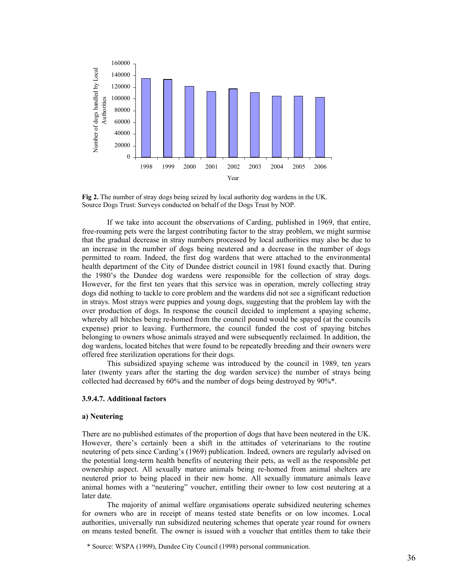

**Fig 2.** The number of stray dogs being seized by local authority dog wardens in the UK. Source Dogs Trust: Surveys conducted on behalf of the Dogs Trust by NOP.

 If we take into account the observations of Carding, published in 1969, that entire, free-roaming pets were the largest contributing factor to the stray problem, we might surmise that the gradual decrease in stray numbers processed by local authorities may also be due to an increase in the number of dogs being neutered and a decrease in the number of dogs permitted to roam. Indeed, the first dog wardens that were attached to the environmental health department of the City of Dundee district council in 1981 found exactly that. During the 1980's the Dundee dog wardens were responsible for the collection of stray dogs. However, for the first ten years that this service was in operation, merely collecting stray dogs did nothing to tackle to core problem and the wardens did not see a significant reduction in strays. Most strays were puppies and young dogs, suggesting that the problem lay with the over production of dogs. In response the council decided to implement a spaying scheme, whereby all bitches being re-homed from the council pound would be spayed (at the councils expense) prior to leaving. Furthermore, the council funded the cost of spaying bitches belonging to owners whose animals strayed and were subsequently reclaimed. In addition, the dog wardens, located bitches that were found to be repeatedly breeding and their owners were offered free sterilization operations for their dogs.

 This subsidized spaying scheme was introduced by the council in 1989, ten years later (twenty years after the starting the dog warden service) the number of strays being collected had decreased by 60% and the number of dogs being destroyed by 90%\*.

## **3.9.4.7. Additional factors**

#### **a) Neutering**

There are no published estimates of the proportion of dogs that have been neutered in the UK. However, there's certainly been a shift in the attitudes of veterinarians to the routine neutering of pets since Carding's (1969) publication. Indeed, owners are regularly advised on the potential long-term health benefits of neutering their pets, as well as the responsible pet ownership aspect. All sexually mature animals being re-homed from animal shelters are neutered prior to being placed in their new home. All sexually immature animals leave animal homes with a "neutering" voucher, entitling their owner to low cost neutering at a later date.

The majority of animal welfare organisations operate subsidized neutering schemes for owners who are in receipt of means tested state benefits or on low incomes. Local authorities, universally run subsidized neutering schemes that operate year round for owners on means tested benefit. The owner is issued with a voucher that entitles them to take their

\* Source: WSPA (1999), Dundee City Council (1998) personal communication.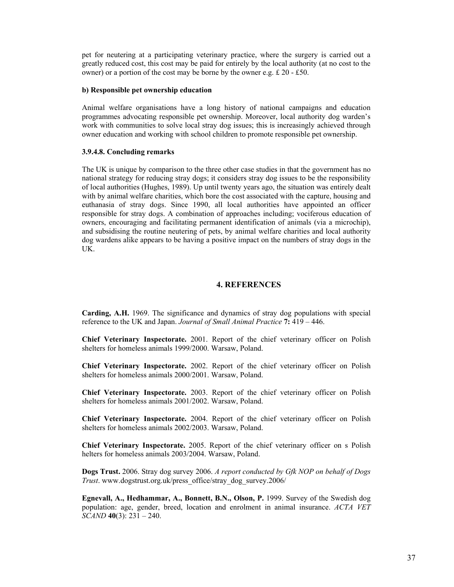pet for neutering at a participating veterinary practice, where the surgery is carried out a greatly reduced cost, this cost may be paid for entirely by the local authority (at no cost to the owner) or a portion of the cost may be borne by the owner e.g. £ 20 - £50.

#### **b) Responsible pet ownership education**

Animal welfare organisations have a long history of national campaigns and education programmes advocating responsible pet ownership. Moreover, local authority dog warden's work with communities to solve local stray dog issues; this is increasingly achieved through owner education and working with school children to promote responsible pet ownership.

#### **3.9.4.8. Concluding remarks**

The UK is unique by comparison to the three other case studies in that the government has no national strategy for reducing stray dogs; it considers stray dog issues to be the responsibility of local authorities (Hughes, 1989). Up until twenty years ago, the situation was entirely dealt with by animal welfare charities, which bore the cost associated with the capture, housing and euthanasia of stray dogs. Since 1990, all local authorities have appointed an officer responsible for stray dogs. A combination of approaches including; vociferous education of owners, encouraging and facilitating permanent identification of animals (via a microchip), and subsidising the routine neutering of pets, by animal welfare charities and local authority dog wardens alike appears to be having a positive impact on the numbers of stray dogs in the UK.

#### **4. REFERENCES**

**Carding, A.H.** 1969. The significance and dynamics of stray dog populations with special reference to the UK and Japan. *Journal of Small Animal Practice* **7:** 419 – 446.

**Chief Veterinary Inspectorate.** 2001. Report of the chief veterinary officer on Polish shelters for homeless animals 1999/2000. Warsaw, Poland.

**Chief Veterinary Inspectorate.** 2002. Report of the chief veterinary officer on Polish shelters for homeless animals 2000/2001. Warsaw, Poland.

**Chief Veterinary Inspectorate.** 2003. Report of the chief veterinary officer on Polish shelters for homeless animals 2001/2002. Warsaw, Poland.

**Chief Veterinary Inspectorate.** 2004. Report of the chief veterinary officer on Polish shelters for homeless animals 2002/2003. Warsaw, Poland.

**Chief Veterinary Inspectorate.** 2005. Report of the chief veterinary officer on s Polish helters for homeless animals 2003/2004. Warsaw, Poland.

**Dogs Trust.** 2006. Stray dog survey 2006. *A report conducted by Gfk NOP on behalf of Dogs Trust*. www.dogstrust.org.uk/press\_office/stray\_dog\_survey.2006/

**Egnevall, A., Hedhammar, A., Bonnett, B.N., Olson, P.** 1999. Survey of the Swedish dog population: age, gender, breed, location and enrolment in animal insurance. *ACTA VET SCAND* **40**(3): 231 – 240.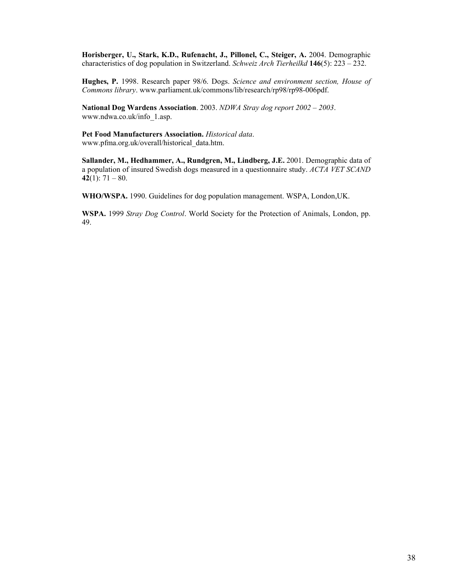**Horisberger, U., Stark, K.D., Rufenacht, J., Pillonel, C., Steiger, A.** 2004. Demographic characteristics of dog population in Switzerland. *Schweiz Arch Tierheilkd* **146**(5): 223 – 232.

**Hughes, P.** 1998. Research paper 98/6. Dogs. *Science and environment section, House of Commons library*. www.parliament.uk/commons/lib/research/rp98/rp98-006pdf.

**National Dog Wardens Association**. 2003. *NDWA Stray dog report 2002 – 2003*. www.ndwa.co.uk/info\_1.asp.

**Pet Food Manufacturers Association.** *Historical data*. www.pfma.org.uk/overall/historical\_data.htm.

**Sallander, M., Hedhammer, A., Rundgren, M., Lindberg, J.E.** 2001. Demographic data of a population of insured Swedish dogs measured in a questionnaire study. *ACTA VET SCAND*  **42**(1):  $71 - 80$ .

**WHO/WSPA.** 1990. Guidelines for dog population management. WSPA, London,UK.

**WSPA.** 1999 *Stray Dog Control*. World Society for the Protection of Animals, London, pp. 49.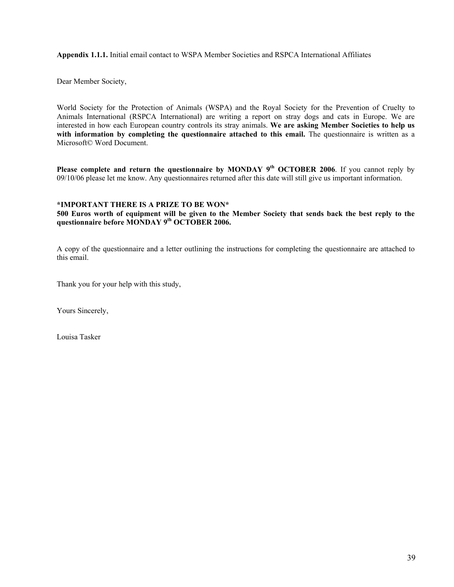**Appendix 1.1.1.** Initial email contact to WSPA Member Societies and RSPCA International Affiliates

Dear Member Society,

World Society for the Protection of Animals (WSPA) and the Royal Society for the Prevention of Cruelty to Animals International (RSPCA International) are writing a report on stray dogs and cats in Europe. We are interested in how each European country controls its stray animals. **We are asking Member Societies to help us with information by completing the questionnaire attached to this email.** The questionnaire is written as a Microsoft© Word Document.

**Please complete and return the questionnaire by MONDAY 9<sup>th</sup> OCTOBER 2006. If you cannot reply by** 09/10/06 please let me know. Any questionnaires returned after this date will still give us important information.

## **\*IMPORTANT THERE IS A PRIZE TO BE WON\***

**500 Euros worth of equipment will be given to the Member Society that sends back the best reply to the questionnaire before MONDAY 9th OCTOBER 2006.** 

A copy of the questionnaire and a letter outlining the instructions for completing the questionnaire are attached to this email.

Thank you for your help with this study,

Yours Sincerely,

Louisa Tasker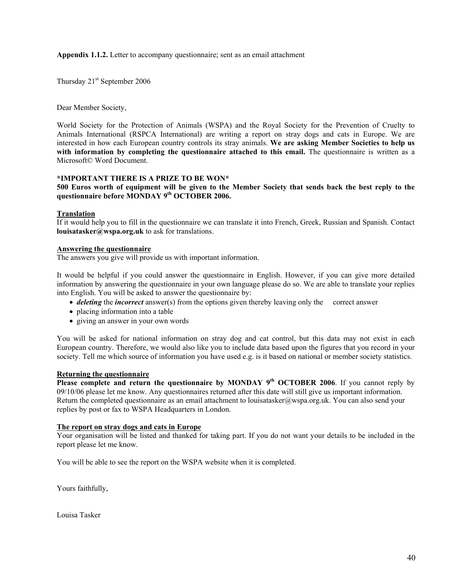**Appendix 1.1.2.** Letter to accompany questionnaire; sent as an email attachment

Thursday 21<sup>st</sup> September 2006

Dear Member Society,

World Society for the Protection of Animals (WSPA) and the Royal Society for the Prevention of Cruelty to Animals International (RSPCA International) are writing a report on stray dogs and cats in Europe. We are interested in how each European country controls its stray animals. **We are asking Member Societies to help us with information by completing the questionnaire attached to this email.** The questionnaire is written as a Microsoft© Word Document.

## **\*IMPORTANT THERE IS A PRIZE TO BE WON\***

**500 Euros worth of equipment will be given to the Member Society that sends back the best reply to the questionnaire before MONDAY 9th OCTOBER 2006.** 

## **Translation**

If it would help you to fill in the questionnaire we can translate it into French, Greek, Russian and Spanish. Contact **louisatasker@wspa.org.uk** to ask for translations.

## **Answering the questionnaire**

The answers you give will provide us with important information.

It would be helpful if you could answer the questionnaire in English. However, if you can give more detailed information by answering the questionnaire in your own language please do so. We are able to translate your replies into English. You will be asked to answer the questionnaire by:

- *deleting* the *incorrect* answer(s) from the options given thereby leaving only the correct answer
- placing information into a table
- giving an answer in your own words

You will be asked for national information on stray dog and cat control, but this data may not exist in each European country. Therefore, we would also like you to include data based upon the figures that you record in your society. Tell me which source of information you have used e.g. is it based on national or member society statistics.

## **Returning the questionnaire**

**Please complete and return the questionnaire by MONDAY 9<sup>th</sup> OCTOBER 2006. If you cannot reply by** 09/10/06 please let me know. Any questionnaires returned after this date will still give us important information. Return the completed questionnaire as an email attachment to louisatasker@wspa.org.uk. You can also send your replies by post or fax to WSPA Headquarters in London.

## **The report on stray dogs and cats in Europe**

Your organisation will be listed and thanked for taking part. If you do not want your details to be included in the report please let me know.

You will be able to see the report on the WSPA website when it is completed.

Yours faithfully,

Louisa Tasker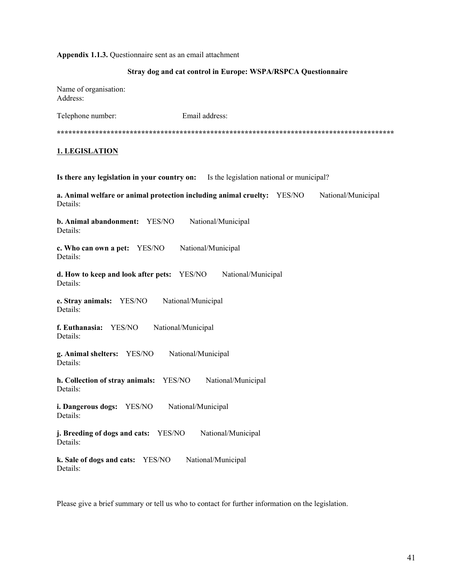#### **Appendix 1.1.3.** Questionnaire sent as an email attachment

## **Stray dog and cat control in Europe: WSPA/RSPCA Questionnaire**

Name of organisation: Address:

Telephone number: Email address: **\*\*\*\*\*\*\*\*\*\*\*\*\*\*\*\*\*\*\*\*\*\*\*\*\*\*\*\*\*\*\*\*\*\*\*\*\*\*\*\*\*\*\*\*\*\*\*\*\*\*\*\*\*\*\*\*\*\*\*\*\*\*\*\*\*\*\*\*\*\*\*\*\*\*\*\*\*\*\*\*\*\*\*\*\*\*\*\* 1. LEGISLATION Is there any legislation in your country on:** Is the legislation national or municipal? **a. Animal welfare or animal protection including animal cruelty:** YES/NO National/Municipal Details: **b. Animal abandonment:** YES/NO National/Municipal Details: **c. Who can own a pet:** YES/NO National/Municipal Details: **d. How to keep and look after pets:** YES/NO National/Municipal Details: **e. Stray animals:** YES/NO National/Municipal Details: **f. Euthanasia:** YES/NO National/Municipal Details: **g. Animal shelters:** YES/NO National/Municipal Details: **h. Collection of stray animals:** YES/NO National/Municipal Details: **i. Dangerous dogs:** YES/NO National/Municipal Details: **j. Breeding of dogs and cats:** YES/NO National/Municipal Details: **k. Sale of dogs and cats:** YES/NO National/Municipal Details:

Please give a brief summary or tell us who to contact for further information on the legislation.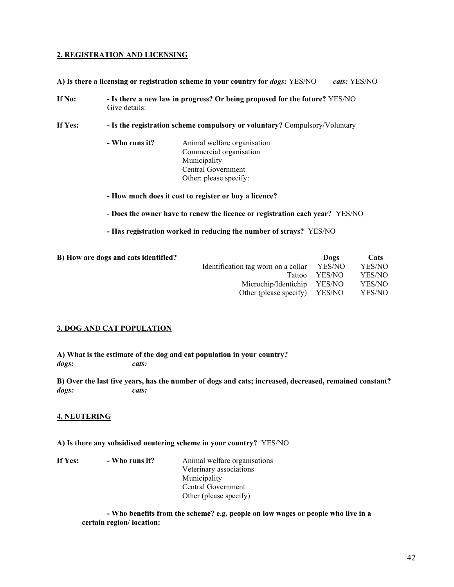## **2. REGISTRATION AND LICENSING**

**A) Is there a licensing or registration scheme in your country for** *dogs:* YES/NO *cats:* YES/NO

**If No: - Is there a new law in progress? Or being proposed for the future?** YES/NO Give details:

**If Yes: - Is the registration scheme compulsory or voluntary?** Compulsory/Voluntary

 **- Who runs it?** Animal welfare organisation Commercial organisation Municipality Central Government Other: please specify:

**- How much does it cost to register or buy a licence?** 

- **Does the owner have to renew the licence or registration each year?** YES/NO

**- Has registration worked in reducing the number of strays?** YES/NO

| B) How are dogs and cats identified? |                                     | Dogs   | Cats   |
|--------------------------------------|-------------------------------------|--------|--------|
|                                      | Identification tag worn on a collar | YES/NO | YES/NO |
|                                      | Tattoo                              | YES/NO | YES/NO |
|                                      | Microchip/Identichip YES/NO         |        | YES/NO |
|                                      | Other (please specify) YES/NO       |        | YES/NO |

## **3. DOG AND CAT POPULATION**

**A) What is the estimate of the dog and cat population in your country?**  *dogs: cats:*

**B) Over the last five years, has the number of dogs and cats; increased, decreased, remained constant?**  *dogs: cats:*

## **4. NEUTERING**

## **A) Is there any subsidised neutering scheme in your country?** YES/NO

**If Yes:** - Who runs it? Animal welfare organisations Veterinary associations Municipality Central Government Other (please specify)

> **- Who benefits from the scheme? e.g. people on low wages or people who live in a certain region/ location:**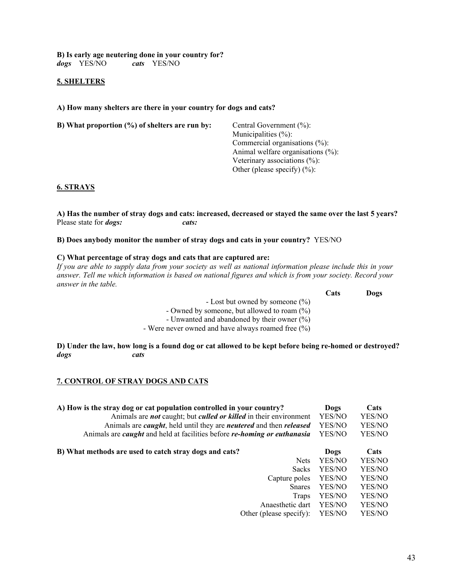**B) Is early age neutering done in your country for?**  *dogs* YES/NO *cats*YES/NO

## **5. SHELTERS**

**A) How many shelters are there in your country for dogs and cats?** 

| B) What proportion $(\%)$ of shelters are run by: | Central Government $(\% )$ :           |
|---------------------------------------------------|----------------------------------------|
|                                                   | Municipalities $(\% )$ :               |
|                                                   | Commercial organisations $(\% )$ :     |
|                                                   | Animal welfare organisations $(\% )$ : |
|                                                   | Veterinary associations $(\% )$ :      |
|                                                   | Other (please specify) $(\%)$ :        |
|                                                   |                                        |

## **6. STRAYS**

**A) Has the number of stray dogs and cats: increased, decreased or stayed the same over the last 5 years?**  Please state for *dogs: cats:*

**B) Does anybody monitor the number of stray dogs and cats in your country?** YES/NO

## **C) What percentage of stray dogs and cats that are captured are:**

*If you are able to supply data from your society as well as national information please include this in your answer. Tell me which information is based on national figures and which is from your society. Record your answer in the table.* 

|                                                       | Cats | Dogs |
|-------------------------------------------------------|------|------|
| - Lost but owned by someone $(\% )$                   |      |      |
| - Owned by someone, but allowed to roam $(\%)$        |      |      |
| - Unwanted and abandoned by their owner $(\%)$        |      |      |
| - Were never owned and have always roamed free $(\%)$ |      |      |

**D) Under the law, how long is a found dog or cat allowed to be kept before being re-homed or destroyed?**  *dogs cats*

## **7. CONTROL OF STRAY DOGS AND CATS**

| A) How is the stray dog or cat population controlled in your country?<br>Animals are <i>not</i> caught; but <i>culled or killed</i> in their environment<br>Animals are <i>caught</i> , held until they are <i>neutered</i> and then <i>released</i><br>Animals are <i>caught</i> and held at facilities before <i>re-homing or euthanasia</i> | Dogs<br>YES/NO<br>YES/NO<br>YES/NO | Cats<br>YES/NO<br>YES/NO<br>YES/NO |
|------------------------------------------------------------------------------------------------------------------------------------------------------------------------------------------------------------------------------------------------------------------------------------------------------------------------------------------------|------------------------------------|------------------------------------|
| B) What methods are used to catch stray dogs and cats?                                                                                                                                                                                                                                                                                         | Dogs                               | Cats                               |
| <b>Nets</b>                                                                                                                                                                                                                                                                                                                                    | YES/NO                             | YES/NO                             |
| <b>Sacks</b>                                                                                                                                                                                                                                                                                                                                   | YES/NO                             | YES/NO                             |
| Capture poles                                                                                                                                                                                                                                                                                                                                  | YES/NO                             | YES/NO                             |
| <b>S</b> nares                                                                                                                                                                                                                                                                                                                                 | YES/NO                             | YES/NO                             |
| Traps                                                                                                                                                                                                                                                                                                                                          | YES/NO                             | YES/NO                             |
| Anaesthetic dart                                                                                                                                                                                                                                                                                                                               | YES/NO                             | YES/NO                             |
| Other (please specify):                                                                                                                                                                                                                                                                                                                        | YES/NO                             | YES/NO                             |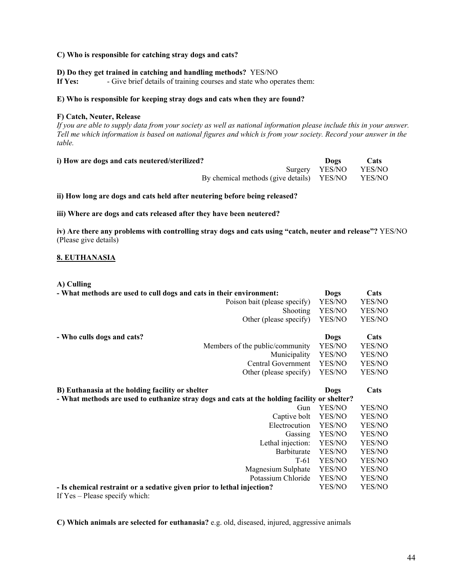## **C) Who is responsible for catching stray dogs and cats?**

## **D) Do they get trained in catching and handling methods?** YES/NO

**If Yes:** - Give brief details of training courses and state who operates them:

## **E) Who is responsible for keeping stray dogs and cats when they are found?**

## **F) Catch, Neuter, Release**

*If you are able to supply data from your society as well as national information please include this in your answer. Tell me which information is based on national figures and which is from your society. Record your answer in the table.* 

| i) How are dogs and cats neutered/sterilized?    | Dogs                  | Cats |
|--------------------------------------------------|-----------------------|------|
|                                                  | Surgery YES/NO YES/NO |      |
| By chemical methods (give details) YES/NO YES/NO |                       |      |

**ii) How long are dogs and cats held after neutering before being released?** 

**iii) Where are dogs and cats released after they have been neutered?** 

**iv) Are there any problems with controlling stray dogs and cats using "catch, neuter and release"?** YES/NO (Please give details)

## **8. EUTHANASIA**

#### **A) Culling**

| - What methods are used to cull dogs and cats in their environment:                          | Dogs        | Cats   |
|----------------------------------------------------------------------------------------------|-------------|--------|
| Poison bait (please specify)                                                                 | YES/NO      | YES/NO |
| Shooting                                                                                     | YES/NO      | YES/NO |
| Other (please specify)                                                                       | YES/NO      | YES/NO |
| - Who culls dogs and cats?                                                                   | <b>Dogs</b> | Cats   |
| Members of the public/community                                                              | YES/NO      | YES/NO |
| Municipality                                                                                 | YES/NO      | YES/NO |
| Central Government                                                                           | YES/NO      | YES/NO |
| Other (please specify)                                                                       | YES/NO      | YES/NO |
| B) Euthanasia at the holding facility or shelter                                             | Dogs        | Cats   |
| - What methods are used to euthanize stray dogs and cats at the holding facility or shelter? |             |        |
| Gun                                                                                          | YES/NO      | YES/NO |
| Captive bolt                                                                                 | YES/NO      | YES/NO |
| Electrocution                                                                                | YES/NO      | YES/NO |
| Gassing                                                                                      | YES/NO      | YES/NO |
| Lethal injection:                                                                            | YES/NO      | YES/NO |
| Barbiturate                                                                                  | YES/NO      | YES/NO |
| $T-61$                                                                                       | YES/NO      | YES/NO |
| Magnesium Sulphate                                                                           | YES/NO      | YES/NO |
| Potassium Chloride                                                                           | YES/NO      | YES/NO |
| - Is chemical restraint or a sedative given prior to lethal injection?                       | YES/NO      | YES/NO |

If Yes – Please specify which:

**C) Which animals are selected for euthanasia?** e.g. old, diseased, injured, aggressive animals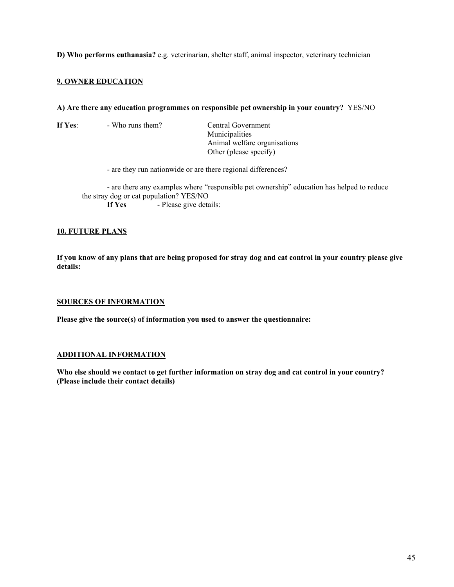## **D) Who performs euthanasia?** e.g. veterinarian, shelter staff, animal inspector, veterinary technician

## **9. OWNER EDUCATION**

#### **A) Are there any education programmes on responsible pet ownership in your country?** YES/NO

| If Yes: | - Who runs them?                                             | Central Government                                                                        |
|---------|--------------------------------------------------------------|-------------------------------------------------------------------------------------------|
|         |                                                              | Municipalities                                                                            |
|         |                                                              | Animal welfare organisations                                                              |
|         |                                                              | Other (please specify)                                                                    |
|         | - are they run nationwide or are there regional differences? |                                                                                           |
|         |                                                              | - are there any examples where "responsible pet ownership" education has helped to reduce |
|         | the stray dog or cat population? YES/NO                      |                                                                                           |
|         | - Please give details:<br>If Yes                             |                                                                                           |

## **10. FUTURE PLANS**

**If you know of any plans that are being proposed for stray dog and cat control in your country please give details:** 

#### **SOURCES OF INFORMATION**

**Please give the source(s) of information you used to answer the questionnaire:** 

## **ADDITIONAL INFORMATION**

**Who else should we contact to get further information on stray dog and cat control in your country? (Please include their contact details)**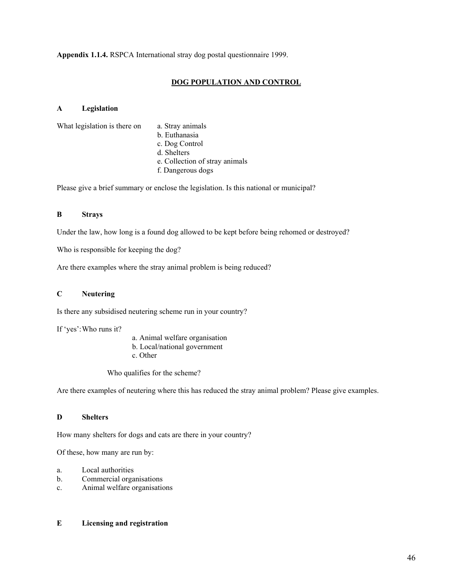**Appendix 1.1.4.** RSPCA International stray dog postal questionnaire 1999.

## **DOG POPULATION AND CONTROL**

## **A Legislation**

What legislation is there on a. Stray animals

- b. Euthanasia
- c. Dog Control
- d. Shelters
- e. Collection of stray animals
- f. Dangerous dogs

Please give a brief summary or enclose the legislation. Is this national or municipal?

## **B Strays**

Under the law, how long is a found dog allowed to be kept before being rehomed or destroyed?

Who is responsible for keeping the dog?

Are there examples where the stray animal problem is being reduced?

## **C Neutering**

Is there any subsidised neutering scheme run in your country?

If 'yes': Who runs it?

- a. Animal welfare organisation
- b. Local/national government
- c. Other

Who qualifies for the scheme?

Are there examples of neutering where this has reduced the stray animal problem? Please give examples.

## **D Shelters**

How many shelters for dogs and cats are there in your country?

Of these, how many are run by:

- a. Local authorities
- b. Commercial organisations
- c. Animal welfare organisations

## **E Licensing and registration**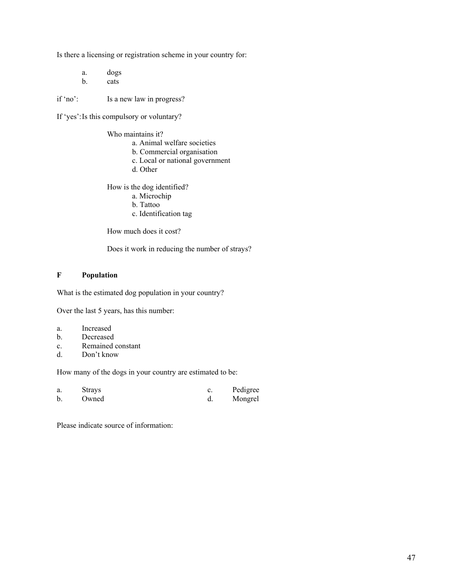Is there a licensing or registration scheme in your country for:

 a. dogs b. cats

if 'no': Is a new law in progress?

If 'yes': Is this compulsory or voluntary?

Who maintains it?

- a. Animal welfare societies
- b. Commercial organisation
- c. Local or national government
- d. Other

How is the dog identified?

- a. Microchip
- b. Tattoo
- c. Identification tag

How much does it cost?

Does it work in reducing the number of strays?

## **F Population**

What is the estimated dog population in your country?

Over the last 5 years, has this number:

- a. Increased
- b. Decreased
- c. Remained constant
- d. Don't know

How many of the dogs in your country are estimated to be:

| a.          | <b>Strays</b> | Pedigree |
|-------------|---------------|----------|
| $\mathbf b$ | Owned         | Mongrel  |

Please indicate source of information: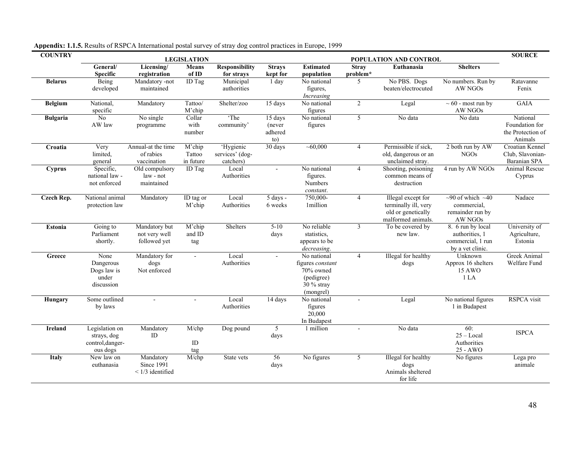| <b>COUNTRY</b>  | <b>LEGISLATION</b><br>POPULATION AND CONTROL                  |                                                |                               |                                           |                                     | <b>SOURCE</b>                                                                           |                          |                                                                                        |                                                                              |                                                            |
|-----------------|---------------------------------------------------------------|------------------------------------------------|-------------------------------|-------------------------------------------|-------------------------------------|-----------------------------------------------------------------------------------------|--------------------------|----------------------------------------------------------------------------------------|------------------------------------------------------------------------------|------------------------------------------------------------|
|                 | General/<br><b>Specific</b>                                   | Licensing/<br>registration                     | <b>Means</b><br>of ID         | <b>Responsibility</b><br>for strays       | <b>Strays</b><br>kept for           | <b>Estimated</b><br>population                                                          | <b>Stray</b><br>problem* | Euthanasia                                                                             | <b>Shelters</b>                                                              |                                                            |
| <b>Belarus</b>  | Being<br>developed                                            | Mandatory -not<br>maintained                   | ID Tag                        | Municipal<br>authorities                  | 1 day                               | No national<br>figures,<br>Increasing                                                   | 5                        | No PBS. Dogs<br>beaten/electrocuted                                                    | No numbers. Run by<br>AW NGOs                                                | Ratavanne<br>Fenix                                         |
| <b>Belgium</b>  | National,<br>specific                                         | Mandatory                                      | Tattoo/<br>M'chip             | Shelter/zoo                               | 15 days                             | No national<br>figures                                                                  | $\overline{2}$           | Legal                                                                                  | $\sim 60$ - most run by<br>AW NGOs                                           | <b>GAIA</b>                                                |
| <b>Bulgaria</b> | No<br>AW law                                                  | No single<br>programme                         | Collar<br>with<br>number      | 'The<br>community'                        | 15 days<br>(never<br>adhered<br>to) | No national<br>figures                                                                  | 5                        | No data                                                                                | No data                                                                      | National<br>Foundation for<br>the Protection of<br>Animals |
| Croatia         | Very<br>limited.<br>general                                   | Annual-at the time<br>of rabies<br>vaccination | M'chip<br>Tattoo<br>in future | 'Hygienic<br>services' (dog-<br>catchers) | 30 days                             | $\overline{-60,000}$                                                                    | $\overline{4}$           | Permissible if sick,<br>old, dangerous or an<br>unclaimed stray.                       | 2 both run by AW<br><b>NGOs</b>                                              | Croatian Kennel<br>Club, Slavonian-<br>Baranian SPA        |
| <b>Cyprus</b>   | Specific,<br>national law -<br>not enforced                   | Old compulsory<br>law - not<br>maintained      | ID Tag                        | Local<br>Authorities                      | $\omega$                            | No national<br>figures.<br>Numbers<br>constant.                                         | $\overline{4}$           | Shooting, poisoning<br>common means of<br>destruction                                  | 4 run by AW NGOs                                                             | Animal Rescue<br>Cyprus                                    |
| Czech Rep.      | National animal<br>protection law                             | Mandatory                                      | ID tag or<br>M'chip           | Local<br>Authorities                      | 5 days -<br>6 weeks                 | 750,000-<br>1million                                                                    | $\overline{4}$           | Illegal except for<br>terminally ill, very<br>old or genetically<br>malformed animals. | $\sim$ 90 of which $\sim$ 40<br>commercial.<br>remainder run by<br>AW NGOs   | Nadace                                                     |
| Estonia         | Going to<br>Parliament<br>shortly.                            | Mandatory but<br>not very well<br>followed yet | M'chip<br>and ID<br>tag       | Shelters                                  | $5 - 10$<br>days                    | No reliable<br>statistics.<br>appears to be<br>decreasing.                              | $\overline{3}$           | To be covered by<br>new law.                                                           | 8. 6 run by local<br>authorities, 1<br>commercial, 1 run<br>by a vet clinic. | University of<br>Agriculture,<br>Estonia                   |
| Greece          | None<br>Dangerous<br>Dogs law is<br>under<br>discussion       | Mandatory for<br>dogs<br>Not enforced          | $\overline{a}$                | Local<br>Authorities                      | $\sim$                              | No national<br>figures constant<br>70% owned<br>(pedigree)<br>$30\%$ stray<br>(mongrel) | $\overline{4}$           | Illegal for healthy<br>dogs                                                            | Unknown<br>Approx 16 shelters<br>15 AWO<br>1 <sub>LA</sub>                   | Greek Animal<br>Welfare Fund                               |
| Hungary         | Some outlined<br>by laws                                      |                                                |                               | Local<br>Authorities                      | 14 days                             | No national<br>figures<br>20,000<br>In Budapest                                         |                          | Legal                                                                                  | No national figures<br>1 in Budapest                                         | <b>RSPCA</b> visit                                         |
| <b>Ireland</b>  | Legislation on<br>strays, dog<br>control, danger-<br>ous dogs | Mandatory<br>ID                                | M/chp<br>ID<br>tag            | Dog pound                                 | $\overline{5}$<br>days              | 1 million                                                                               |                          | No data                                                                                | 60:<br>$25 - Local$<br>Authorities<br>$25 - AWO$                             | <b>ISPCA</b>                                               |
| Italy           | New law on<br>euthanasia                                      | Mandatory<br>Since 1991<br>$<$ 1/3 identified  | M/chp                         | State vets                                | 56<br>days                          | No figures                                                                              | 5                        | Illegal for healthy<br>dogs<br>Animals sheltered<br>for life                           | No figures                                                                   | Lega pro<br>animale                                        |

**Appendix: 1.1.5.** Results of RSPCA International postal survey of stray dog control practices in Europe, 1999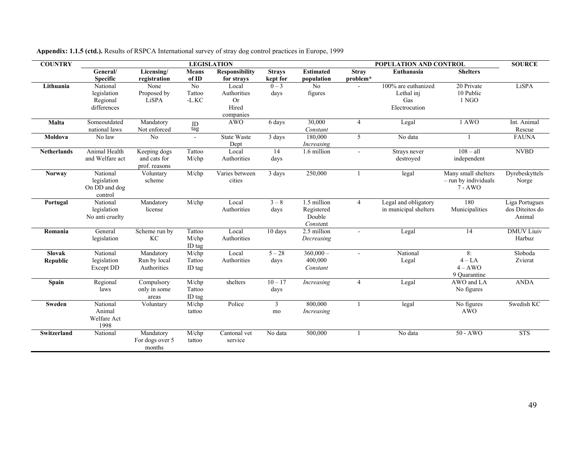| <b>COUNTRY</b>            |                                                     |                                               |                                        | <b>LEGISLATION</b>                                      |                           |                                                 | POPULATION AND CONTROL   |                                                           |                                                          | <b>SOURCE</b>                               |
|---------------------------|-----------------------------------------------------|-----------------------------------------------|----------------------------------------|---------------------------------------------------------|---------------------------|-------------------------------------------------|--------------------------|-----------------------------------------------------------|----------------------------------------------------------|---------------------------------------------|
|                           | General/<br><b>Specific</b>                         | Licensing/<br>registration                    | <b>Means</b><br>of ID                  | Responsibility<br>for strays                            | <b>Stravs</b><br>kept for | <b>Estimated</b><br>population                  | <b>Stray</b><br>problem* | Euthanasia                                                | <b>Shelters</b>                                          |                                             |
| Lithuania                 | National<br>legislation<br>Regional<br>differences  | None<br>Proposed by<br>LiSPA                  | No<br>Tattoo<br>$\mbox{-L.KC}$         | Local<br>Authorities<br><b>Or</b><br>Hired<br>companies | $0 - 3$<br>days           | No<br>figures                                   |                          | 100% are euthanized<br>Lethal inj<br>Gas<br>Electrocution | 20 Private<br>10 Public<br>1 NGO                         | LiSPA                                       |
| Malta                     | Someoutdated<br>national laws                       | Mandatory<br>Not enforced                     | $\underset{\text{tag}}{\text{ID}}$     | <b>AWO</b>                                              | 6 days                    | 30,000<br>Constant                              | $\overline{4}$           | Legal                                                     | 1 AWO                                                    | Int. Animal<br>Rescue                       |
| Moldova                   | No law                                              | No                                            | $\blacksquare$                         | State Waste<br>Dept                                     | 3 days                    | 180,000<br>Increasing                           | 5                        | No data                                                   |                                                          | <b>FAUNA</b>                                |
| <b>Netherlands</b>        | Animal Health<br>and Welfare act                    | Keeping dogs<br>and cats for<br>prof. reasons | Tattoo<br>$M$ /chp                     | Local<br>Authorities                                    | 14<br>days                | 1.6 million                                     | $\sim$                   | Strays never<br>destroyed                                 | $108 - a11$<br>independent                               | <b>NVBD</b>                                 |
| <b>Norway</b>             | National<br>legislation<br>On DD and dog<br>control | Voluntary<br>scheme                           | $M$ /chp                               | Varies between<br>cities                                | 3 days                    | 250,000                                         |                          | legal                                                     | Many small shelters<br>- run by individuals<br>$7 - AWO$ | Dyrebeskyttels<br>Norge                     |
| Portugal                  | National<br>legislation<br>No anti cruelty          | Mandatory<br>license                          | M/chp                                  | Local<br>Authorities                                    | $3 - 8$<br>days           | 1.5 million<br>Registered<br>Double<br>Constant | $\overline{4}$           | Legal and obligatory<br>in municipal shelters             | 180<br>Municipalities                                    | Liga Portugues<br>dos Diteitos do<br>Animal |
| Romania                   | General<br>legislation                              | Scheme run by<br>КC                           | Tattoo<br>M/chp<br>ID tag              | Local<br>Authorities                                    | 10 days                   | 2.5 million<br>Decreasing                       | $\sim$                   | Legal                                                     | 14                                                       | <b>DMUV</b> Liuiv<br>Harbuz                 |
| <b>Slovak</b><br>Republic | National<br>legislation<br><b>Except DD</b>         | Mandatory<br>Run by local<br>Authorities      | $\overline{M}/chp$<br>Tattoo<br>ID tag | Local<br>Authorities                                    | $5 - 28$<br>days          | $360,000 -$<br>400,000<br>Constant              | $\sim$                   | National<br>Legal                                         | 8:<br>$4 - LA$<br>$4 - AWO$<br>9 Ouarantine              | Sloboda<br>Zvierat                          |
| Spain                     | Regional<br>laws                                    | Compulsory<br>only in some<br>areas           | M/chp<br>Tattoo<br>ID tag              | shelters                                                | $10 - 17$<br>days         | Increasing                                      | $\overline{4}$           | Legal                                                     | AWO and LA<br>No figures                                 | <b>ANDA</b>                                 |
| Sweden                    | National<br>Animal<br>Welfare Act<br>1998           | Voluntary                                     | M/chp<br>tattoo                        | Police                                                  | $\mathbf{3}$<br>mo        | 800,000<br>Increasing                           | 1                        | legal                                                     | No figures<br><b>AWO</b>                                 | Swedish KC                                  |
| Switzerland               | National                                            | Mandatory<br>For dogs over 5<br>months        | $\overline{M/c}$ hp<br>tattoo          | Cantonal vet<br>service                                 | No data                   | 500,000                                         |                          | No data                                                   | $50 - AWO$                                               | <b>STS</b>                                  |

**Appendix: 1.1.5 (ctd.).** Results of RSPCA International survey of stray dog control practices in Europe, 1999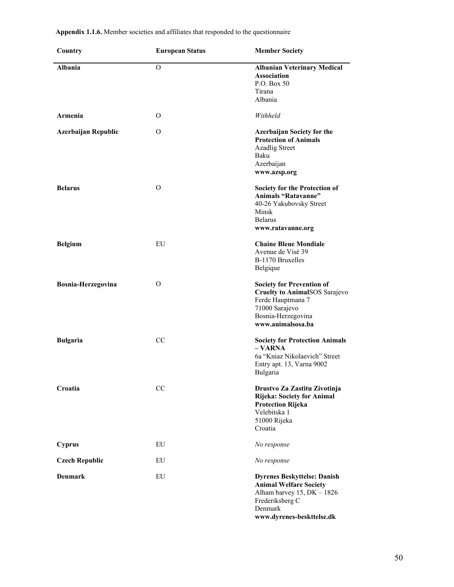| Appendix 1.1.6. Member societies and affiliates that responded to the questionnaire |  |
|-------------------------------------------------------------------------------------|--|
|-------------------------------------------------------------------------------------|--|

| Country               | <b>European Status</b> | <b>Member Society</b>                                                                                                                                            |
|-----------------------|------------------------|------------------------------------------------------------------------------------------------------------------------------------------------------------------|
| Albania               | O                      | <b>Albanian Veterinary Medical</b><br><b>Association</b><br>P.O. Box 50<br>Tirana<br>Albania                                                                     |
| Armenia               | O                      | Withheld                                                                                                                                                         |
| Azerbaijan Republic   | O                      | <b>Azerbaijan Society for the</b><br><b>Protection of Animals</b><br><b>Azadlig Street</b><br>Baku<br>Azerbaijan<br>www.azsp.org                                 |
| <b>Belarus</b>        | $\Omega$               | Society for the Protection of<br><b>Animals "Ratavanne"</b><br>40-26 Yakubovsky Street<br>Minsk<br><b>Belarus</b><br>www.ratavanne.org                           |
| <b>Belgium</b>        | EU                     | <b>Chaine Bleue Mondiale</b><br>Avenue de Visé 39<br>B-1170 Bruxelles<br>Belgique                                                                                |
| Bosnia-Herzegovina    | O                      | <b>Society for Prevention of</b><br><b>Cruelty to AnimalSOS Sarajevo</b><br>Ferde Hauptmana 7<br>71000 Sarajevo<br>Bosnia-Herzegovina<br>www.animalsosa.ba       |
| <b>Bulgaria</b>       | CC                     | <b>Society for Protection Animals</b><br>$- VARNA$<br>6a "Kniaz Nikolaevich" Street<br>Entry apt. 13, Varna 9002<br>Bulgaria                                     |
| Croatia               | CC                     | Drustvo Za Zastitu Zivotinja<br><b>Rijeka: Society for Animal</b><br><b>Protection Rijeka</b><br>Velebitska 1<br>51000 Rijeka<br>Croatia                         |
| <b>Cyprus</b>         | EU                     | No response                                                                                                                                                      |
| <b>Czech Republic</b> | EU                     | No response                                                                                                                                                      |
| <b>Denmark</b>        | EU                     | <b>Dyrenes Beskyttelse: Danish</b><br><b>Animal Welfare Society</b><br>Alham barvey $15$ , DK $-1826$<br>Frederiksberg C<br>Denmark<br>www.dyrenes-beskttelse.dk |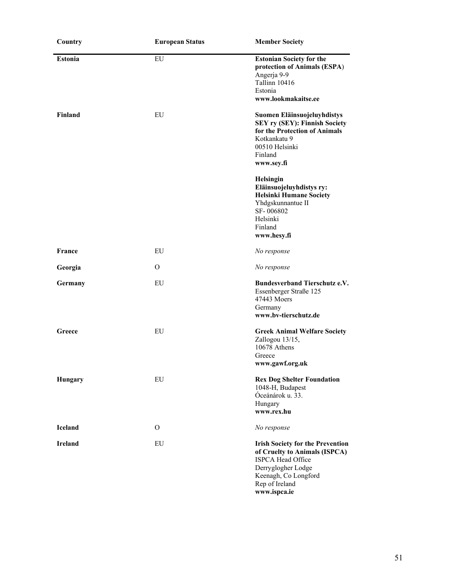| Country        | <b>European Status</b> | <b>Member Society</b>                                                                                                                                                                |  |
|----------------|------------------------|--------------------------------------------------------------------------------------------------------------------------------------------------------------------------------------|--|
| <b>Estonia</b> | EU                     | <b>Estonian Society for the</b><br>protection of Animals (ESPA)<br>Angerja 9-9<br>Tallinn 10416<br>Estonia<br>www.lookmakaitse.ee                                                    |  |
| Finland        | EU                     | Suomen Eläinsuojeluyhdistys<br><b>SEY ry (SEY): Finnish Society</b><br>for the Protection of Animals<br>Kotkankatu 9<br>00510 Helsinki<br>Finland<br>www.sey.fi                      |  |
|                |                        | Helsingin<br>Eläinsuojeluyhdistys ry:<br><b>Helsinki Humane Society</b><br>Yhdgskunnantue II<br>SF-006802<br>Helsinki<br>Finland<br>www.hesy.fi                                      |  |
| France         | EU                     | No response                                                                                                                                                                          |  |
| Georgia        | $\Omega$               | No response                                                                                                                                                                          |  |
| Germany        | EU                     | <b>Bundesverband Tierschutz e.V.</b><br>Essenberger Straße 125<br>47443 Moers<br>Germany<br>www.bv-tierschutz.de                                                                     |  |
| Greece         | EU                     | <b>Greek Animal Welfare Society</b><br>Zallogou 13/15,<br>10678 Athens<br>Greece<br>www.gawf.org.uk                                                                                  |  |
| <b>Hungary</b> | EU                     | <b>Rex Dog Shelter Foundation</b><br>1048-H, Budapest<br>Óceánárok u. 33.<br>Hungary<br>www.rex.hu                                                                                   |  |
| <b>Iceland</b> | O                      | No response                                                                                                                                                                          |  |
| <b>Ireland</b> | EU                     | <b>Irish Society for the Prevention</b><br>of Cruelty to Animals (ISPCA)<br><b>ISPCA Head Office</b><br>Derryglogher Lodge<br>Keenagh, Co Longford<br>Rep of Ireland<br>www.ispca.ie |  |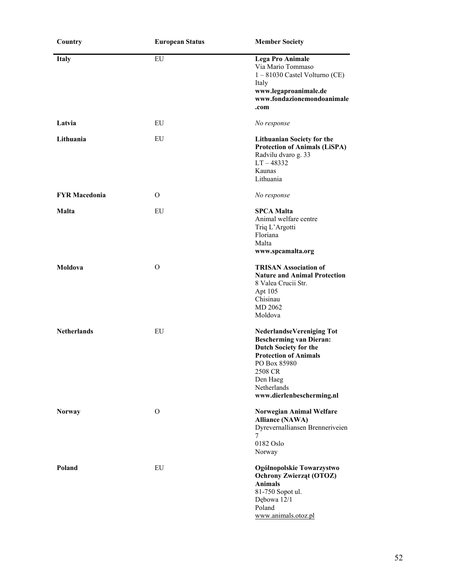| Country              | <b>European Status</b> | <b>Member Society</b>                                                                                                                                                                                                 |
|----------------------|------------------------|-----------------------------------------------------------------------------------------------------------------------------------------------------------------------------------------------------------------------|
| <b>Italy</b>         | EU                     | <b>Lega Pro Animale</b><br>Via Mario Tommaso<br>$1 - 81030$ Castel Volturno (CE)<br>Italy<br>www.legaproanimale.de<br>www.fondazionemondoanimale<br>.com                                                              |
| Latvia               | EU                     | No response                                                                                                                                                                                                           |
| Lithuania            | EU                     | <b>Lithuanian Society for the</b><br><b>Protection of Animals (LiSPA)</b><br>Radvilu dvaro g. 33<br>$LT - 48332$<br>Kaunas<br>Lithuania                                                                               |
| <b>FYR Macedonia</b> | O                      | No response                                                                                                                                                                                                           |
| <b>Malta</b>         | EU                     | <b>SPCA Malta</b><br>Animal welfare centre<br>Triq L'Argotti<br>Floriana<br>Malta<br>www.spcamalta.org                                                                                                                |
| Moldova              | $\Omega$               | <b>TRISAN Association of</b><br><b>Nature and Animal Protection</b><br>8 Valea Crucii Str.<br>Apt 105<br>Chisinau<br>MD 2062<br>Moldova                                                                               |
| <b>Netherlands</b>   | EU                     | <b>NederlandseVereniging Tot</b><br><b>Bescherming van Dieran:</b><br><b>Dutch Society for the</b><br><b>Protection of Animals</b><br>PO Box 85980<br>2508 CR<br>Den Haeg<br>Netherlands<br>www.dierlenbescherming.nl |
| <b>Norway</b>        | $\mathbf{O}$           | <b>Norwegian Animal Welfare</b><br><b>Alliance (NAWA)</b><br>Dyrevernalliansen Brenneriveien<br>7<br>0182 Oslo<br>Norway                                                                                              |
| Poland               | EU                     | Ogólnopolskie Towarzystwo<br><b>Ochrony Zwierząt (OTOZ)</b><br><b>Animals</b><br>81-750 Sopot ul.<br>Dębowa 12/1<br>Poland<br>www.animals.otoz.pl                                                                     |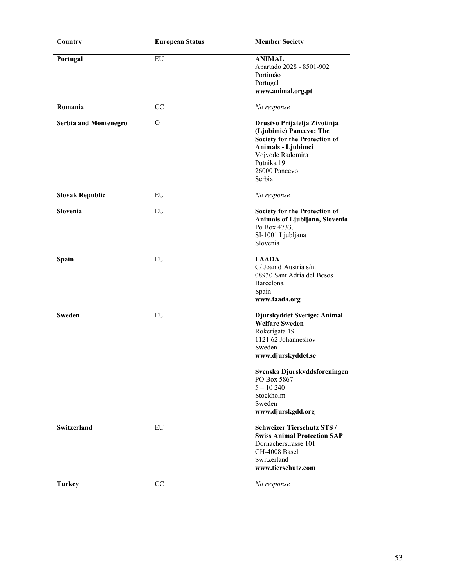| Country                      | <b>European Status</b> | <b>Member Society</b>                                                                                                                                                                                                                  |
|------------------------------|------------------------|----------------------------------------------------------------------------------------------------------------------------------------------------------------------------------------------------------------------------------------|
| Portugal                     | EU                     | <b>ANIMAL</b><br>Apartado 2028 - 8501-902<br>Portimão<br>Portugal<br>www.animal.org.pt                                                                                                                                                 |
| Romania                      | CC                     | No response                                                                                                                                                                                                                            |
| <b>Serbia and Montenegro</b> | O                      | Drustvo Prijatelja Zivotinja<br>(Ljubimic) Pancevo: The<br>Society for the Protection of<br>Animals - Ljubimci<br>Vojvode Radomira<br>Putnika 19<br>26000 Pancevo<br>Serbia                                                            |
| <b>Slovak Republic</b>       | EU                     | No response                                                                                                                                                                                                                            |
| Slovenia                     | EU                     | Society for the Protection of<br>Animals of Ljubljana, Slovenia<br>Po Box 4733,<br>SI-1001 Ljubljana<br>Slovenia                                                                                                                       |
| Spain                        | EU                     | <b>FAADA</b><br>C/ Joan d'Austria s/n.<br>08930 Sant Adria del Besos<br>Barcelona<br>Spain<br>www.faada.org                                                                                                                            |
| <b>Sweden</b>                | <b>EU</b>              | Djurskyddet Sverige: Animal<br><b>Welfare Sweden</b><br>Rokerigata 19<br>1121 62 Johanneshov<br>Sweden<br>www.djurskyddet.se<br>Svenska Djurskyddsforeningen<br>PO Box 5867<br>$5 - 10240$<br>Stockholm<br>Sweden<br>www.djurskgdd.org |
| <b>Switzerland</b>           | EU                     | <b>Schweizer Tierschutz STS /</b><br><b>Swiss Animal Protection SAP</b><br>Dornacherstrasse 101<br>CH-4008 Basel<br>Switzerland<br>www.tierschutz.com                                                                                  |
| <b>Turkey</b>                | CC                     | No response                                                                                                                                                                                                                            |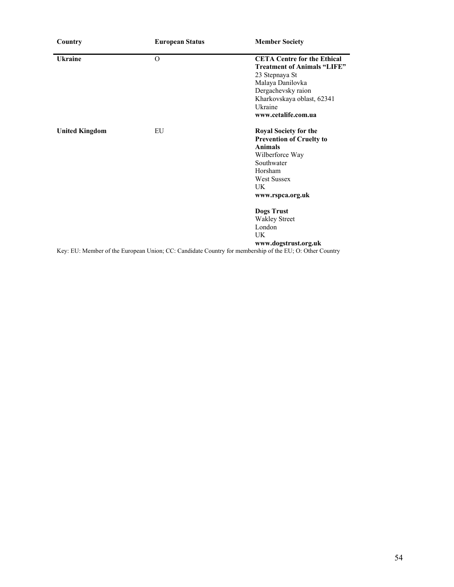| Country               | <b>European Status</b> | <b>Member Society</b>                                                                                   |
|-----------------------|------------------------|---------------------------------------------------------------------------------------------------------|
| <b>Ukraine</b>        | 0                      | <b>CETA Centre for the Ethical</b>                                                                      |
|                       |                        | <b>Treatment of Animals "LIFE"</b>                                                                      |
|                       |                        | 23 Stepnaya St                                                                                          |
|                       |                        | Malaya Danilovka                                                                                        |
|                       |                        | Dergachevsky raion                                                                                      |
|                       |                        | Kharkovskaya oblast, 62341                                                                              |
|                       |                        | Ukraine                                                                                                 |
|                       |                        | www.cetalife.com.ua                                                                                     |
| <b>United Kingdom</b> | EU                     | <b>Royal Society for the</b>                                                                            |
|                       |                        | <b>Prevention of Cruelty to</b>                                                                         |
|                       |                        | <b>Animals</b>                                                                                          |
|                       |                        | Wilberforce Way                                                                                         |
|                       |                        | Southwater                                                                                              |
|                       |                        | Horsham                                                                                                 |
|                       |                        | <b>West Sussex</b>                                                                                      |
|                       |                        | UK.                                                                                                     |
|                       |                        | www.rspca.org.uk                                                                                        |
|                       |                        | <b>Dogs Trust</b>                                                                                       |
|                       |                        | <b>Wakley Street</b>                                                                                    |
|                       |                        | London                                                                                                  |
|                       |                        | UK                                                                                                      |
|                       |                        | www.dogstrust.org.uk                                                                                    |
|                       |                        | Key: EU: Member of the European Union; CC: Candidate Country for membership of the EU; O: Other Country |